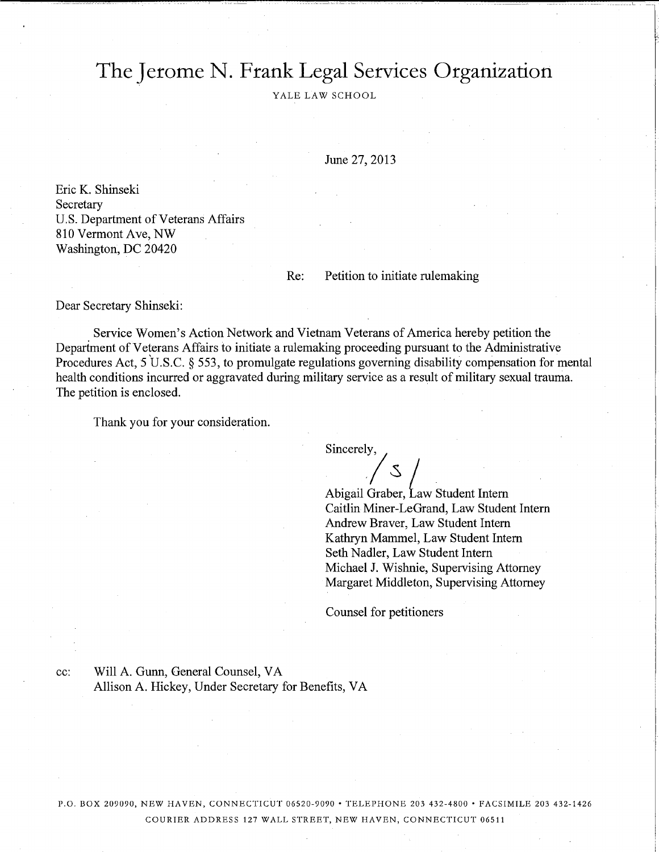# The Jerome N. Frank Legal Services Organization

YALE LAW SCHOOL

June 27, 2013

Eric K. Shinseki Secretary U.S. Department of Veterans Affairs 810 Vermont Ave, NW Washington, DC 20420

#### $Re:$

Petition to initiate rulemaking

Dear Secretary Shinseki:

cc:

Service Women's Action Network and Vietnam Veterans of America hereby petition the Department of Veterans Affairs to initiate a rulemaking proceeding pursuant to the Administrative Procedures Act, 5 U.S.C.  $\S$  553, to promulgate regulations governing disability compensation for mental health conditions incurred or aggravated during military service as a result of military sexual trauma. The petition is enclosed.

Thank you for your consideration.

Sincerely,

Abigail Graber, Law Student Intern Caitlin Miner-LeGrand, Law Student Intern Andrew Braver, Law Student Intern Kathryn Mammel, Law Student Intern Seth Nadler, Law Student Intern Michael J. Wishnie, Supervising Attorney Margaret Middleton, Supervising Attorney

Counsel for petitioners

Will A. Gunn, General Counsel, VA Allison A. Hickey, Under Secretary for Benefits, VA

P.O. BOX 209090, NEW HAVEN, CONNECTICUT 06520-9090 · TELEPHONE 203 432-4800 · FACSIMILE 203 432-1426 COURIER ADDRESS 127 WALL STREET, NEW HAVEN, CONNECTICUT 06511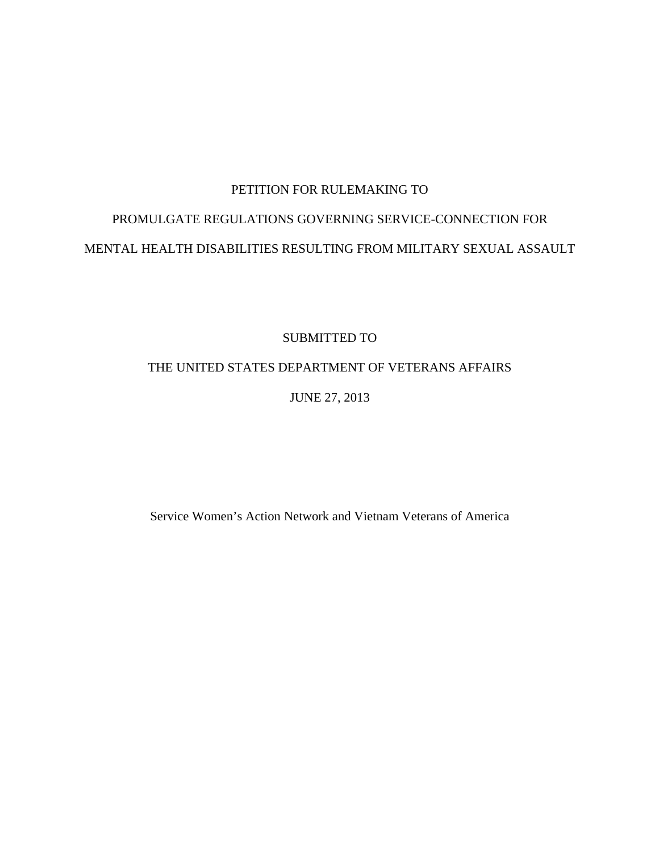### PETITION FOR RULEMAKING TO

# PROMULGATE REGULATIONS GOVERNING SERVICE-CONNECTION FOR MENTAL HEALTH DISABILITIES RESULTING FROM MILITARY SEXUAL ASSAULT

SUBMITTED TO

### THE UNITED STATES DEPARTMENT OF VETERANS AFFAIRS

JUNE 27, 2013

Service Women's Action Network and Vietnam Veterans of America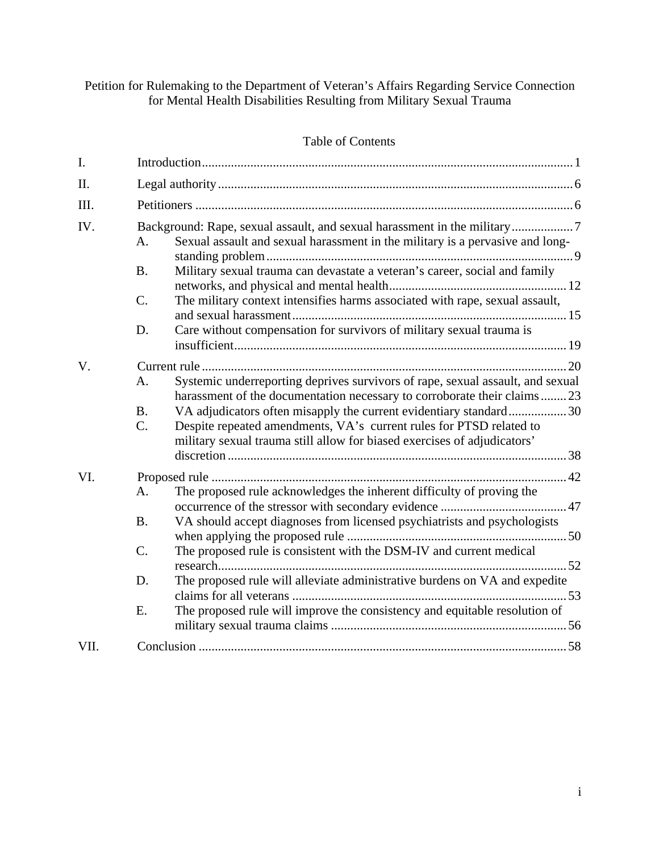### Petition for Rulemaking to the Department of Veteran's Affairs Regarding Service Connection for Mental Health Disabilities Resulting from Military Sexual Trauma

### Table of Contents

| I.   |                                                      |                                                                                                                                                                                                                                                                                                                                                                                                 |  |
|------|------------------------------------------------------|-------------------------------------------------------------------------------------------------------------------------------------------------------------------------------------------------------------------------------------------------------------------------------------------------------------------------------------------------------------------------------------------------|--|
| Π.   |                                                      |                                                                                                                                                                                                                                                                                                                                                                                                 |  |
| III. |                                                      |                                                                                                                                                                                                                                                                                                                                                                                                 |  |
| IV.  | A <sub>1</sub><br><b>B.</b><br>$\mathcal{C}$ .<br>D. | Background: Rape, sexual assault, and sexual harassment in the military7<br>Sexual assault and sexual harassment in the military is a pervasive and long-<br>Military sexual trauma can devastate a veteran's career, social and family<br>The military context intensifies harms associated with rape, sexual assault,<br>Care without compensation for survivors of military sexual trauma is |  |
|      |                                                      |                                                                                                                                                                                                                                                                                                                                                                                                 |  |
| V.   | A.<br>B.<br>$C_{\cdot}$                              | Systemic underreporting deprives survivors of rape, sexual assault, and sexual<br>harassment of the documentation necessary to corroborate their claims23<br>VA adjudicators often misapply the current evidentiary standard30<br>Despite repeated amendments, VA's current rules for PTSD related to<br>military sexual trauma still allow for biased exercises of adjudicators'               |  |
| VI.  | A.<br>B.<br>$C$ .<br>D.<br>E.                        | The proposed rule acknowledges the inherent difficulty of proving the<br>VA should accept diagnoses from licensed psychiatrists and psychologists<br>The proposed rule is consistent with the DSM-IV and current medical<br>The proposed rule will alleviate administrative burdens on VA and expedite<br>The proposed rule will improve the consistency and equitable resolution of            |  |
| VII. |                                                      |                                                                                                                                                                                                                                                                                                                                                                                                 |  |
|      |                                                      |                                                                                                                                                                                                                                                                                                                                                                                                 |  |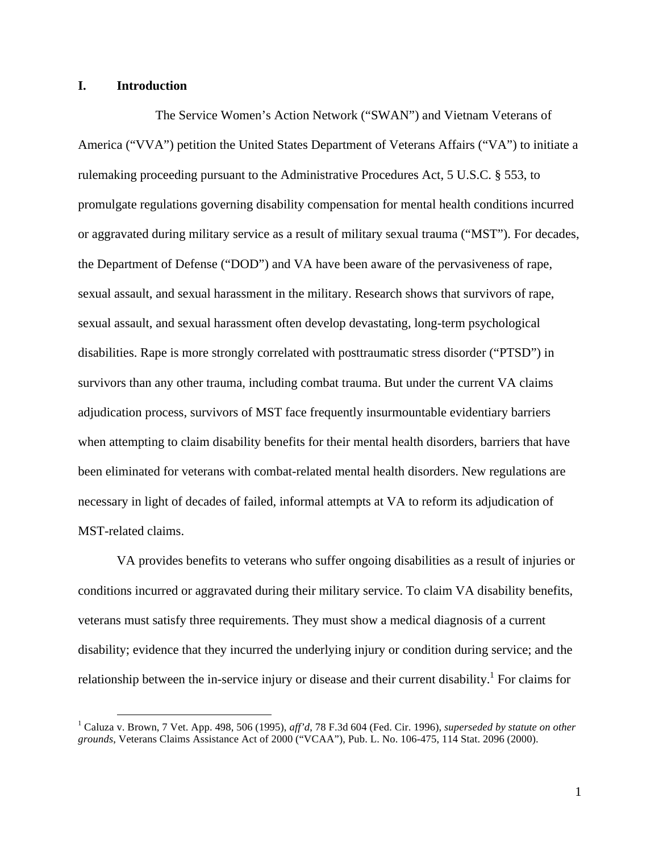#### **I. Introduction**

The Service Women's Action Network ("SWAN") and Vietnam Veterans of America ("VVA") petition the United States Department of Veterans Affairs ("VA") to initiate a rulemaking proceeding pursuant to the Administrative Procedures Act, 5 U.S.C. § 553, to promulgate regulations governing disability compensation for mental health conditions incurred or aggravated during military service as a result of military sexual trauma ("MST"). For decades, the Department of Defense ("DOD") and VA have been aware of the pervasiveness of rape, sexual assault, and sexual harassment in the military. Research shows that survivors of rape, sexual assault, and sexual harassment often develop devastating, long-term psychological disabilities. Rape is more strongly correlated with posttraumatic stress disorder ("PTSD") in survivors than any other trauma, including combat trauma. But under the current VA claims adjudication process, survivors of MST face frequently insurmountable evidentiary barriers when attempting to claim disability benefits for their mental health disorders, barriers that have been eliminated for veterans with combat-related mental health disorders. New regulations are necessary in light of decades of failed, informal attempts at VA to reform its adjudication of MST-related claims.

VA provides benefits to veterans who suffer ongoing disabilities as a result of injuries or conditions incurred or aggravated during their military service. To claim VA disability benefits, veterans must satisfy three requirements. They must show a medical diagnosis of a current disability; evidence that they incurred the underlying injury or condition during service; and the relationship between the in-service injury or disease and their current disability.<sup>1</sup> For claims for

 <sup>1</sup> Caluza v. Brown, 7 Vet. App. 498, 506 (1995), *aff'd*, 78 F.3d 604 (Fed. Cir. 1996), *superseded by statute on other grounds*, Veterans Claims Assistance Act of 2000 ("VCAA"), Pub. L. No. 106-475, 114 Stat. 2096 (2000).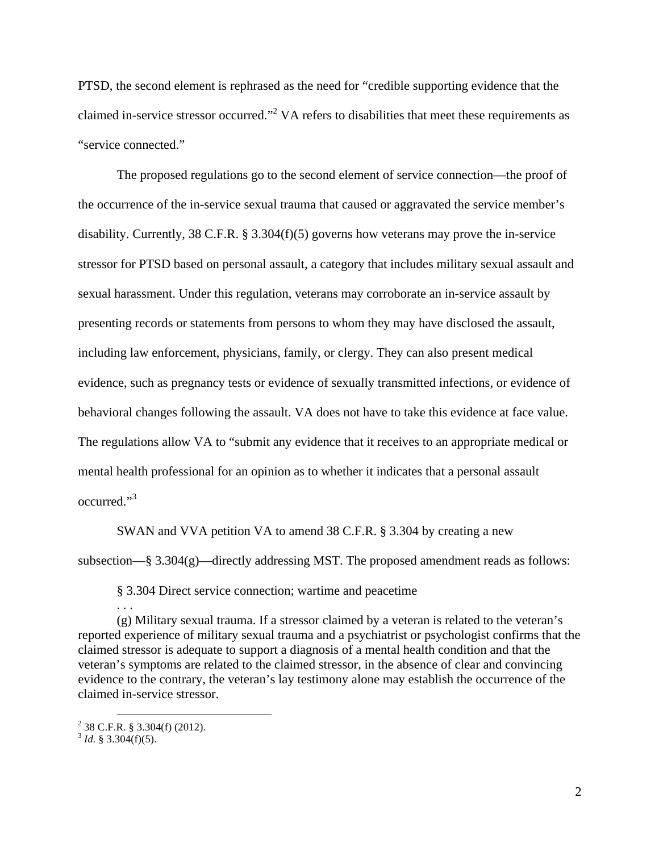PTSD, the second element is rephrased as the need for "credible supporting evidence that the claimed in-service stressor occurred."<sup>2</sup> VA refers to disabilities that meet these requirements as "service connected."

The proposed regulations go to the second element of service connection—the proof of the occurrence of the in-service sexual trauma that caused or aggravated the service member's disability. Currently, 38 C.F.R. § 3.304(f)(5) governs how veterans may prove the in-service stressor for PTSD based on personal assault, a category that includes military sexual assault and sexual harassment. Under this regulation, veterans may corroborate an in-service assault by presenting records or statements from persons to whom they may have disclosed the assault, including law enforcement, physicians, family, or clergy. They can also present medical evidence, such as pregnancy tests or evidence of sexually transmitted infections, or evidence of behavioral changes following the assault. VA does not have to take this evidence at face value. The regulations allow VA to "submit any evidence that it receives to an appropriate medical or mental health professional for an opinion as to whether it indicates that a personal assault occurred." 3

SWAN and VVA petition VA to amend 38 C.F.R. § 3.304 by creating a new subsection—§ 3.304(g)—directly addressing MST. The proposed amendment reads as follows:

§ 3.304 Direct service connection; wartime and peacetime

(g) Military sexual trauma. If a stressor claimed by a veteran is related to the veteran's reported experience of military sexual trauma and a psychiatrist or psychologist confirms that the claimed stressor is adequate to support a diagnosis of a mental health condition and that the veteran's symptoms are related to the claimed stressor, in the absence of clear and convincing evidence to the contrary, the veteran's lay testimony alone may establish the occurrence of the claimed in-service stressor.

. . .

 $^{2}$  38 C.F.R. § 3.304(f) (2012).

 $3$  *Id.* § 3.304(f)(5).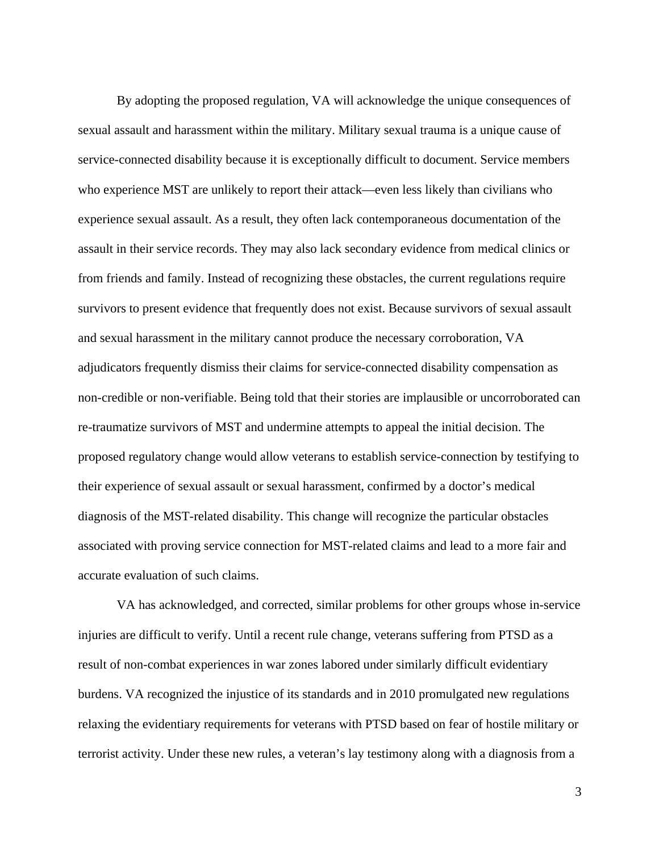By adopting the proposed regulation, VA will acknowledge the unique consequences of sexual assault and harassment within the military. Military sexual trauma is a unique cause of service-connected disability because it is exceptionally difficult to document. Service members who experience MST are unlikely to report their attack—even less likely than civilians who experience sexual assault. As a result, they often lack contemporaneous documentation of the assault in their service records. They may also lack secondary evidence from medical clinics or from friends and family. Instead of recognizing these obstacles, the current regulations require survivors to present evidence that frequently does not exist. Because survivors of sexual assault and sexual harassment in the military cannot produce the necessary corroboration, VA adjudicators frequently dismiss their claims for service-connected disability compensation as non-credible or non-verifiable. Being told that their stories are implausible or uncorroborated can re-traumatize survivors of MST and undermine attempts to appeal the initial decision. The proposed regulatory change would allow veterans to establish service-connection by testifying to their experience of sexual assault or sexual harassment, confirmed by a doctor's medical diagnosis of the MST-related disability. This change will recognize the particular obstacles associated with proving service connection for MST-related claims and lead to a more fair and accurate evaluation of such claims.

VA has acknowledged, and corrected, similar problems for other groups whose in-service injuries are difficult to verify. Until a recent rule change, veterans suffering from PTSD as a result of non-combat experiences in war zones labored under similarly difficult evidentiary burdens. VA recognized the injustice of its standards and in 2010 promulgated new regulations relaxing the evidentiary requirements for veterans with PTSD based on fear of hostile military or terrorist activity. Under these new rules, a veteran's lay testimony along with a diagnosis from a

3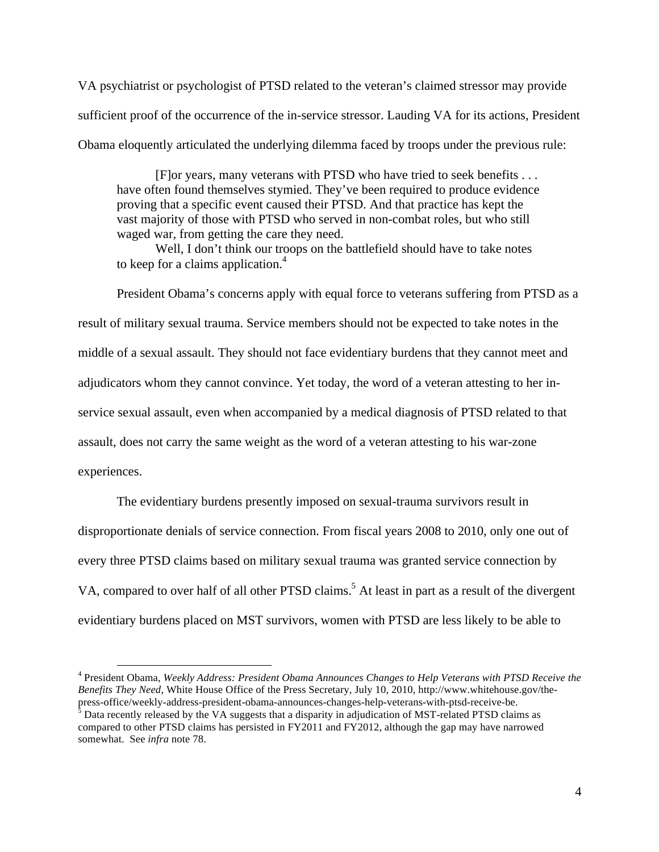VA psychiatrist or psychologist of PTSD related to the veteran's claimed stressor may provide sufficient proof of the occurrence of the in-service stressor. Lauding VA for its actions, President Obama eloquently articulated the underlying dilemma faced by troops under the previous rule:

[F]or years, many veterans with PTSD who have tried to seek benefits . . . have often found themselves stymied. They've been required to produce evidence proving that a specific event caused their PTSD. And that practice has kept the vast majority of those with PTSD who served in non-combat roles, but who still waged war, from getting the care they need.

Well, I don't think our troops on the battlefield should have to take notes to keep for a claims application.<sup>4</sup>

President Obama's concerns apply with equal force to veterans suffering from PTSD as a result of military sexual trauma. Service members should not be expected to take notes in the middle of a sexual assault. They should not face evidentiary burdens that they cannot meet and adjudicators whom they cannot convince. Yet today, the word of a veteran attesting to her inservice sexual assault, even when accompanied by a medical diagnosis of PTSD related to that assault, does not carry the same weight as the word of a veteran attesting to his war-zone experiences.

The evidentiary burdens presently imposed on sexual-trauma survivors result in disproportionate denials of service connection. From fiscal years 2008 to 2010, only one out of every three PTSD claims based on military sexual trauma was granted service connection by VA, compared to over half of all other PTSD claims.<sup>5</sup> At least in part as a result of the divergent evidentiary burdens placed on MST survivors, women with PTSD are less likely to be able to

 4 President Obama, *Weekly Address: President Obama Announces Changes to Help Veterans with PTSD Receive the Benefits They Need*, White House Office of the Press Secretary, July 10, 2010, http://www.whitehouse.gov/thepress-office/weekly-address-president-obama-announces-changes-help-veterans-with-ptsd-receive-be.<br><sup>5</sup> Data recently released by the VA suggests that a disparity in adjudication of MST-related PTSD claims as

compared to other PTSD claims has persisted in FY2011 and FY2012, although the gap may have narrowed somewhat. See *infra* note 78.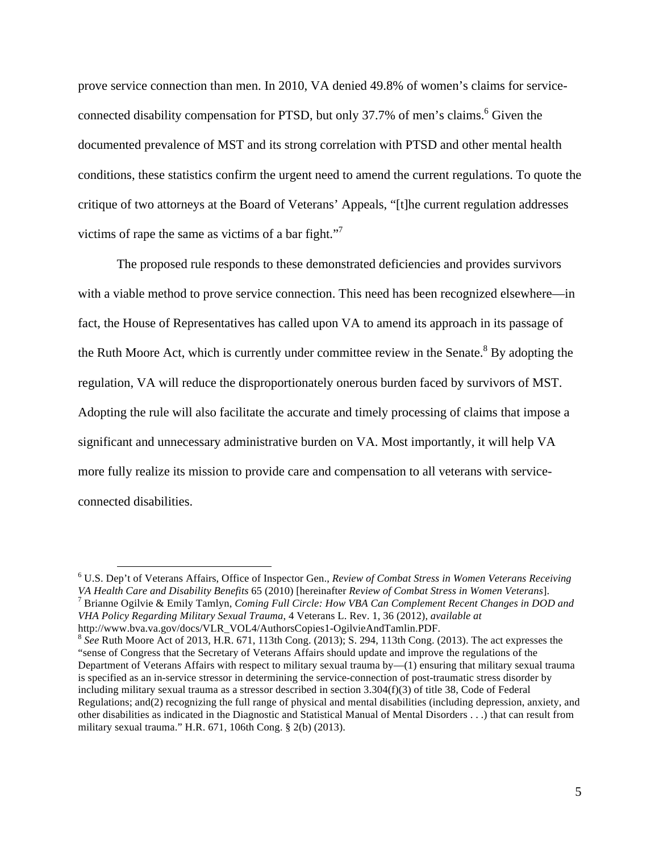prove service connection than men. In 2010, VA denied 49.8% of women's claims for serviceconnected disability compensation for PTSD, but only  $37.7\%$  of men's claims.<sup>6</sup> Given the documented prevalence of MST and its strong correlation with PTSD and other mental health conditions, these statistics confirm the urgent need to amend the current regulations. To quote the critique of two attorneys at the Board of Veterans' Appeals, "[t]he current regulation addresses victims of rape the same as victims of a bar fight."<sup>7</sup>

The proposed rule responds to these demonstrated deficiencies and provides survivors with a viable method to prove service connection. This need has been recognized elsewhere—in fact, the House of Representatives has called upon VA to amend its approach in its passage of the Ruth Moore Act, which is currently under committee review in the Senate.<sup>8</sup> By adopting the regulation, VA will reduce the disproportionately onerous burden faced by survivors of MST. Adopting the rule will also facilitate the accurate and timely processing of claims that impose a significant and unnecessary administrative burden on VA. Most importantly, it will help VA more fully realize its mission to provide care and compensation to all veterans with serviceconnected disabilities.

 <sup>6</sup> U.S. Dep't of Veterans Affairs, Office of Inspector Gen., *Review of Combat Stress in Women Veterans Receiving*  VA Health Care and Disability Benefits 65 (2010) [hereinafter Review of Combat Stress in Women Veterans].<br><sup>7</sup> Brianne Ogilvie & Emily Tamlyn, Coming Full Circle: How VBA Can Complement Recent Changes in DOD and *VHA Policy Regarding Military Sexual Trauma*, 4 Veterans L. Rev. 1, 36 (2012), *available at* http://www.bva.va.gov/docs/VLR\_VOL4/AuthorsCopies1-OgilvieAndTamlin.PDF. <sup>8</sup> *See* Ruth Moore Act of 2013, H.R. 671, 113th Cong. (2013); S. 294, 113th Cong. (2013). The act expresses the

<sup>&</sup>quot;sense of Congress that the Secretary of Veterans Affairs should update and improve the regulations of the Department of Veterans Affairs with respect to military sexual trauma by—(1) ensuring that military sexual trauma is specified as an in-service stressor in determining the service-connection of post-traumatic stress disorder by including military sexual trauma as a stressor described in section 3.304(f)(3) of title 38, Code of Federal Regulations; and(2) recognizing the full range of physical and mental disabilities (including depression, anxiety, and other disabilities as indicated in the Diagnostic and Statistical Manual of Mental Disorders . . .) that can result from military sexual trauma." H.R. 671, 106th Cong. § 2(b) (2013).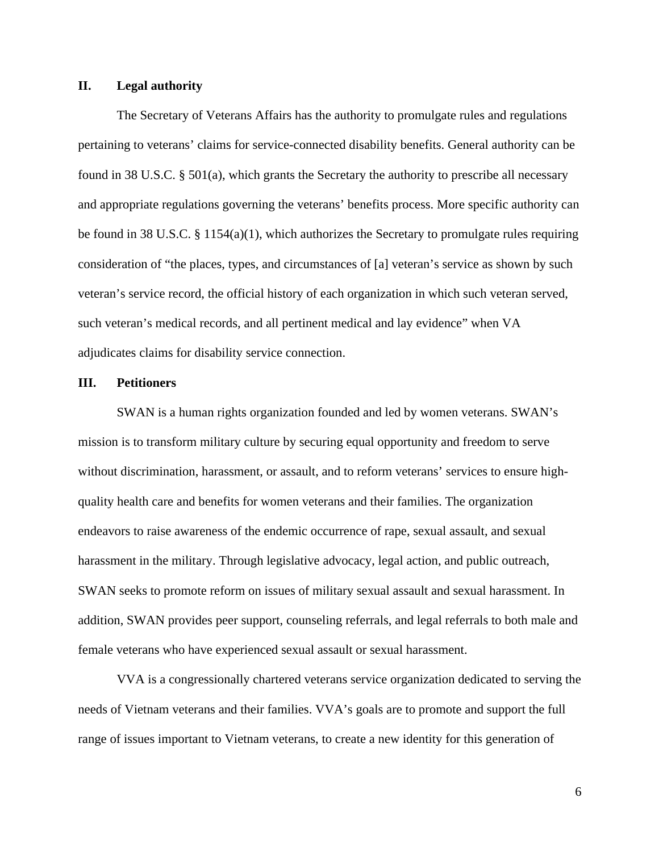#### **II. Legal authority**

The Secretary of Veterans Affairs has the authority to promulgate rules and regulations pertaining to veterans' claims for service-connected disability benefits. General authority can be found in 38 U.S.C. § 501(a), which grants the Secretary the authority to prescribe all necessary and appropriate regulations governing the veterans' benefits process. More specific authority can be found in 38 U.S.C. § 1154(a)(1), which authorizes the Secretary to promulgate rules requiring consideration of "the places, types, and circumstances of [a] veteran's service as shown by such veteran's service record, the official history of each organization in which such veteran served, such veteran's medical records, and all pertinent medical and lay evidence" when VA adjudicates claims for disability service connection.

#### **III. Petitioners**

SWAN is a human rights organization founded and led by women veterans. SWAN's mission is to transform military culture by securing equal opportunity and freedom to serve without discrimination, harassment, or assault, and to reform veterans' services to ensure highquality health care and benefits for women veterans and their families. The organization endeavors to raise awareness of the endemic occurrence of rape, sexual assault, and sexual harassment in the military. Through legislative advocacy, legal action, and public outreach, SWAN seeks to promote reform on issues of military sexual assault and sexual harassment. In addition, SWAN provides peer support, counseling referrals, and legal referrals to both male and female veterans who have experienced sexual assault or sexual harassment.

VVA is a congressionally chartered veterans service organization dedicated to serving the needs of Vietnam veterans and their families. VVA's goals are to promote and support the full range of issues important to Vietnam veterans, to create a new identity for this generation of

6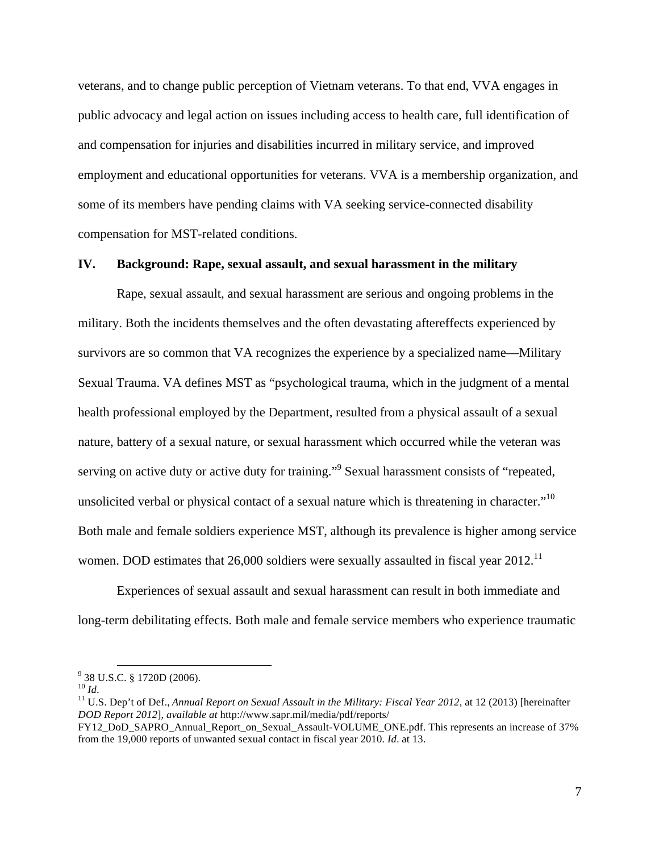veterans, and to change public perception of Vietnam veterans. To that end, VVA engages in public advocacy and legal action on issues including access to health care, full identification of and compensation for injuries and disabilities incurred in military service, and improved employment and educational opportunities for veterans. VVA is a membership organization, and some of its members have pending claims with VA seeking service-connected disability compensation for MST-related conditions.

#### **IV. Background: Rape, sexual assault, and sexual harassment in the military**

Rape, sexual assault, and sexual harassment are serious and ongoing problems in the military. Both the incidents themselves and the often devastating aftereffects experienced by survivors are so common that VA recognizes the experience by a specialized name—Military Sexual Trauma. VA defines MST as "psychological trauma, which in the judgment of a mental health professional employed by the Department, resulted from a physical assault of a sexual nature, battery of a sexual nature, or sexual harassment which occurred while the veteran was serving on active duty or active duty for training."<sup>9</sup> Sexual harassment consists of "repeated, unsolicited verbal or physical contact of a sexual nature which is threatening in character."<sup>10</sup> Both male and female soldiers experience MST, although its prevalence is higher among service women. DOD estimates that 26,000 soldiers were sexually assaulted in fiscal year  $2012$ .<sup>11</sup>

Experiences of sexual assault and sexual harassment can result in both immediate and long-term debilitating effects. Both male and female service members who experience traumatic

 $^{9}$  38 U.S.C. § 1720D (2006).<br><sup>10</sup> Id

<sup>&</sup>lt;sup>11</sup> U.S. Dep't of Def., *Annual Report on Sexual Assault in the Military: Fiscal Year 2012*, at 12 (2013) [hereinafter *DOD Report 2012*], *available at* http://www.sapr.mil/media/pdf/reports/

FY12\_DoD\_SAPRO\_Annual\_Report\_on\_Sexual\_Assault-VOLUME\_ONE.pdf. This represents an increase of 37% from the 19,000 reports of unwanted sexual contact in fiscal year 2010. *Id*. at 13.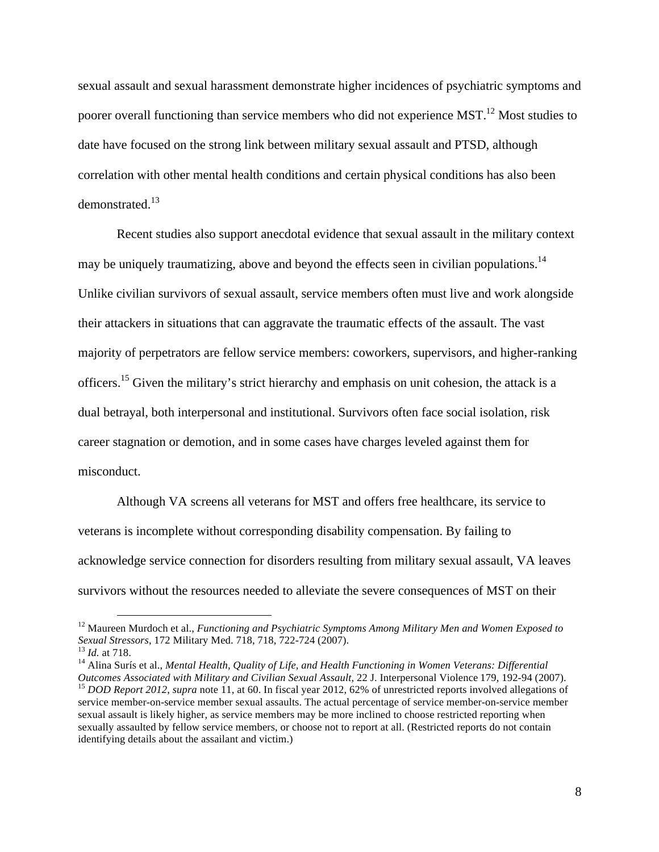sexual assault and sexual harassment demonstrate higher incidences of psychiatric symptoms and poorer overall functioning than service members who did not experience  $MST<sup>12</sup>$  Most studies to date have focused on the strong link between military sexual assault and PTSD, although correlation with other mental health conditions and certain physical conditions has also been demonstrated.<sup>13</sup>

Recent studies also support anecdotal evidence that sexual assault in the military context may be uniquely traumatizing, above and beyond the effects seen in civilian populations.<sup>14</sup> Unlike civilian survivors of sexual assault, service members often must live and work alongside their attackers in situations that can aggravate the traumatic effects of the assault. The vast majority of perpetrators are fellow service members: coworkers, supervisors, and higher-ranking officers.<sup>15</sup> Given the military's strict hierarchy and emphasis on unit cohesion, the attack is a dual betrayal, both interpersonal and institutional. Survivors often face social isolation, risk career stagnation or demotion, and in some cases have charges leveled against them for misconduct.

Although VA screens all veterans for MST and offers free healthcare, its service to veterans is incomplete without corresponding disability compensation. By failing to acknowledge service connection for disorders resulting from military sexual assault, VA leaves survivors without the resources needed to alleviate the severe consequences of MST on their

<sup>&</sup>lt;sup>12</sup> Maureen Murdoch et al., *Functioning and Psychiatric Symptoms Among Military Men and Women Exposed to Sexual Stressors, 172 Military Med. 718, 718, 722-724 (2007).* 

<sup>&</sup>lt;sup>13</sup> Id. at 718.<br><sup>14</sup> Alina Surís et al., *Mental Health, Quality of Life, and Health Functioning in Women Veterans: Differential* Outcomes Associated with Military and Civilian Sexual Assault, 22 J. Interpersonal Violence 179, 192-94 (2007).<br><sup>15</sup> DOD Report 2012, supra note 11, at 60. In fiscal year 2012, 62% of unrestricted reports involved allegati service member-on-service member sexual assaults. The actual percentage of service member-on-service member sexual assault is likely higher, as service members may be more inclined to choose restricted reporting when sexually assaulted by fellow service members, or choose not to report at all. (Restricted reports do not contain identifying details about the assailant and victim.)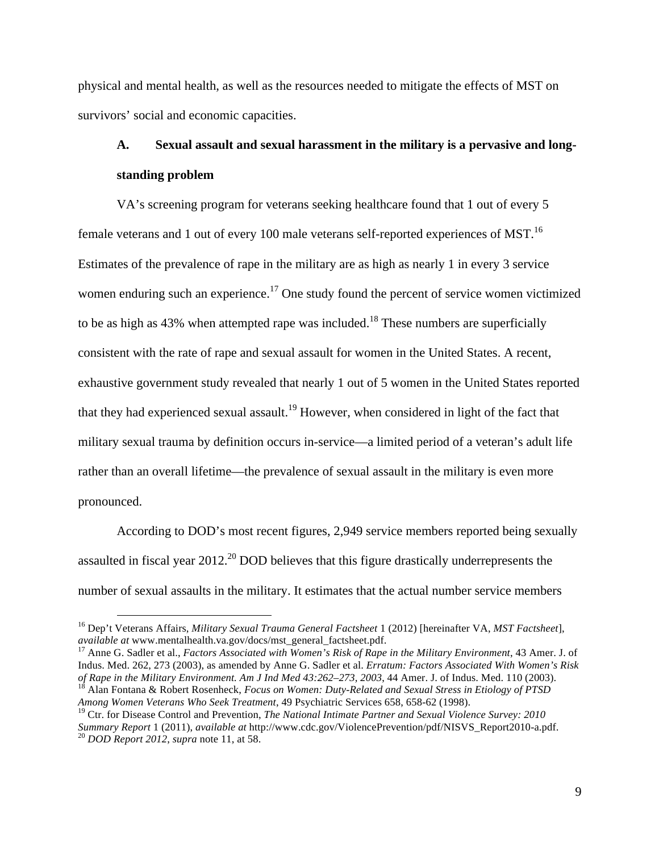physical and mental health, as well as the resources needed to mitigate the effects of MST on survivors' social and economic capacities.

### **A. Sexual assault and sexual harassment in the military is a pervasive and longstanding problem**

VA's screening program for veterans seeking healthcare found that 1 out of every 5 female veterans and 1 out of every 100 male veterans self-reported experiences of MST.<sup>16</sup> Estimates of the prevalence of rape in the military are as high as nearly 1 in every 3 service women enduring such an experience.<sup>17</sup> One study found the percent of service women victimized to be as high as 43% when attempted rape was included.<sup>18</sup> These numbers are superficially consistent with the rate of rape and sexual assault for women in the United States. A recent, exhaustive government study revealed that nearly 1 out of 5 women in the United States reported that they had experienced sexual assault.<sup>19</sup> However, when considered in light of the fact that military sexual trauma by definition occurs in-service—a limited period of a veteran's adult life rather than an overall lifetime—the prevalence of sexual assault in the military is even more pronounced.

According to DOD's most recent figures, 2,949 service members reported being sexually assaulted in fiscal year  $2012<sup>20</sup>$  DOD believes that this figure drastically underrepresents the number of sexual assaults in the military. It estimates that the actual number service members

<sup>17</sup> Anne G. Sadler et al., *Factors Associated with Women's Risk of Rape in the Military Environment*, 43 Amer. J. of Indus. Med. 262, 273 (2003), as amended by Anne G. Sadler et al. *Erratum: Factors Associated With Women's Risk*  of Rape in the Military Environment. Am J Ind Med 43:262–273, 2003, 44 Amer. J. of Indus. Med. 110 (2003).<br><sup>18</sup> Alan Fontana & Robert Rosenheck, *Focus on Women: Duty-Related and Sexual Stress in Etiology of PTSD Among Women Veterans Who Seek Treatment*, 49 Psychiatric Services 658, 658-62 (1998).

 <sup>16</sup> Dep't Veterans Affairs, *Military Sexual Trauma General Factsheet* 1 (2012) [hereinafter VA, *MST Factsheet*],

<sup>&</sup>lt;sup>19</sup> Ctr. for Disease Control and Prevention, *The National Intimate Partner and Sexual Violence Survey: 2010 Summary Report* 1 (2011), *available at* http://www.cdc.gov/ViolencePrevention/pdf/NISVS\_Report2010-a.pdf. <sup>20</sup> *DOD Report 2012*, *supra* note 11, at 58.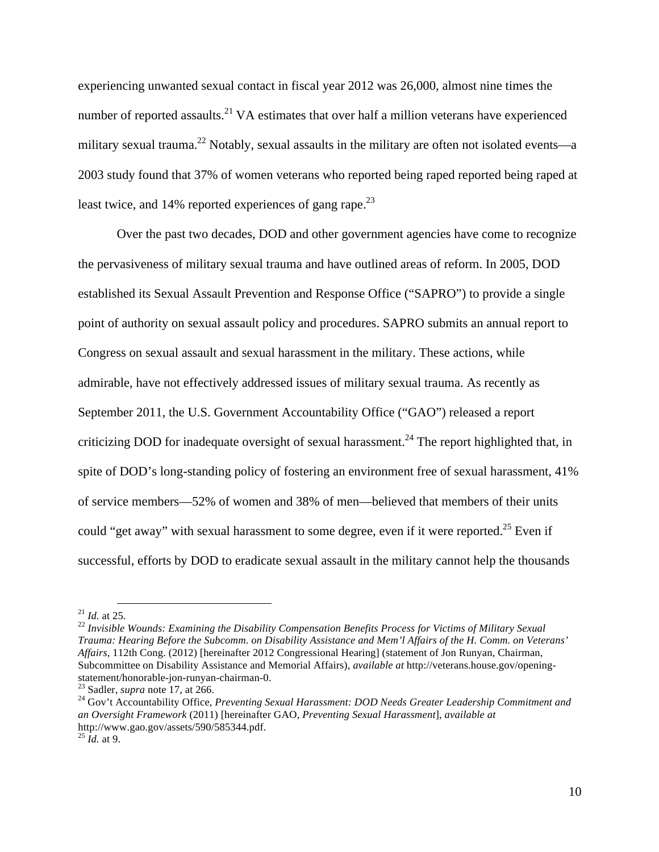experiencing unwanted sexual contact in fiscal year 2012 was 26,000, almost nine times the number of reported assaults.<sup>21</sup> VA estimates that over half a million veterans have experienced military sexual trauma.<sup>22</sup> Notably, sexual assaults in the military are often not isolated events—a 2003 study found that 37% of women veterans who reported being raped reported being raped at least twice, and 14% reported experiences of gang rape.<sup>23</sup>

Over the past two decades, DOD and other government agencies have come to recognize the pervasiveness of military sexual trauma and have outlined areas of reform. In 2005, DOD established its Sexual Assault Prevention and Response Office ("SAPRO") to provide a single point of authority on sexual assault policy and procedures. SAPRO submits an annual report to Congress on sexual assault and sexual harassment in the military. These actions, while admirable, have not effectively addressed issues of military sexual trauma. As recently as September 2011, the U.S. Government Accountability Office ("GAO") released a report criticizing DOD for inadequate oversight of sexual harassment.<sup>24</sup> The report highlighted that, in spite of DOD's long-standing policy of fostering an environment free of sexual harassment, 41% of service members—52% of women and 38% of men—believed that members of their units could "get away" with sexual harassment to some degree, even if it were reported.<sup>25</sup> Even if successful, efforts by DOD to eradicate sexual assault in the military cannot help the thousands

<sup>&</sup>lt;sup>21</sup> *Id.* at 25.<br><sup>22</sup> *Invisible Wounds: Examining the Disability Compensation Benefits Process for Victims of Military Sexual Trauma: Hearing Before the Subcomm. on Disability Assistance and Mem'l Affairs of the H. Comm. on Veterans' Affairs*, 112th Cong. (2012) [hereinafter 2012 Congressional Hearing] (statement of Jon Runyan, Chairman, Subcommittee on Disability Assistance and Memorial Affairs), *available at* http://veterans.house.gov/openingstatement/honorable-jon-runyan-chairman-0.<br><sup>23</sup> Sadler, *supra* note 17, at 266.<br><sup>24</sup> Gov't Accountability Office, *Preventing Sexual Harassment: DOD Needs Greater Leadership Commitment and* 

*an Oversight Framework* (2011) [hereinafter GAO, *Preventing Sexual Harassment*], *available at* http://www.gao.gov/assets/590/585344.pdf. <sup>25</sup> *Id.* at 9.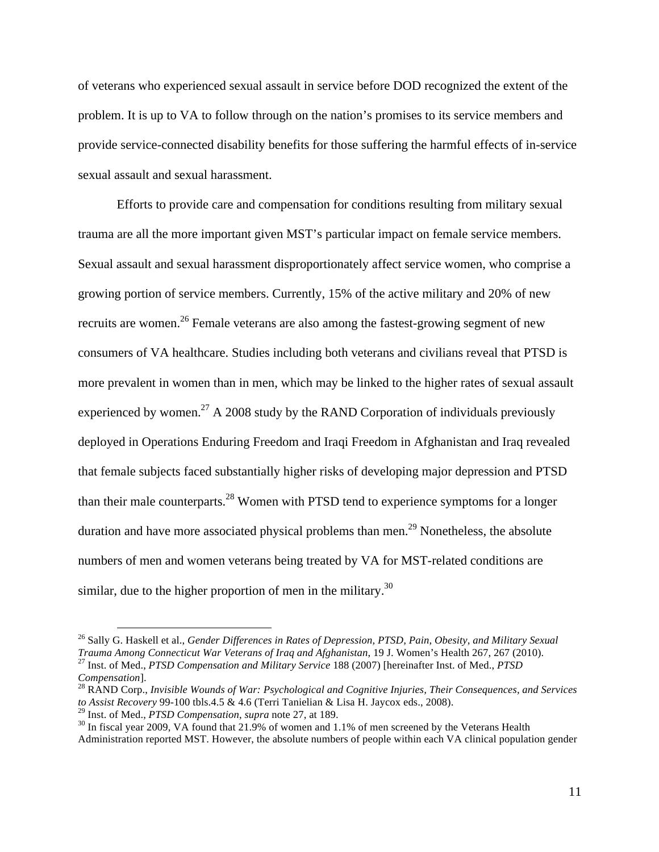of veterans who experienced sexual assault in service before DOD recognized the extent of the problem. It is up to VA to follow through on the nation's promises to its service members and provide service-connected disability benefits for those suffering the harmful effects of in-service sexual assault and sexual harassment.

Efforts to provide care and compensation for conditions resulting from military sexual trauma are all the more important given MST's particular impact on female service members. Sexual assault and sexual harassment disproportionately affect service women, who comprise a growing portion of service members. Currently, 15% of the active military and 20% of new recruits are women.<sup>26</sup> Female veterans are also among the fastest-growing segment of new consumers of VA healthcare. Studies including both veterans and civilians reveal that PTSD is more prevalent in women than in men, which may be linked to the higher rates of sexual assault experienced by women.<sup>27</sup> A 2008 study by the RAND Corporation of individuals previously deployed in Operations Enduring Freedom and Iraqi Freedom in Afghanistan and Iraq revealed that female subjects faced substantially higher risks of developing major depression and PTSD than their male counterparts.<sup>28</sup> Women with PTSD tend to experience symptoms for a longer duration and have more associated physical problems than men.<sup>29</sup> Nonetheless, the absolute numbers of men and women veterans being treated by VA for MST-related conditions are similar, due to the higher proportion of men in the military.<sup>30</sup>

 <sup>26</sup> Sally G. Haskell et al., *Gender Differences in Rates of Depression, PTSD, Pain, Obesity, and Military Sexual Trauma Among Connecticut War Veterans of Iraq and Afghanistan*, 19 J. Women's Health 267, 267 (2010). <sup>27</sup> Inst. of Med., *PTSD Compensation and Military Service* 188 (2007) [hereinafter Inst. of Med., *PTSD* 

<sup>&</sup>lt;sup>28</sup> RAND Corp., *Invisible Wounds of War: Psychological and Cognitive Injuries, Their Consequences, and Services* to Assist Recovery 99-100 tbls.4.5 & 4.6 (Terri Tanielian & Lisa H. Jaycox eds., 2008).<br><sup>29</sup> Inst. of Med., *PTSD Compensation*, *supra* note 27, at 189.

<sup>&</sup>lt;sup>30</sup> In fiscal year 2009, VA found that 21.9% of women and 1.1% of men screened by the Veterans Health Administration reported MST. However, the absolute numbers of people within each VA clinical population gender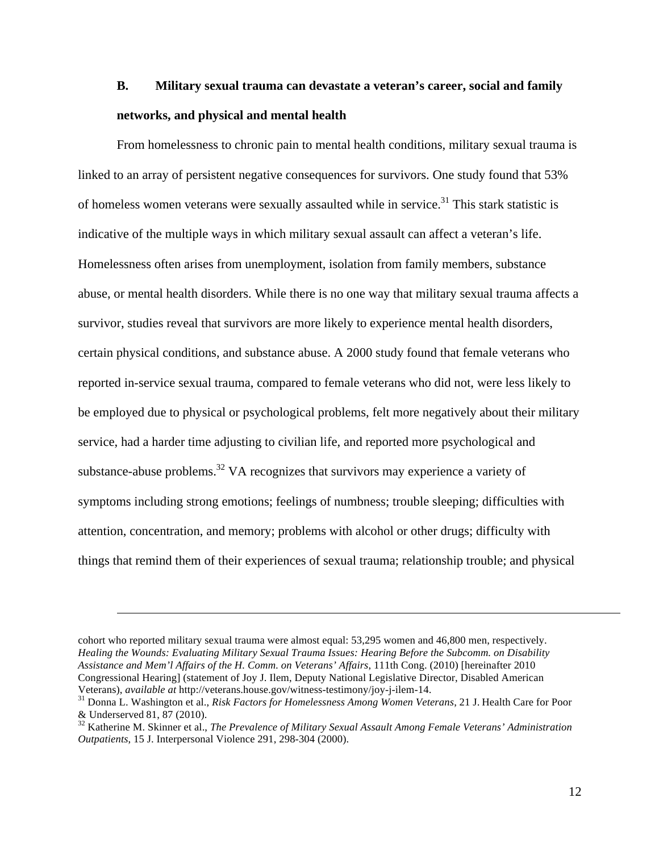### **B. Military sexual trauma can devastate a veteran's career, social and family networks, and physical and mental health**

From homelessness to chronic pain to mental health conditions, military sexual trauma is linked to an array of persistent negative consequences for survivors. One study found that 53% of homeless women veterans were sexually assaulted while in service.<sup>31</sup> This stark statistic is indicative of the multiple ways in which military sexual assault can affect a veteran's life. Homelessness often arises from unemployment, isolation from family members, substance abuse, or mental health disorders. While there is no one way that military sexual trauma affects a survivor, studies reveal that survivors are more likely to experience mental health disorders, certain physical conditions, and substance abuse. A 2000 study found that female veterans who reported in-service sexual trauma, compared to female veterans who did not, were less likely to be employed due to physical or psychological problems, felt more negatively about their military service, had a harder time adjusting to civilian life, and reported more psychological and substance-abuse problems.<sup>32</sup> VA recognizes that survivors may experience a variety of symptoms including strong emotions; feelings of numbness; trouble sleeping; difficulties with attention, concentration, and memory; problems with alcohol or other drugs; difficulty with things that remind them of their experiences of sexual trauma; relationship trouble; and physical

cohort who reported military sexual trauma were almost equal: 53,295 women and 46,800 men, respectively. *Healing the Wounds: Evaluating Military Sexual Trauma Issues: Hearing Before the Subcomm. on Disability Assistance and Mem'l Affairs of the H. Comm. on Veterans' Affairs*, 111th Cong. (2010) [hereinafter 2010 Congressional Hearing] (statement of Joy J. Ilem, Deputy National Legislative Director, Disabled American

 $\overline{a}$ 

Veterans), *available at* http://veterans.house.gov/witness-testimony/joy-j-ilem-14. <sup>31</sup> Donna L. Washington et al., *Risk Factors for Homelessness Among Women Veterans*, 21 J. Health Care for Poor & Underserved 81, 87 (2010). <sup>32</sup> Katherine M. Skinner et al., *The Prevalence of Military Sexual Assault Among Female Veterans' Administration* 

*Outpatients*, 15 J. Interpersonal Violence 291, 298-304 (2000).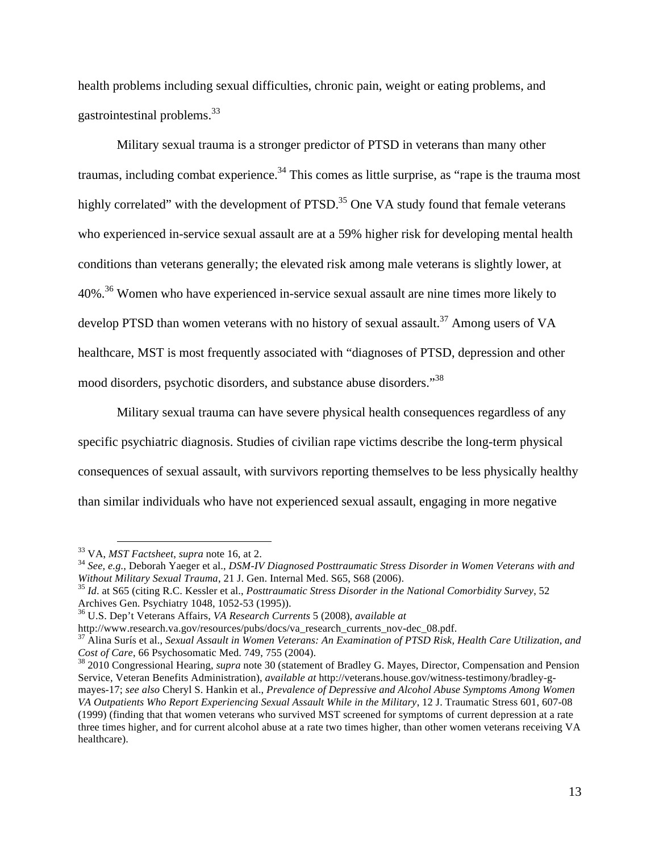health problems including sexual difficulties, chronic pain, weight or eating problems, and gastrointestinal problems.<sup>33</sup>

Military sexual trauma is a stronger predictor of PTSD in veterans than many other traumas, including combat experience.<sup>34</sup> This comes as little surprise, as "rape is the trauma most highly correlated" with the development of PTSD.<sup>35</sup> One VA study found that female veterans who experienced in-service sexual assault are at a 59% higher risk for developing mental health conditions than veterans generally; the elevated risk among male veterans is slightly lower, at 40%.36 Women who have experienced in-service sexual assault are nine times more likely to develop PTSD than women veterans with no history of sexual assault.<sup>37</sup> Among users of VA healthcare, MST is most frequently associated with "diagnoses of PTSD, depression and other mood disorders, psychotic disorders, and substance abuse disorders."<sup>38</sup>

Military sexual trauma can have severe physical health consequences regardless of any specific psychiatric diagnosis. Studies of civilian rape victims describe the long-term physical consequences of sexual assault, with survivors reporting themselves to be less physically healthy than similar individuals who have not experienced sexual assault, engaging in more negative

<sup>&</sup>lt;sup>33</sup> VA, *MST Factsheet*, *supra* note 16, at 2.<br><sup>34</sup> *See, e.g.*, Deborah Yaeger et al., *DSM-IV Diagnosed Posttraumatic Stress Disorder in Women Veterans with and Without Military Sexual Trauma,* 21 J. Gen. Internal Me

<sup>&</sup>lt;sup>35</sup> *Id.* at S65 (citing R.C. Kessler et al., *Posttraumatic Stress Disorder in the National Comorbidity Survey*, 52 Archives Gen. Psychiatry 1048, 1052-53 (1995)).

<sup>&</sup>lt;sup>36</sup> U.S. Dep't Veterans Affairs, *VA Research Currents* 5 (2008)*, available at* http://www.research.va.gov/resources/pubs/docs/va\_research\_currents\_nov-dec\_08.pdf.

<sup>&</sup>lt;sup>37</sup> Alina Surís et al., *Sexual Assault in Women Veterans: An Examination of PTSD Risk, Health Care Utilization, and Cost of Care*, 66 Psychosomatic Med. 749, 755 (2004). 38 2010 Congressional Hearing, *supra* note 30 (statement of Bradley G. Mayes, Director, Compensation and Pension

Service, Veteran Benefits Administration), *available at* http://veterans.house.gov/witness-testimony/bradley-gmayes-17; *see also* Cheryl S. Hankin et al., *Prevalence of Depressive and Alcohol Abuse Symptoms Among Women VA Outpatients Who Report Experiencing Sexual Assault While in the Military*, 12 J. Traumatic Stress 601, 607-08 (1999) (finding that that women veterans who survived MST screened for symptoms of current depression at a rate three times higher, and for current alcohol abuse at a rate two times higher, than other women veterans receiving VA healthcare).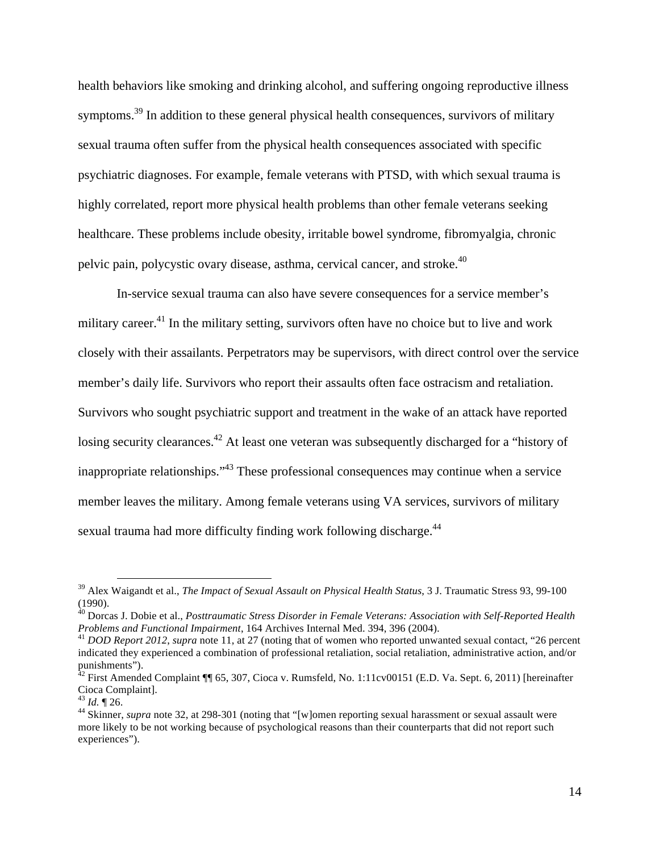health behaviors like smoking and drinking alcohol, and suffering ongoing reproductive illness symptoms.<sup>39</sup> In addition to these general physical health consequences, survivors of military sexual trauma often suffer from the physical health consequences associated with specific psychiatric diagnoses. For example, female veterans with PTSD, with which sexual trauma is highly correlated, report more physical health problems than other female veterans seeking healthcare. These problems include obesity, irritable bowel syndrome, fibromyalgia, chronic pelvic pain, polycystic ovary disease, asthma, cervical cancer, and stroke.<sup>40</sup>

In-service sexual trauma can also have severe consequences for a service member's military career.<sup>41</sup> In the military setting, survivors often have no choice but to live and work closely with their assailants. Perpetrators may be supervisors, with direct control over the service member's daily life. Survivors who report their assaults often face ostracism and retaliation. Survivors who sought psychiatric support and treatment in the wake of an attack have reported losing security clearances.<sup>42</sup> At least one veteran was subsequently discharged for a "history of inappropriate relationships."<sup>43</sup> These professional consequences may continue when a service member leaves the military. Among female veterans using VA services, survivors of military sexual trauma had more difficulty finding work following discharge.<sup>44</sup>

 <sup>39</sup> Alex Waigandt et al., *The Impact of Sexual Assault on Physical Health Status*, 3 J. Traumatic Stress 93, 99-100 (1990).

<sup>40</sup> Dorcas J. Dobie et al., *Posttraumatic Stress Disorder in Female Veterans: Association with Self-Reported Health Problems and Functional Impairment*, 164 Archives Internal Med. 394, 396 (2004).<br><sup>41</sup> *DOD Report 2012, supra* note 11, at 27 (noting that of women who reported unwanted sexual contact, "26 percent

indicated they experienced a combination of professional retaliation, social retaliation, administrative action, and/or punishments").

 $42$  First Amended Complaint ¶ 65, 307, Cioca v. Rumsfeld, No. 1:11cv00151 (E.D. Va. Sept. 6, 2011) [hereinafter Cioca Complaint].<br> $^{43}$  *Id.* ¶ 26.

<sup>&</sup>lt;sup>44</sup> Skinner, *supra* note 32, at 298-301 (noting that "[w]omen reporting sexual harassment or sexual assault were more likely to be not working because of psychological reasons than their counterparts that did not report such experiences").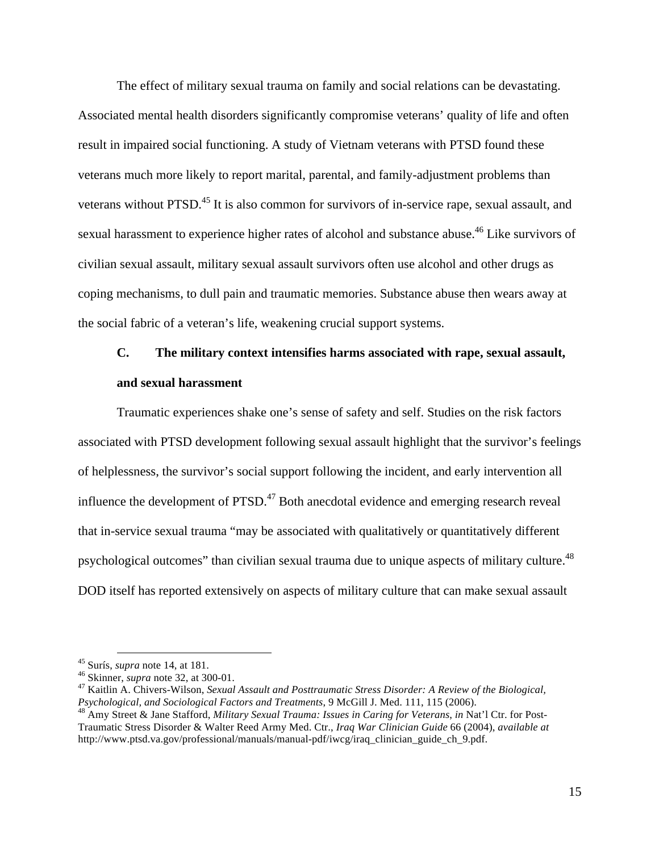The effect of military sexual trauma on family and social relations can be devastating. Associated mental health disorders significantly compromise veterans' quality of life and often result in impaired social functioning. A study of Vietnam veterans with PTSD found these veterans much more likely to report marital, parental, and family-adjustment problems than veterans without PTSD.<sup>45</sup> It is also common for survivors of in-service rape, sexual assault, and sexual harassment to experience higher rates of alcohol and substance abuse.<sup>46</sup> Like survivors of civilian sexual assault, military sexual assault survivors often use alcohol and other drugs as coping mechanisms, to dull pain and traumatic memories. Substance abuse then wears away at the social fabric of a veteran's life, weakening crucial support systems.

## **C. The military context intensifies harms associated with rape, sexual assault, and sexual harassment**

Traumatic experiences shake one's sense of safety and self. Studies on the risk factors associated with PTSD development following sexual assault highlight that the survivor's feelings of helplessness, the survivor's social support following the incident, and early intervention all influence the development of  $PTSD<sup>47</sup>$  Both anecdotal evidence and emerging research reveal that in-service sexual trauma "may be associated with qualitatively or quantitatively different psychological outcomes" than civilian sexual trauma due to unique aspects of military culture.<sup>48</sup> DOD itself has reported extensively on aspects of military culture that can make sexual assault

<sup>&</sup>lt;sup>45</sup> Surís, *supra* note 14, at 181.<br><sup>46</sup> Skinner, *supra* note 32, at 300-01.<br><sup>47</sup> Kaitlin A. Chivers-Wilson, *Sexual Assault and Posttraumatic Stress Disorder: A Review of the Biological*, *Psychological, and Sociological Factors and Treatments, 9 McGill J. Med. 111, 115 (2006).*  $^{48}$  Amy Street & Jane Stafford, *Military Sexual Trauma: Issues in Caring for Veterans, in Nat'l Ctr. for Post-*

Traumatic Stress Disorder & Walter Reed Army Med. Ctr., *Iraq War Clinician Guide* 66 (2004), *available at*  http://www.ptsd.va.gov/professional/manuals/manual-pdf/iwcg/iraq\_clinician\_guide\_ch\_9.pdf.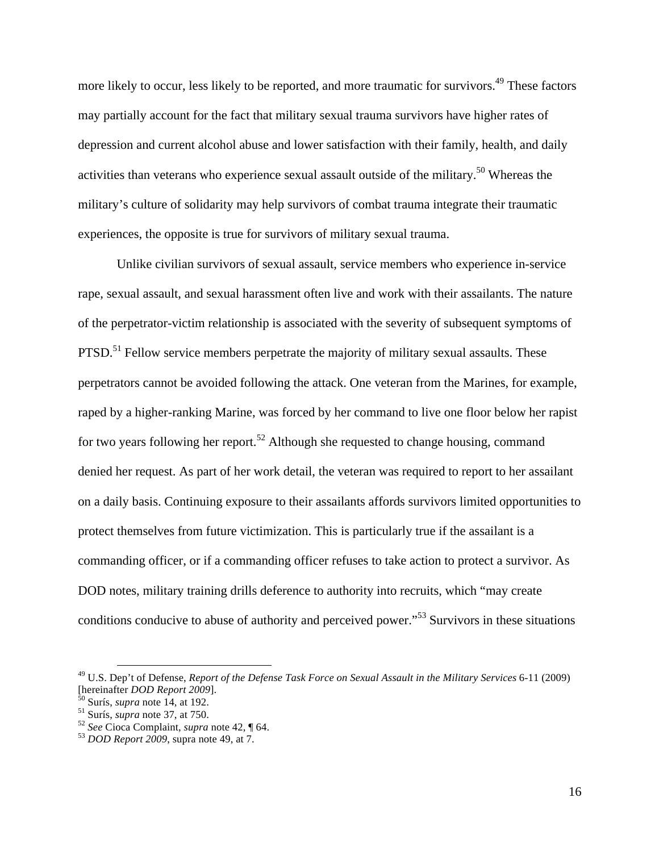more likely to occur, less likely to be reported, and more traumatic for survivors.<sup>49</sup> These factors may partially account for the fact that military sexual trauma survivors have higher rates of depression and current alcohol abuse and lower satisfaction with their family, health, and daily activities than veterans who experience sexual assault outside of the military.<sup>50</sup> Whereas the military's culture of solidarity may help survivors of combat trauma integrate their traumatic experiences, the opposite is true for survivors of military sexual trauma.

Unlike civilian survivors of sexual assault, service members who experience in-service rape, sexual assault, and sexual harassment often live and work with their assailants. The nature of the perpetrator-victim relationship is associated with the severity of subsequent symptoms of PTSD.<sup>51</sup> Fellow service members perpetrate the majority of military sexual assaults. These perpetrators cannot be avoided following the attack. One veteran from the Marines, for example, raped by a higher-ranking Marine, was forced by her command to live one floor below her rapist for two years following her report.<sup>52</sup> Although she requested to change housing, command denied her request. As part of her work detail, the veteran was required to report to her assailant on a daily basis. Continuing exposure to their assailants affords survivors limited opportunities to protect themselves from future victimization. This is particularly true if the assailant is a commanding officer, or if a commanding officer refuses to take action to protect a survivor. As DOD notes, military training drills deference to authority into recruits, which "may create conditions conducive to abuse of authority and perceived power."<sup>53</sup> Survivors in these situations

 <sup>49</sup> U.S. Dep't of Defense, *Report of the Defense Task Force on Sexual Assault in the Military Services* 6-11 (2009) [hereinafter *DOD Report 2009*]. <sup>50</sup> Surís, *supra* note 14, at 192. <sup>51</sup> Surís, *supra* note 37, at 750. <sup>52</sup> *See* Cioca Complaint, *supra* note 42, ¶ 64. <sup>53</sup> *DOD Report 2009*, supra note 49, at 7.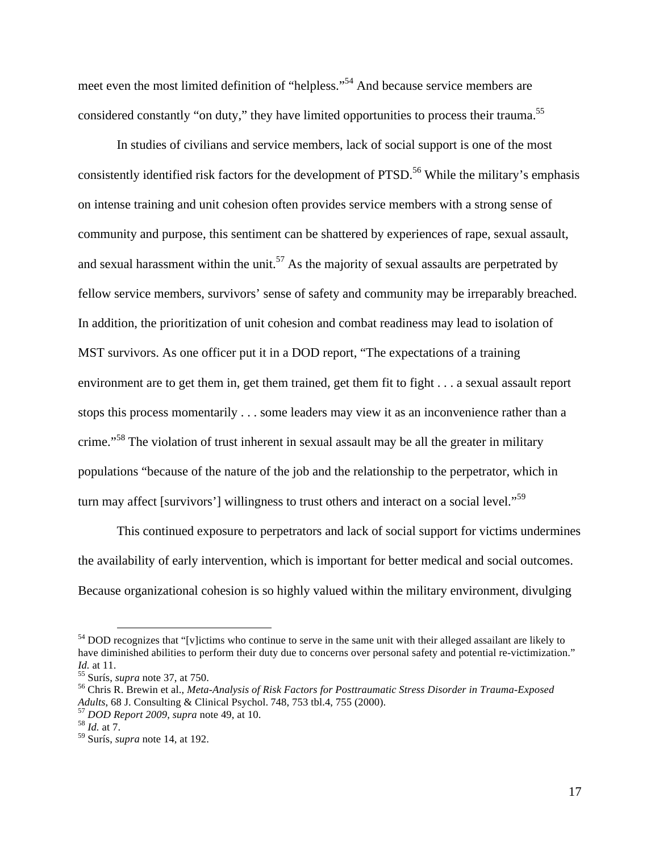meet even the most limited definition of "helpless."54 And because service members are considered constantly "on duty," they have limited opportunities to process their trauma.<sup>55</sup>

In studies of civilians and service members, lack of social support is one of the most consistently identified risk factors for the development of PTSD.<sup>56</sup> While the military's emphasis on intense training and unit cohesion often provides service members with a strong sense of community and purpose, this sentiment can be shattered by experiences of rape, sexual assault, and sexual harassment within the unit.<sup>57</sup> As the majority of sexual assaults are perpetrated by fellow service members, survivors' sense of safety and community may be irreparably breached. In addition, the prioritization of unit cohesion and combat readiness may lead to isolation of MST survivors. As one officer put it in a DOD report, "The expectations of a training environment are to get them in, get them trained, get them fit to fight . . . a sexual assault report stops this process momentarily . . . some leaders may view it as an inconvenience rather than a crime."<sup>58</sup> The violation of trust inherent in sexual assault may be all the greater in military populations "because of the nature of the job and the relationship to the perpetrator, which in turn may affect [survivors'] willingness to trust others and interact on a social level."<sup>59</sup>

This continued exposure to perpetrators and lack of social support for victims undermines the availability of early intervention, which is important for better medical and social outcomes. Because organizational cohesion is so highly valued within the military environment, divulging

<sup>&</sup>lt;sup>54</sup> DOD recognizes that "[v]ictims who continue to serve in the same unit with their alleged assailant are likely to have diminished abilities to perform their duty due to concerns over personal safety and potential re-victimization." *Id.* at 11.<br><sup>55</sup> Surís, *supra* note 37, at 750.<br><sup>56</sup> Chris R. Brewin et al., *Meta-Analysis of Risk Factors for Posttraumatic Stress Disorder in Trauma-Exposed* 

*Adults*, 68 J. Consulting & Clinical Psychol. 748, 753 tbl.4, 755 (2000). <sup>57</sup> *DOD Report 2009*, *supra* note 49, at 10. <sup>58</sup> *Id.* at 7.

<sup>59</sup> Surís, *supra* note 14, at 192.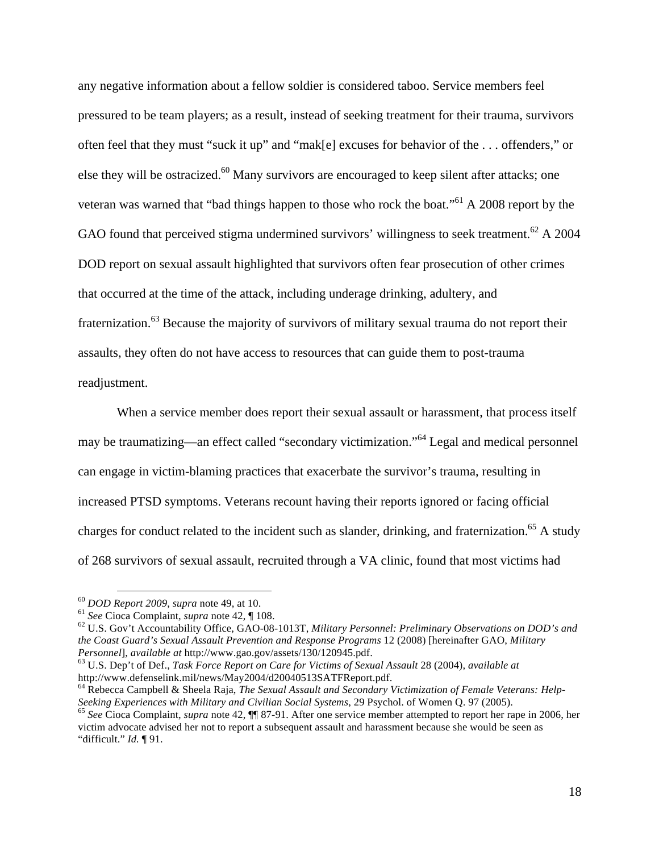any negative information about a fellow soldier is considered taboo. Service members feel pressured to be team players; as a result, instead of seeking treatment for their trauma, survivors often feel that they must "suck it up" and "mak[e] excuses for behavior of the . . . offenders," or else they will be ostracized.<sup>60</sup> Many survivors are encouraged to keep silent after attacks; one veteran was warned that "bad things happen to those who rock the boat."61 A 2008 report by the GAO found that perceived stigma undermined survivors' willingness to seek treatment.<sup>62</sup> A 2004 DOD report on sexual assault highlighted that survivors often fear prosecution of other crimes that occurred at the time of the attack, including underage drinking, adultery, and fraternization.<sup>63</sup> Because the majority of survivors of military sexual trauma do not report their assaults, they often do not have access to resources that can guide them to post-trauma readjustment.

When a service member does report their sexual assault or harassment, that process itself may be traumatizing—an effect called "secondary victimization."<sup>64</sup> Legal and medical personnel can engage in victim-blaming practices that exacerbate the survivor's trauma, resulting in increased PTSD symptoms. Veterans recount having their reports ignored or facing official charges for conduct related to the incident such as slander, drinking, and fraternization.<sup>65</sup> A study of 268 survivors of sexual assault, recruited through a VA clinic, found that most victims had

"difficult." *Id.* ¶ 91.

<sup>&</sup>lt;sup>60</sup> DOD Report 2009, supra note 49, at 10.<br><sup>61</sup> See Cioca Complaint, supra note 42,  $\P$  108.<br><sup>62</sup> U.S. Gov't Accountability Office, GAO-08-1013T, Military Personnel: Preliminary Observations on DOD's and *the Coast Guard's Sexual Assault Prevention and Response Programs* 12 (2008) [hereinafter GAO, *Military Personnel*], *available at* http://www.gao.gov/assets/130/120945.pdf. <sup>63</sup> U.S. Dep't of Def., *Task Force Report on Care for Victims of Sexual Assault* 28 (2004), *available at*

http://www.defenselink.mil/news/May2004/d20040513SATFReport.pdf.

<sup>64</sup> Rebecca Campbell & Sheela Raja, *The Sexual Assault and Secondary Victimization of Female Veterans: Help-*Seeking Experiences with Military and Civilian Social Systems, 29 Psychol. of Women Q. 97 (2005).<br><sup>65</sup> See Cioca Complaint, *supra* note 42, ¶¶ 87-91. After one service member attempted to report her rape in 2006, her victim advocate advised her not to report a subsequent assault and harassment because she would be seen as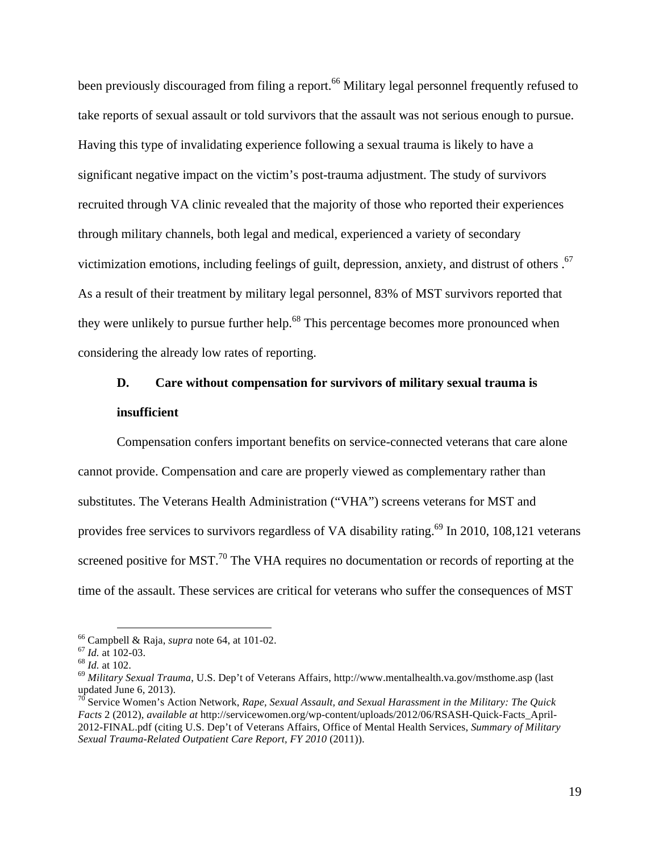been previously discouraged from filing a report.<sup>66</sup> Military legal personnel frequently refused to take reports of sexual assault or told survivors that the assault was not serious enough to pursue. Having this type of invalidating experience following a sexual trauma is likely to have a significant negative impact on the victim's post-trauma adjustment. The study of survivors recruited through VA clinic revealed that the majority of those who reported their experiences through military channels, both legal and medical, experienced a variety of secondary victimization emotions, including feelings of guilt, depression, anxiety, and distrust of others.<sup>67</sup> As a result of their treatment by military legal personnel, 83% of MST survivors reported that they were unlikely to pursue further help.<sup>68</sup> This percentage becomes more pronounced when considering the already low rates of reporting.

### **D. Care without compensation for survivors of military sexual trauma is insufficient**

Compensation confers important benefits on service-connected veterans that care alone cannot provide. Compensation and care are properly viewed as complementary rather than substitutes. The Veterans Health Administration ("VHA") screens veterans for MST and provides free services to survivors regardless of VA disability rating.<sup>69</sup> In 2010, 108,121 veterans screened positive for MST.<sup>70</sup> The VHA requires no documentation or records of reporting at the time of the assault. These services are critical for veterans who suffer the consequences of MST

<sup>&</sup>lt;sup>66</sup> Campbell & Raja, *supra* note 64, at 101-02.<br><sup>67</sup> *Id.* at 102-03.<br><sup>68</sup> *Id.* at 102.<br><sup>69</sup> *Military Sexual Trauma*, U.S. Dep't of Veterans Affairs, http://www.mentalhealth.va.gov/msthome.asp (last <sup>69</sup> updated June 6, 2013).

<sup>70</sup> Service Women's Action Network, *Rape, Sexual Assault, and Sexual Harassment in the Military: The Quick Facts* 2 (2012), *available at* http://servicewomen.org/wp-content/uploads/2012/06/RSASH-Quick-Facts\_April-2012-FINAL.pdf (citing U.S. Dep't of Veterans Affairs, Office of Mental Health Services, *Summary of Military Sexual Trauma-Related Outpatient Care Report, FY 2010* (2011)).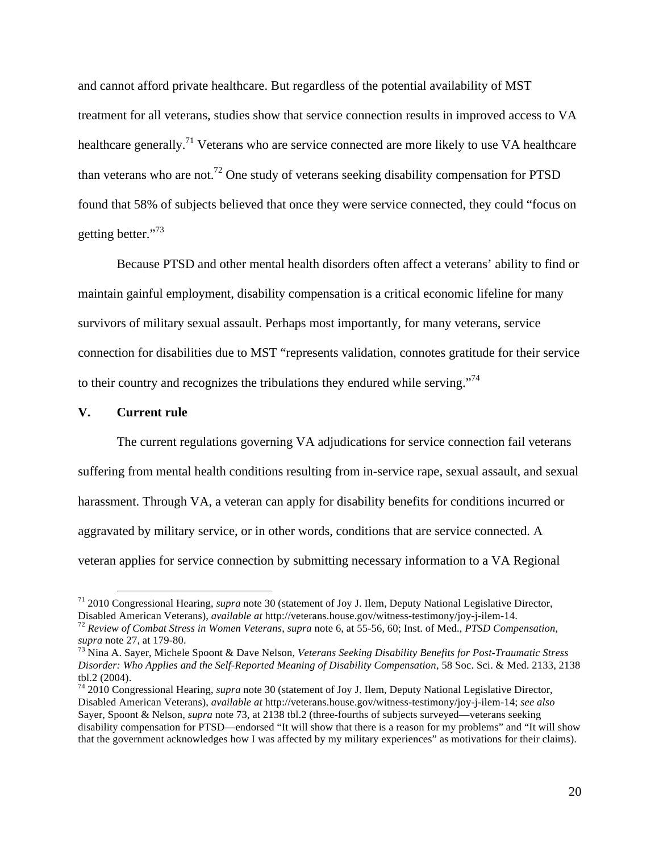and cannot afford private healthcare. But regardless of the potential availability of MST treatment for all veterans, studies show that service connection results in improved access to VA healthcare generally.<sup>71</sup> Veterans who are service connected are more likely to use VA healthcare than veterans who are not.<sup>72</sup> One study of veterans seeking disability compensation for PTSD found that 58% of subjects believed that once they were service connected, they could "focus on getting better."<sup>73</sup>

Because PTSD and other mental health disorders often affect a veterans' ability to find or maintain gainful employment, disability compensation is a critical economic lifeline for many survivors of military sexual assault. Perhaps most importantly, for many veterans, service connection for disabilities due to MST "represents validation, connotes gratitude for their service to their country and recognizes the tribulations they endured while serving."<sup>74</sup>

#### **V. Current rule**

The current regulations governing VA adjudications for service connection fail veterans suffering from mental health conditions resulting from in-service rape, sexual assault, and sexual harassment. Through VA, a veteran can apply for disability benefits for conditions incurred or aggravated by military service, or in other words, conditions that are service connected. A veteran applies for service connection by submitting necessary information to a VA Regional

 <sup>71</sup> 2010 Congressional Hearing, *supra* note 30 (statement of Joy J. Ilem, Deputy National Legislative Director,

Disabled American Veterans), *available at* http://veterans.house.gov/witness-testimony/joy-j-ilem-14.<br><sup>72</sup> Review of Combat Stress in Women Veterans, supra note 6, at 55-56, 60; Inst. of Med., *PTSD Compensation*, *supra* 

<sup>&</sup>lt;sup>73</sup> Nina A. Sayer, Michele Spoont & Dave Nelson, *Veterans Seeking Disability Benefits for Post-Traumatic Stress Disorder: Who Applies and the Self-Reported Meaning of Disability Compensation*, 58 Soc. Sci. & Med. 2133, 2138 tbl.2 (2004).

<sup>74</sup> 2010 Congressional Hearing, *supra* note 30 (statement of Joy J. Ilem, Deputy National Legislative Director, Disabled American Veterans), *available at* http://veterans.house.gov/witness-testimony/joy-j-ilem-14; *see also*  Sayer, Spoont & Nelson, *supra* note 73, at 2138 tbl.2 (three-fourths of subjects surveyed—veterans seeking disability compensation for PTSD—endorsed "It will show that there is a reason for my problems" and "It will show that the government acknowledges how I was affected by my military experiences" as motivations for their claims).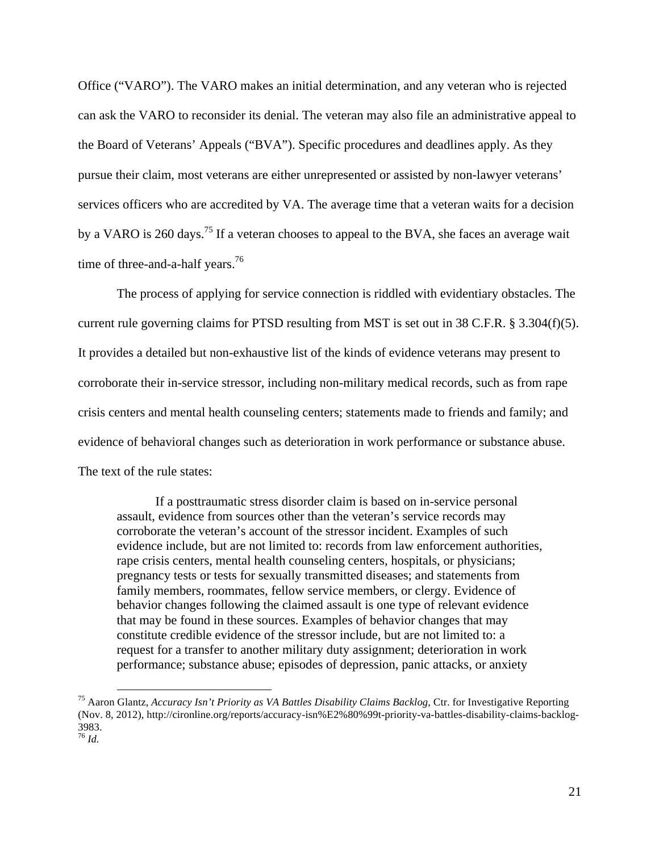Office ("VARO"). The VARO makes an initial determination, and any veteran who is rejected can ask the VARO to reconsider its denial. The veteran may also file an administrative appeal to the Board of Veterans' Appeals ("BVA"). Specific procedures and deadlines apply. As they pursue their claim, most veterans are either unrepresented or assisted by non-lawyer veterans' services officers who are accredited by VA. The average time that a veteran waits for a decision by a VARO is 260 days.<sup>75</sup> If a veteran chooses to appeal to the BVA, she faces an average wait time of three-and-a-half years.<sup>76</sup>

The process of applying for service connection is riddled with evidentiary obstacles. The current rule governing claims for PTSD resulting from MST is set out in 38 C.F.R. § 3.304(f)(5). It provides a detailed but non-exhaustive list of the kinds of evidence veterans may present to corroborate their in-service stressor, including non-military medical records, such as from rape crisis centers and mental health counseling centers; statements made to friends and family; and evidence of behavioral changes such as deterioration in work performance or substance abuse. The text of the rule states:

If a posttraumatic stress disorder claim is based on in-service personal assault, evidence from sources other than the veteran's service records may corroborate the veteran's account of the stressor incident. Examples of such evidence include, but are not limited to: records from law enforcement authorities, rape crisis centers, mental health counseling centers, hospitals, or physicians; pregnancy tests or tests for sexually transmitted diseases; and statements from family members, roommates, fellow service members, or clergy. Evidence of behavior changes following the claimed assault is one type of relevant evidence that may be found in these sources. Examples of behavior changes that may constitute credible evidence of the stressor include, but are not limited to: a request for a transfer to another military duty assignment; deterioration in work performance; substance abuse; episodes of depression, panic attacks, or anxiety

 <sup>75</sup> Aaron Glantz, *Accuracy Isn't Priority as VA Battles Disability Claims Backlog*, Ctr. for Investigative Reporting (Nov. 8, 2012), http://cironline.org/reports/accuracy-isn%E2%80%99t-priority-va-battles-disability-claims-backlog-3983. <sup>76</sup> *Id.*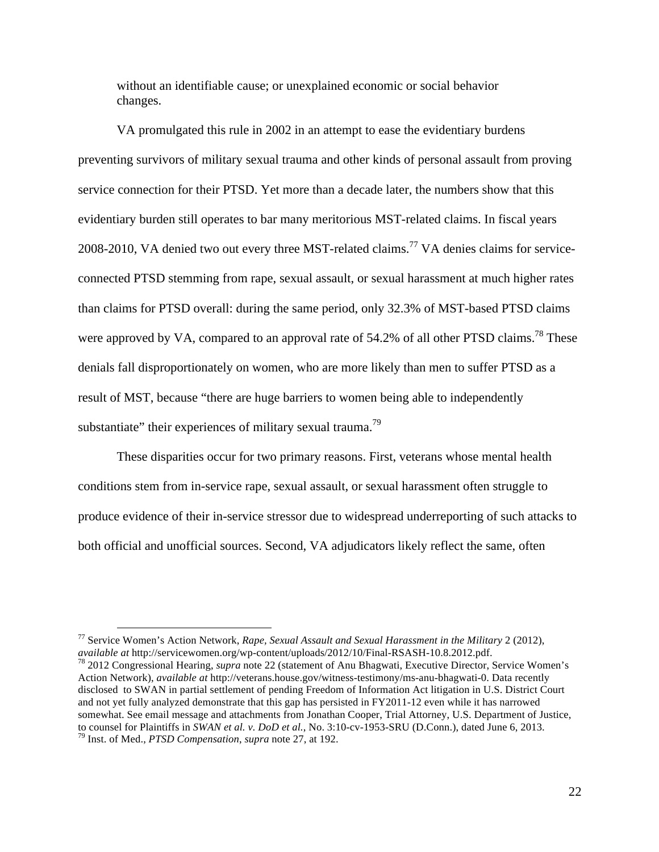without an identifiable cause; or unexplained economic or social behavior changes.

VA promulgated this rule in 2002 in an attempt to ease the evidentiary burdens preventing survivors of military sexual trauma and other kinds of personal assault from proving service connection for their PTSD. Yet more than a decade later, the numbers show that this evidentiary burden still operates to bar many meritorious MST-related claims. In fiscal years 2008-2010, VA denied two out every three MST-related claims.<sup>77</sup> VA denies claims for serviceconnected PTSD stemming from rape, sexual assault, or sexual harassment at much higher rates than claims for PTSD overall: during the same period, only 32.3% of MST-based PTSD claims were approved by VA, compared to an approval rate of  $54.2\%$  of all other PTSD claims.<sup>78</sup> These denials fall disproportionately on women, who are more likely than men to suffer PTSD as a result of MST, because "there are huge barriers to women being able to independently substantiate" their experiences of military sexual trauma.<sup>79</sup>

These disparities occur for two primary reasons. First, veterans whose mental health conditions stem from in-service rape, sexual assault, or sexual harassment often struggle to produce evidence of their in-service stressor due to widespread underreporting of such attacks to both official and unofficial sources. Second, VA adjudicators likely reflect the same, often

 <sup>77</sup> Service Women's Action Network, *Rape, Sexual Assault and Sexual Harassment in the Military* 2 (2012), *available at* http://servicewomen.org/wp-content/uploads/2012/10/Final-RSASH-10.8.2012.pdf. <sup>78</sup> 2012 Congressional Hearing, *supra* note 22 (statement of Anu Bhagwati, Executive Director, Service Women's

Action Network), *available at* http://veterans.house.gov/witness-testimony/ms-anu-bhagwati-0. Data recently disclosed to SWAN in partial settlement of pending Freedom of Information Act litigation in U.S. District Court and not yet fully analyzed demonstrate that this gap has persisted in FY2011-12 even while it has narrowed somewhat. See email message and attachments from Jonathan Cooper, Trial Attorney, U.S. Department of Justice, to counsel for Plaintiffs in *SWAN et al. v. DoD et al.*, No. 3:10-cv-1953-SRU (D.Conn.), dated June 6, 2013. <sup>79</sup> Inst. of Med., *PTSD Compensation*, *supra* note 27, at 192.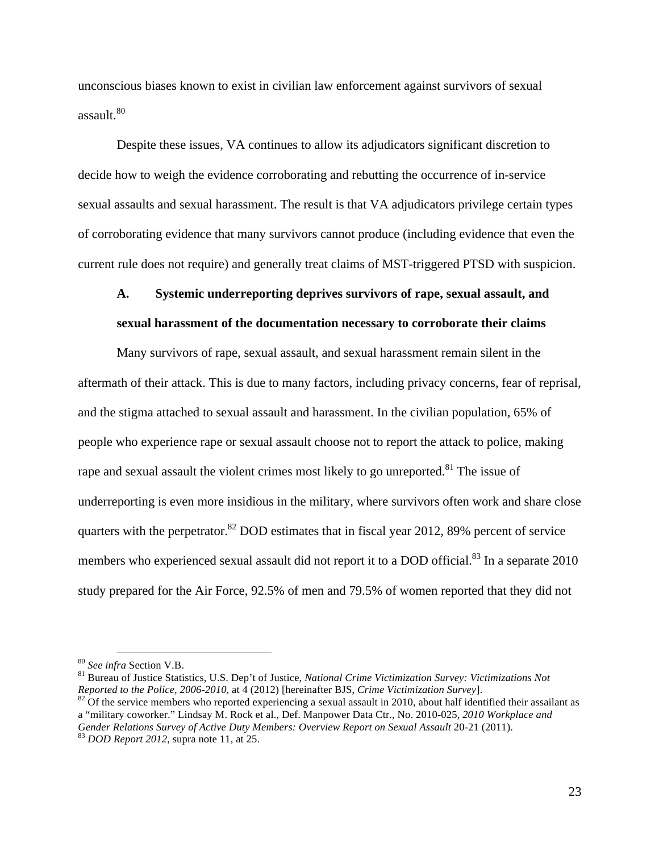unconscious biases known to exist in civilian law enforcement against survivors of sexual  $assault.80$ 

Despite these issues, VA continues to allow its adjudicators significant discretion to decide how to weigh the evidence corroborating and rebutting the occurrence of in-service sexual assaults and sexual harassment. The result is that VA adjudicators privilege certain types of corroborating evidence that many survivors cannot produce (including evidence that even the current rule does not require) and generally treat claims of MST-triggered PTSD with suspicion.

### **A. Systemic underreporting deprives survivors of rape, sexual assault, and sexual harassment of the documentation necessary to corroborate their claims**

Many survivors of rape, sexual assault, and sexual harassment remain silent in the aftermath of their attack. This is due to many factors, including privacy concerns, fear of reprisal, and the stigma attached to sexual assault and harassment. In the civilian population, 65% of people who experience rape or sexual assault choose not to report the attack to police, making rape and sexual assault the violent crimes most likely to go unreported.<sup>81</sup> The issue of underreporting is even more insidious in the military, where survivors often work and share close quarters with the perpetrator. ${}^{82}$  DOD estimates that in fiscal year 2012, 89% percent of service members who experienced sexual assault did not report it to a DOD official.<sup>83</sup> In a separate 2010 study prepared for the Air Force, 92.5% of men and 79.5% of women reported that they did not

<sup>&</sup>lt;sup>80</sup> *See infra Section V.B.*<br><sup>81</sup> Bureau of Justice Statistics, U.S. Dep't of Justice, *National Crime Victimization Survey: Victimizations Not* Reported to the Police, 2006-2010, at  $\frac{1}{4}$  (2012) [hereinafter BJS, *Crime Victimization Survey*].<br><sup>82</sup> Of the service members who reported experiencing a sexual assault in 2010, about half identified their assailant

a "military coworker." Lindsay M. Rock et al., Def. Manpower Data Ctr., No. 2010-025, *2010 Workplace and Gender Relations Survey of Active Duty Members: Overview Report on Sexual Assault* 20-21 (2011).<br><sup>83</sup> *DOD Report 2012*, supra note 11, at 25.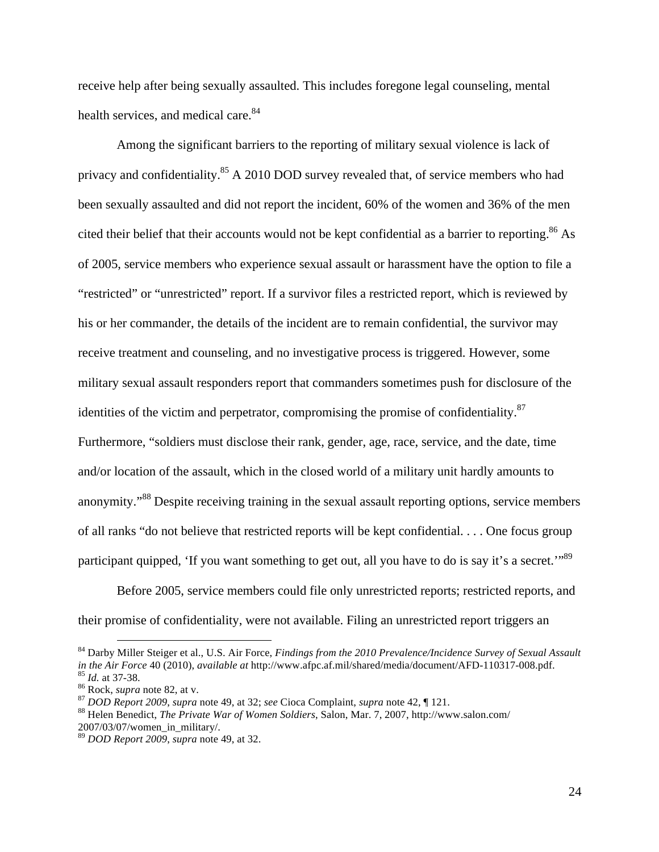receive help after being sexually assaulted. This includes foregone legal counseling, mental health services, and medical care.<sup>84</sup>

Among the significant barriers to the reporting of military sexual violence is lack of privacy and confidentiality.85 A 2010 DOD survey revealed that, of service members who had been sexually assaulted and did not report the incident, 60% of the women and 36% of the men cited their belief that their accounts would not be kept confidential as a barrier to reporting.<sup>86</sup> As of 2005, service members who experience sexual assault or harassment have the option to file a "restricted" or "unrestricted" report. If a survivor files a restricted report, which is reviewed by his or her commander, the details of the incident are to remain confidential, the survivor may receive treatment and counseling, and no investigative process is triggered. However, some military sexual assault responders report that commanders sometimes push for disclosure of the identities of the victim and perpetrator, compromising the promise of confidentiality.<sup>87</sup> Furthermore, "soldiers must disclose their rank, gender, age, race, service, and the date, time and/or location of the assault, which in the closed world of a military unit hardly amounts to anonymity."<sup>88</sup> Despite receiving training in the sexual assault reporting options, service members of all ranks "do not believe that restricted reports will be kept confidential. . . . One focus group participant quipped, 'If you want something to get out, all you have to do is say it's a secret.'"<sup>89</sup>

Before 2005, service members could file only unrestricted reports; restricted reports, and their promise of confidentiality, were not available. Filing an unrestricted report triggers an

 <sup>84</sup> Darby Miller Steiger et al., U.S. Air Force, *Findings from the 2010 Prevalence/Incidence Survey of Sexual Assault*  in the Air Force 40 (2010), available at http://www.afpc.af.mil/shared/media/document/AFD-110317-008.pdf.<br><sup>85</sup> Id. at 37-38.<br><sup>86</sup> Rock, *supra* note 82, at v.<br><sup>87</sup> DOD Report 2009, supra note 49, at 32; see Cioca Complaint

<sup>2007/03/07/</sup>women\_in\_military/.

<sup>89</sup> *DOD Report 2009*, *supra* note 49, at 32.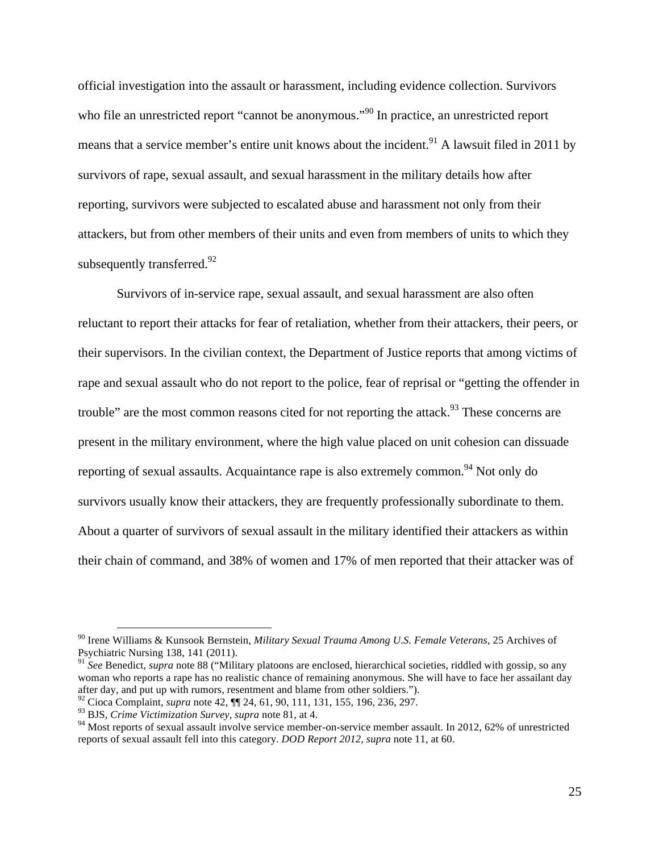official investigation into the assault or harassment, including evidence collection. Survivors who file an unrestricted report "cannot be anonymous."<sup>90</sup> In practice, an unrestricted report means that a service member's entire unit knows about the incident.<sup>91</sup> A lawsuit filed in 2011 by survivors of rape, sexual assault, and sexual harassment in the military details how after reporting, survivors were subjected to escalated abuse and harassment not only from their attackers, but from other members of their units and even from members of units to which they subsequently transferred.<sup>92</sup>

Survivors of in-service rape, sexual assault, and sexual harassment are also often reluctant to report their attacks for fear of retaliation, whether from their attackers, their peers, or their supervisors. In the civilian context, the Department of Justice reports that among victims of rape and sexual assault who do not report to the police, fear of reprisal or "getting the offender in trouble" are the most common reasons cited for not reporting the attack.<sup>93</sup> These concerns are present in the military environment, where the high value placed on unit cohesion can dissuade reporting of sexual assaults. Acquaintance rape is also extremely common.<sup>94</sup> Not only do survivors usually know their attackers, they are frequently professionally subordinate to them. About a quarter of survivors of sexual assault in the military identified their attackers as within their chain of command, and 38% of women and 17% of men reported that their attacker was of

 <sup>90</sup> Irene Williams & Kunsook Bernstein, *Military Sexual Trauma Among U.S. Female Veterans*, 25 Archives of Psychiatric Nursing 138, 141 (2011).

<sup>&</sup>lt;sup>91</sup> See Benedict, *supra* note 88 ("Military platoons are enclosed, hierarchical societies, riddled with gossip, so any woman who reports a rape has no realistic chance of remaining anonymous. She will have to face her assailant day after day, and put up with rumors, resentment and blame from other soldiers.").

<sup>92</sup> Cioca Complaint, *supra* note 42, ¶¶ 24, 61, 90, 111, 131, 155, 196, 236, 297.

<sup>93</sup> BJS, *Crime Victimization Survey*, *supra* note 81, at 4.

<sup>&</sup>lt;sup>94</sup> Most reports of sexual assault involve service member-on-service member assault. In 2012, 62% of unrestricted reports of sexual assault fell into this category. *DOD Report 2012*, *supra* note 11, at 60.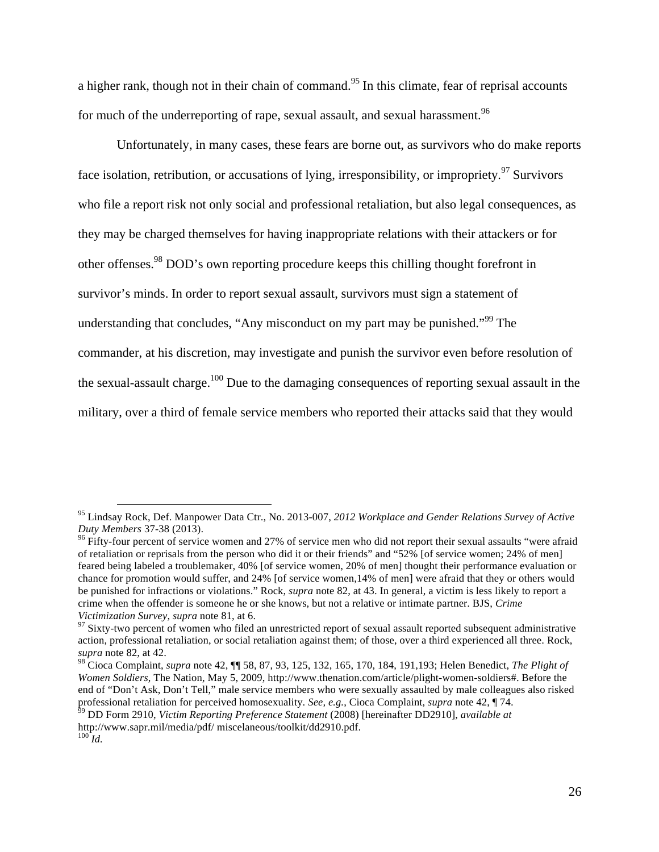a higher rank, though not in their chain of command.<sup>95</sup> In this climate, fear of reprisal accounts for much of the underreporting of rape, sexual assault, and sexual harassment.<sup>96</sup>

Unfortunately, in many cases, these fears are borne out, as survivors who do make reports face isolation, retribution, or accusations of lying, irresponsibility, or impropriety. <sup>97</sup> Survivors who file a report risk not only social and professional retaliation, but also legal consequences, as they may be charged themselves for having inappropriate relations with their attackers or for other offenses.<sup>98</sup> DOD's own reporting procedure keeps this chilling thought forefront in survivor's minds. In order to report sexual assault, survivors must sign a statement of understanding that concludes, "Any misconduct on my part may be punished."<sup>99</sup> The commander, at his discretion, may investigate and punish the survivor even before resolution of the sexual-assault charge.<sup>100</sup> Due to the damaging consequences of reporting sexual assault in the military, over a third of female service members who reported their attacks said that they would

 <sup>95</sup> Lindsay Rock, Def. Manpower Data Ctr., No. 2013-007, *2012 Workplace and Gender Relations Survey of Active* 

<sup>&</sup>lt;sup>96</sup> Fifty-four percent of service women and 27% of service men who did not report their sexual assaults "were afraid of retaliation or reprisals from the person who did it or their friends" and "52% [of service women; 24% of men] feared being labeled a troublemaker, 40% [of service women, 20% of men] thought their performance evaluation or chance for promotion would suffer, and 24% [of service women,14% of men] were afraid that they or others would be punished for infractions or violations." Rock, *supra* note 82, at 43. In general, a victim is less likely to report a crime when the offender is someone he or she knows, but not a relative or intimate partner. BJS, *Crime Victimization Survey, supra* note 81, at 6.<br><sup>97</sup> Sixty-two percent of women who filed an unrestricted report of sexual assault reported subsequent administrative

action, professional retaliation, or social retaliation against them; of those, over a third experienced all three. Rock, *supra* note 82, at 42.

<sup>98</sup> Cioca Complaint, *supra* note 42, ¶¶ 58, 87, 93, 125, 132, 165, 170, 184, 191,193; Helen Benedict, *The Plight of Women Soldiers*, The Nation, May 5, 2009, http://www.thenation.com/article/plight-women-soldiers#. Before the end of "Don't Ask, Don't Tell," male service members who were sexually assaulted by male colleagues also risked professional retaliation for perceived homosexuality. See, e.g., Cioca Complaint, supra note 42, 174.<br><sup>99</sup> DD Form 2910, Victim Reporting Preference Statement (2008) [hereinafter DD2910], available at

http://www.sapr.mil/media/pdf/ miscelaneous/toolkit/dd2910.pdf.  $^{100}$ *Id.*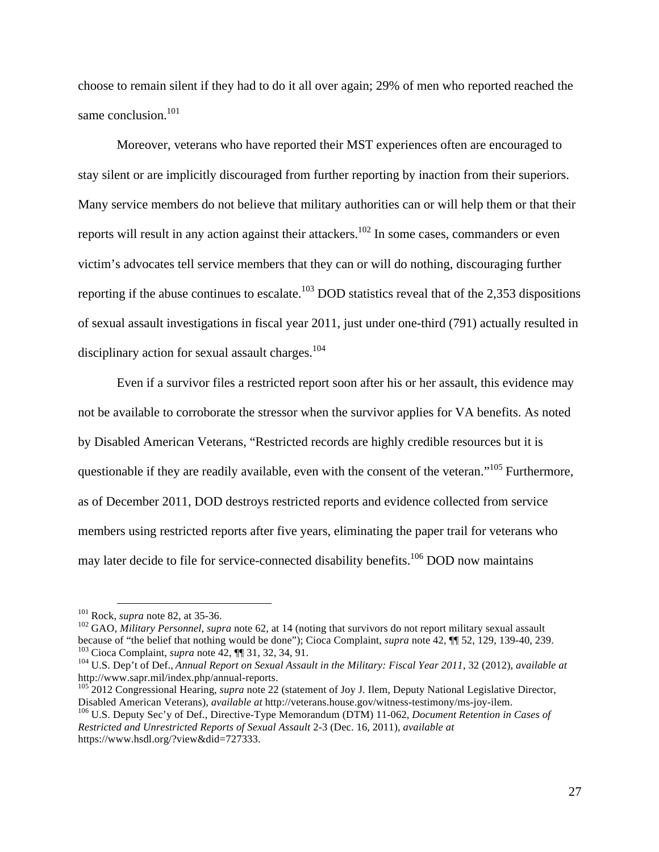choose to remain silent if they had to do it all over again; 29% of men who reported reached the same conclusion.<sup>101</sup>

Moreover, veterans who have reported their MST experiences often are encouraged to stay silent or are implicitly discouraged from further reporting by inaction from their superiors. Many service members do not believe that military authorities can or will help them or that their reports will result in any action against their attackers.<sup>102</sup> In some cases, commanders or even victim's advocates tell service members that they can or will do nothing, discouraging further reporting if the abuse continues to escalate.<sup>103</sup> DOD statistics reveal that of the 2,353 dispositions of sexual assault investigations in fiscal year 2011, just under one-third (791) actually resulted in disciplinary action for sexual assault charges.<sup>104</sup>

Even if a survivor files a restricted report soon after his or her assault, this evidence may not be available to corroborate the stressor when the survivor applies for VA benefits. As noted by Disabled American Veterans, "Restricted records are highly credible resources but it is questionable if they are readily available, even with the consent of the veteran."<sup>105</sup> Furthermore, as of December 2011, DOD destroys restricted reports and evidence collected from service members using restricted reports after five years, eliminating the paper trail for veterans who may later decide to file for service-connected disability benefits.<sup>106</sup> DOD now maintains

<sup>105</sup> 2012 Congressional Hearing, *supra* note 22 (statement of Joy J. Ilem, Deputy National Legislative Director, Disabled American Veterans), *available at* http://veterans.house.gov/witness-testimony/ms-joy-ilem. 106 U.S. Deputy Sec'y of Def., Directive-Type Memorandum (DTM) 11-062, *Document Retention in Cases of Restricted and Unrestricted Reports of Sexual Assault* 2-3 (Dec. 16, 2011), *available at*  https://www.hsdl.org/?view&did=727333.

<sup>&</sup>lt;sup>101</sup> Rock, *supra* note 82, at 35-36.<br><sup>102</sup> GAO, *Military Personnel*, *supra* note 62, at 14 (noting that survivors do not report military sexual assault because of "the belief that nothing would be done"); Cioca Complai

<sup>&</sup>lt;sup>103</sup> Cioca Complaint, *supra* note 42,  $\P$  31, 32, 34, 91.<br><sup>104</sup> U.S. Dep't of Def., *Annual Report on Sexual Assault in the Military: Fiscal Year 2011*, 32 (2012), *available at*<br>http://www.sapr.mil/index.php/annual-rep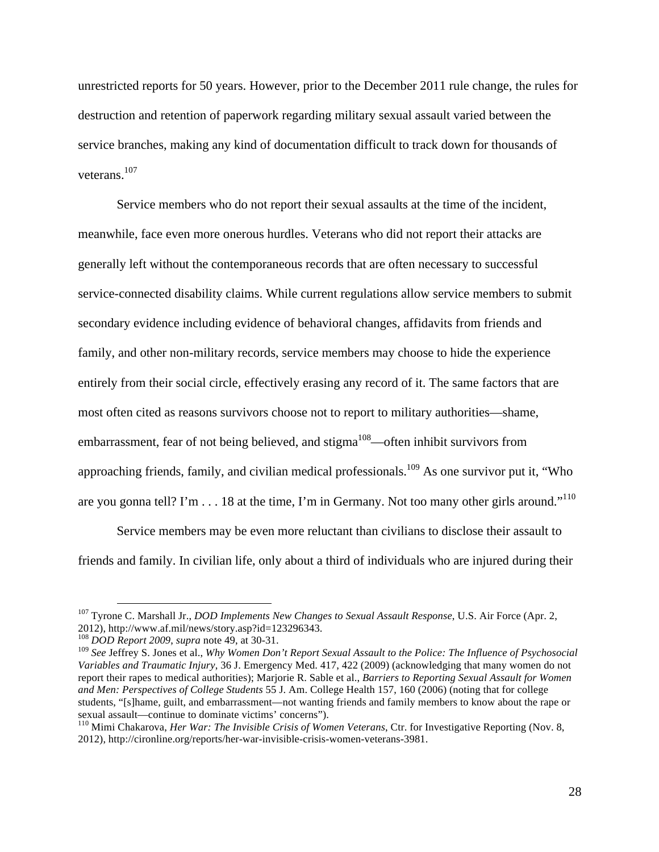unrestricted reports for 50 years. However, prior to the December 2011 rule change, the rules for destruction and retention of paperwork regarding military sexual assault varied between the service branches, making any kind of documentation difficult to track down for thousands of veterans.107

Service members who do not report their sexual assaults at the time of the incident, meanwhile, face even more onerous hurdles. Veterans who did not report their attacks are generally left without the contemporaneous records that are often necessary to successful service-connected disability claims. While current regulations allow service members to submit secondary evidence including evidence of behavioral changes, affidavits from friends and family, and other non-military records, service members may choose to hide the experience entirely from their social circle, effectively erasing any record of it. The same factors that are most often cited as reasons survivors choose not to report to military authorities—shame, embarrassment, fear of not being believed, and stigma<sup>108</sup>—often inhibit survivors from approaching friends, family, and civilian medical professionals.<sup>109</sup> As one survivor put it, "Who are you gonna tell? I'm  $\dots$  18 at the time, I'm in Germany. Not too many other girls around."<sup>110</sup>

Service members may be even more reluctant than civilians to disclose their assault to friends and family. In civilian life, only about a third of individuals who are injured during their

 <sup>107</sup> Tyrone C. Marshall Jr., *DOD Implements New Changes to Sexual Assault Response*, U.S. Air Force (Apr. 2, 2012), http://www.af.mil/news/story.asp?id=123296343.<br> $^{108}$  DOD Report 2009, supra note 49, at 30-31.

<sup>&</sup>lt;sup>109</sup> See Jeffrey S. Jones et al., *Why Women Don't Report Sexual Assault to the Police: The Influence of Psychosocial Variables and Traumatic Injury*, 36 J. Emergency Med. 417, 422 (2009) (acknowledging that many women do not report their rapes to medical authorities); Marjorie R. Sable et al., *Barriers to Reporting Sexual Assault for Women and Men: Perspectives of College Students* 55 J. Am. College Health 157, 160 (2006) (noting that for college students, "[s]hame, guilt, and embarrassment—not wanting friends and family members to know about the rape or sexual assault—continue to dominate victims' concerns").<br><sup>110</sup> Mimi Chakarova, *Her War: The Invisible Crisis of Women Veterans*, Ctr. for Investigative Reporting (Nov. 8,

<sup>2012),</sup> http://cironline.org/reports/her-war-invisible-crisis-women-veterans-3981.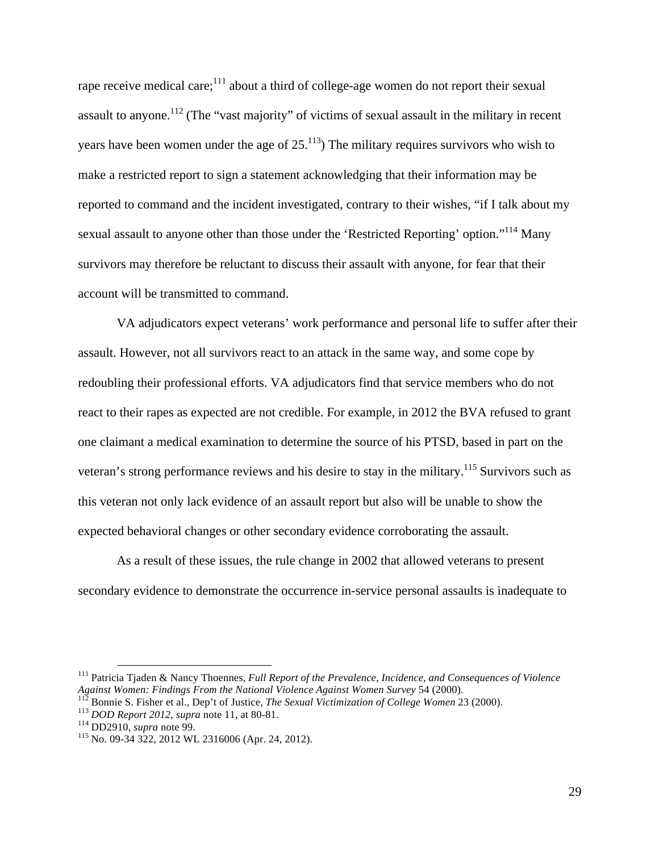rape receive medical care; $111$  about a third of college-age women do not report their sexual assault to anyone.<sup>112</sup> (The "vast majority" of victims of sexual assault in the military in recent years have been women under the age of  $25.^{113}$ . The military requires survivors who wish to make a restricted report to sign a statement acknowledging that their information may be reported to command and the incident investigated, contrary to their wishes, "if I talk about my sexual assault to anyone other than those under the 'Restricted Reporting' option."<sup>114</sup> Many survivors may therefore be reluctant to discuss their assault with anyone, for fear that their account will be transmitted to command.

VA adjudicators expect veterans' work performance and personal life to suffer after their assault. However, not all survivors react to an attack in the same way, and some cope by redoubling their professional efforts. VA adjudicators find that service members who do not react to their rapes as expected are not credible. For example, in 2012 the BVA refused to grant one claimant a medical examination to determine the source of his PTSD, based in part on the veteran's strong performance reviews and his desire to stay in the military.<sup>115</sup> Survivors such as this veteran not only lack evidence of an assault report but also will be unable to show the expected behavioral changes or other secondary evidence corroborating the assault.

As a result of these issues, the rule change in 2002 that allowed veterans to present secondary evidence to demonstrate the occurrence in-service personal assaults is inadequate to

<sup>&</sup>lt;sup>111</sup> Patricia Tjaden & Nancy Thoennes, *Full Report of the Prevalence, Incidence, and Consequences of Violence*<br>Against Women: Findings From the National Violence Against Women Survey 54 (2000).

<sup>&</sup>lt;sup>112</sup> Bonnie S. Fisher et al., Dep't of Justice, *The Sexual Victimization of College Women* 23 (2000).<br><sup>113</sup> DOD Report 2012, *supra* note 11, at 80-81.<br><sup>114</sup> DD2910, *supra* note 99.<br><sup>115</sup> No. 09-34 322, 2012 WL 2316006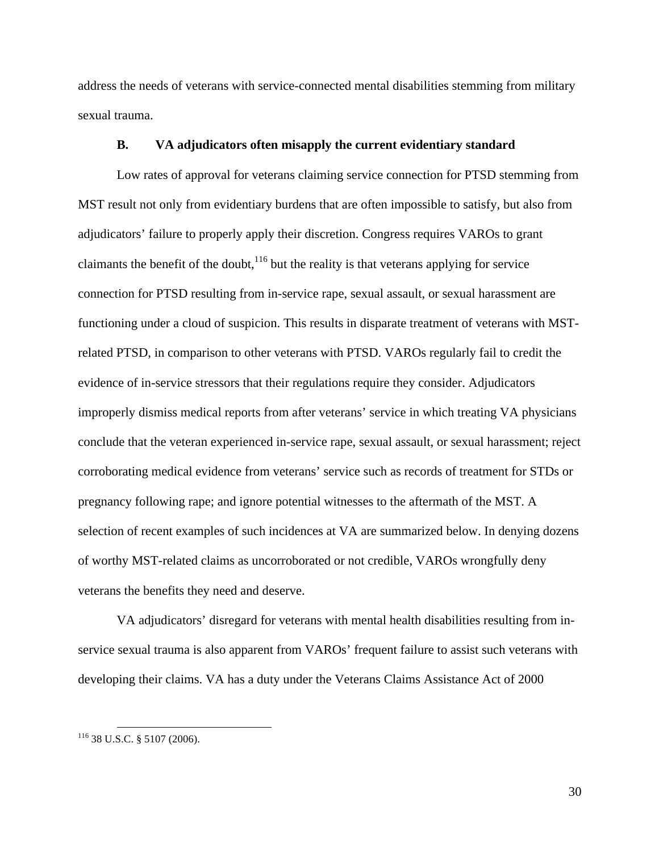address the needs of veterans with service-connected mental disabilities stemming from military sexual trauma.

#### **B. VA adjudicators often misapply the current evidentiary standard**

Low rates of approval for veterans claiming service connection for PTSD stemming from MST result not only from evidentiary burdens that are often impossible to satisfy, but also from adjudicators' failure to properly apply their discretion. Congress requires VAROs to grant claimants the benefit of the doubt,  $116$  but the reality is that veterans applying for service connection for PTSD resulting from in-service rape, sexual assault, or sexual harassment are functioning under a cloud of suspicion. This results in disparate treatment of veterans with MSTrelated PTSD, in comparison to other veterans with PTSD. VAROs regularly fail to credit the evidence of in-service stressors that their regulations require they consider. Adjudicators improperly dismiss medical reports from after veterans' service in which treating VA physicians conclude that the veteran experienced in-service rape, sexual assault, or sexual harassment; reject corroborating medical evidence from veterans' service such as records of treatment for STDs or pregnancy following rape; and ignore potential witnesses to the aftermath of the MST. A selection of recent examples of such incidences at VA are summarized below. In denying dozens of worthy MST-related claims as uncorroborated or not credible, VAROs wrongfully deny veterans the benefits they need and deserve.

VA adjudicators' disregard for veterans with mental health disabilities resulting from inservice sexual trauma is also apparent from VAROs' frequent failure to assist such veterans with developing their claims. VA has a duty under the Veterans Claims Assistance Act of 2000

30

 <sup>116</sup> 38 U.S.C. § 5107 (2006).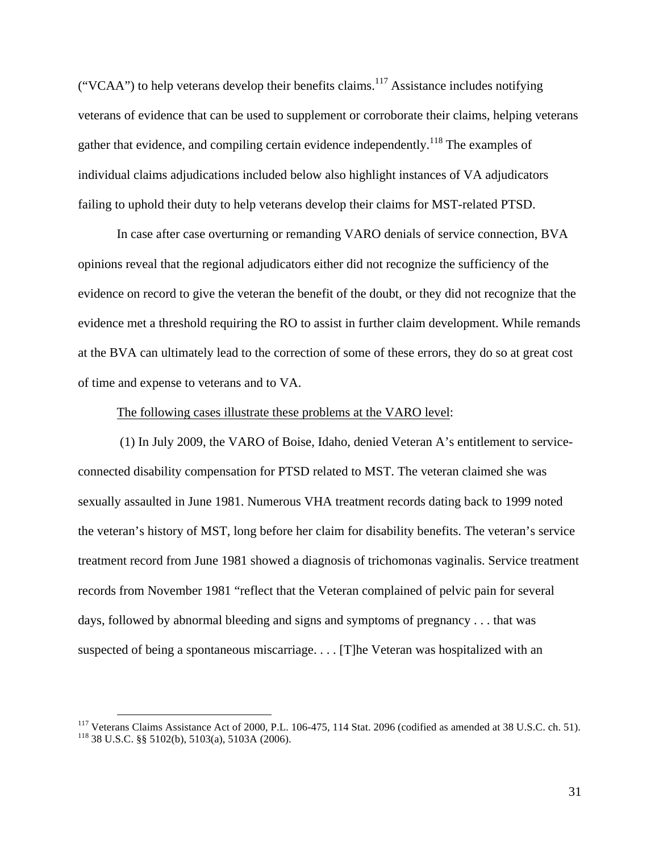("VCAA") to help veterans develop their benefits claims.<sup>117</sup> Assistance includes notifying veterans of evidence that can be used to supplement or corroborate their claims, helping veterans gather that evidence, and compiling certain evidence independently.<sup>118</sup> The examples of individual claims adjudications included below also highlight instances of VA adjudicators failing to uphold their duty to help veterans develop their claims for MST-related PTSD.

In case after case overturning or remanding VARO denials of service connection, BVA opinions reveal that the regional adjudicators either did not recognize the sufficiency of the evidence on record to give the veteran the benefit of the doubt, or they did not recognize that the evidence met a threshold requiring the RO to assist in further claim development. While remands at the BVA can ultimately lead to the correction of some of these errors, they do so at great cost of time and expense to veterans and to VA.

#### The following cases illustrate these problems at the VARO level:

(1) In July 2009, the VARO of Boise, Idaho, denied Veteran A's entitlement to serviceconnected disability compensation for PTSD related to MST. The veteran claimed she was sexually assaulted in June 1981. Numerous VHA treatment records dating back to 1999 noted the veteran's history of MST, long before her claim for disability benefits. The veteran's service treatment record from June 1981 showed a diagnosis of trichomonas vaginalis. Service treatment records from November 1981 "reflect that the Veteran complained of pelvic pain for several days, followed by abnormal bleeding and signs and symptoms of pregnancy . . . that was suspected of being a spontaneous miscarriage. . . . [T]he Veteran was hospitalized with an

<sup>&</sup>lt;sup>117</sup> Veterans Claims Assistance Act of 2000, P.L. 106-475, 114 Stat. 2096 (codified as amended at 38 U.S.C. ch. 51).<br><sup>118</sup> 38 U.S.C. §§ 5102(b), 5103(a), 5103A (2006).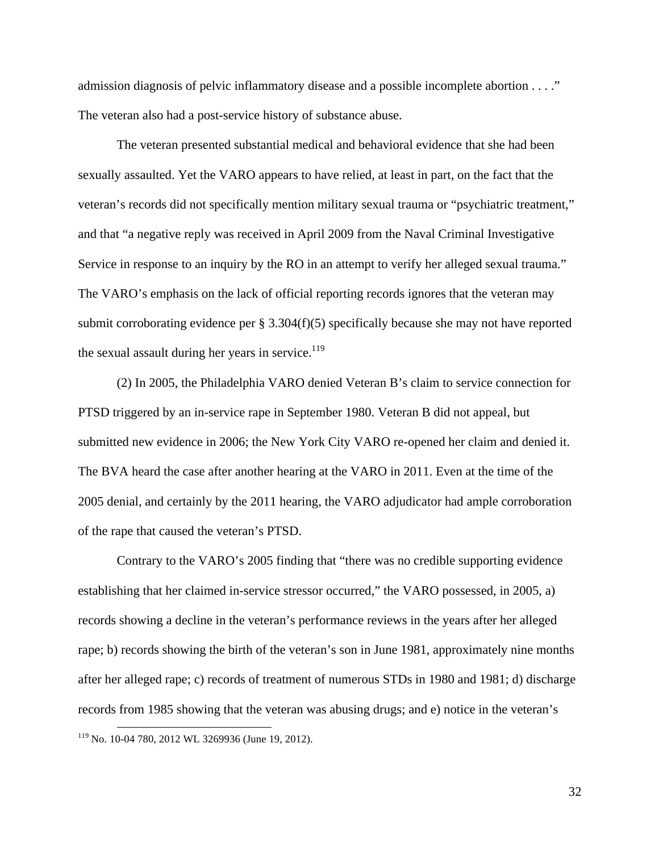admission diagnosis of pelvic inflammatory disease and a possible incomplete abortion . . . ." The veteran also had a post-service history of substance abuse.

The veteran presented substantial medical and behavioral evidence that she had been sexually assaulted. Yet the VARO appears to have relied, at least in part, on the fact that the veteran's records did not specifically mention military sexual trauma or "psychiatric treatment," and that "a negative reply was received in April 2009 from the Naval Criminal Investigative Service in response to an inquiry by the RO in an attempt to verify her alleged sexual trauma." The VARO's emphasis on the lack of official reporting records ignores that the veteran may submit corroborating evidence per  $\S 3.304(f)(5)$  specifically because she may not have reported the sexual assault during her years in service. $119$ 

(2) In 2005, the Philadelphia VARO denied Veteran B's claim to service connection for PTSD triggered by an in-service rape in September 1980. Veteran B did not appeal, but submitted new evidence in 2006; the New York City VARO re-opened her claim and denied it. The BVA heard the case after another hearing at the VARO in 2011. Even at the time of the 2005 denial, and certainly by the 2011 hearing, the VARO adjudicator had ample corroboration of the rape that caused the veteran's PTSD.

Contrary to the VARO's 2005 finding that "there was no credible supporting evidence establishing that her claimed in-service stressor occurred," the VARO possessed, in 2005, a) records showing a decline in the veteran's performance reviews in the years after her alleged rape; b) records showing the birth of the veteran's son in June 1981, approximately nine months after her alleged rape; c) records of treatment of numerous STDs in 1980 and 1981; d) discharge records from 1985 showing that the veteran was abusing drugs; and e) notice in the veteran's

 <sup>119</sup> No. 10-04 780, 2012 WL 3269936 (June 19, 2012).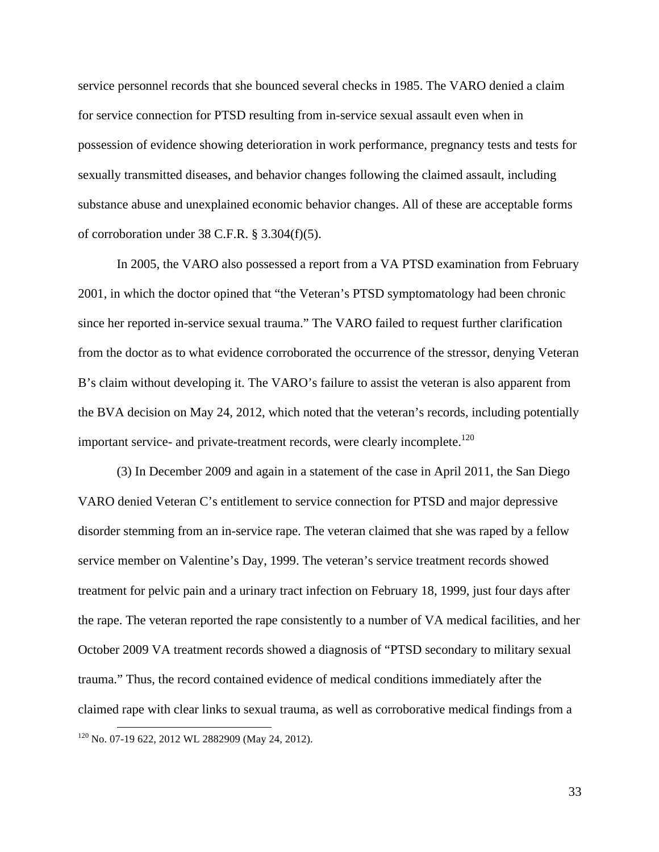service personnel records that she bounced several checks in 1985. The VARO denied a claim for service connection for PTSD resulting from in-service sexual assault even when in possession of evidence showing deterioration in work performance, pregnancy tests and tests for sexually transmitted diseases, and behavior changes following the claimed assault, including substance abuse and unexplained economic behavior changes. All of these are acceptable forms of corroboration under 38 C.F.R. § 3.304(f)(5).

In 2005, the VARO also possessed a report from a VA PTSD examination from February 2001, in which the doctor opined that "the Veteran's PTSD symptomatology had been chronic since her reported in-service sexual trauma." The VARO failed to request further clarification from the doctor as to what evidence corroborated the occurrence of the stressor, denying Veteran B's claim without developing it. The VARO's failure to assist the veteran is also apparent from the BVA decision on May 24, 2012, which noted that the veteran's records, including potentially important service- and private-treatment records, were clearly incomplete.<sup>120</sup>

(3) In December 2009 and again in a statement of the case in April 2011, the San Diego VARO denied Veteran C's entitlement to service connection for PTSD and major depressive disorder stemming from an in-service rape. The veteran claimed that she was raped by a fellow service member on Valentine's Day, 1999. The veteran's service treatment records showed treatment for pelvic pain and a urinary tract infection on February 18, 1999, just four days after the rape. The veteran reported the rape consistently to a number of VA medical facilities, and her October 2009 VA treatment records showed a diagnosis of "PTSD secondary to military sexual trauma." Thus, the record contained evidence of medical conditions immediately after the claimed rape with clear links to sexual trauma, as well as corroborative medical findings from a <sup>120</sup> No. 07-19 622, 2012 WL 2882909 (May 24, 2012).

33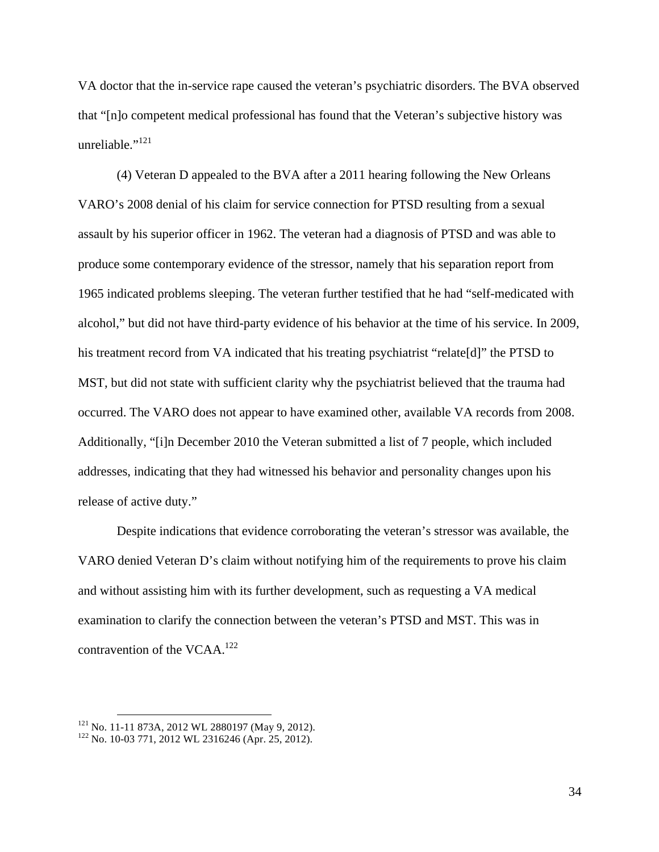VA doctor that the in-service rape caused the veteran's psychiatric disorders. The BVA observed that "[n]o competent medical professional has found that the Veteran's subjective history was unreliable."<sup>121</sup>

(4) Veteran D appealed to the BVA after a 2011 hearing following the New Orleans VARO's 2008 denial of his claim for service connection for PTSD resulting from a sexual assault by his superior officer in 1962. The veteran had a diagnosis of PTSD and was able to produce some contemporary evidence of the stressor, namely that his separation report from 1965 indicated problems sleeping. The veteran further testified that he had "self-medicated with alcohol," but did not have third-party evidence of his behavior at the time of his service. In 2009, his treatment record from VA indicated that his treating psychiatrist "relate<sup>[d]</sup>" the PTSD to MST, but did not state with sufficient clarity why the psychiatrist believed that the trauma had occurred. The VARO does not appear to have examined other, available VA records from 2008. Additionally, "[i]n December 2010 the Veteran submitted a list of 7 people, which included addresses, indicating that they had witnessed his behavior and personality changes upon his release of active duty."

Despite indications that evidence corroborating the veteran's stressor was available, the VARO denied Veteran D's claim without notifying him of the requirements to prove his claim and without assisting him with its further development, such as requesting a VA medical examination to clarify the connection between the veteran's PTSD and MST. This was in contravention of the VCAA.<sup>122</sup>

<sup>&</sup>lt;sup>121</sup> No. 11-11 873A, 2012 WL 2880197 (May 9, 2012).<br><sup>122</sup> No. 10-03 771, 2012 WL 2316246 (Apr. 25, 2012).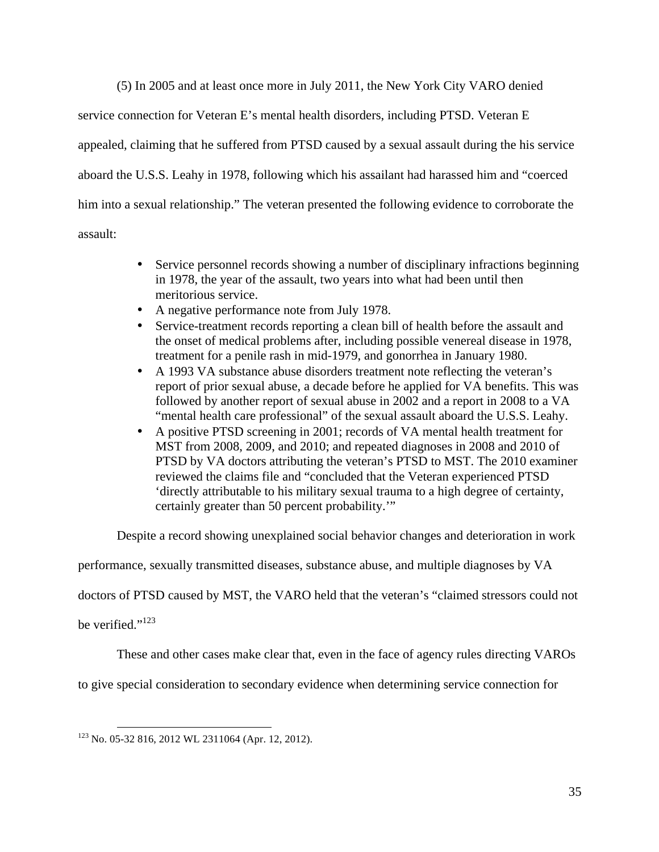(5) In 2005 and at least once more in July 2011, the New York City VARO denied

service connection for Veteran E's mental health disorders, including PTSD. Veteran E appealed, claiming that he suffered from PTSD caused by a sexual assault during the his service aboard the U.S.S. Leahy in 1978, following which his assailant had harassed him and "coerced him into a sexual relationship." The veteran presented the following evidence to corroborate the assault:

- Service personnel records showing a number of disciplinary infractions beginning in 1978, the year of the assault, two years into what had been until then meritorious service.
- A negative performance note from July 1978.
- Service-treatment records reporting a clean bill of health before the assault and the onset of medical problems after, including possible venereal disease in 1978, treatment for a penile rash in mid-1979, and gonorrhea in January 1980.
- A 1993 VA substance abuse disorders treatment note reflecting the veteran's report of prior sexual abuse, a decade before he applied for VA benefits. This was followed by another report of sexual abuse in 2002 and a report in 2008 to a VA "mental health care professional" of the sexual assault aboard the U.S.S. Leahy.
- A positive PTSD screening in 2001; records of VA mental health treatment for MST from 2008, 2009, and 2010; and repeated diagnoses in 2008 and 2010 of PTSD by VA doctors attributing the veteran's PTSD to MST. The 2010 examiner reviewed the claims file and "concluded that the Veteran experienced PTSD 'directly attributable to his military sexual trauma to a high degree of certainty, certainly greater than 50 percent probability.'"

Despite a record showing unexplained social behavior changes and deterioration in work

performance, sexually transmitted diseases, substance abuse, and multiple diagnoses by VA

doctors of PTSD caused by MST, the VARO held that the veteran's "claimed stressors could not

be verified."<sup>123</sup>

These and other cases make clear that, even in the face of agency rules directing VAROs

to give special consideration to secondary evidence when determining service connection for

 $123$  No. 05-32 816, 2012 WL 2311064 (Apr. 12, 2012).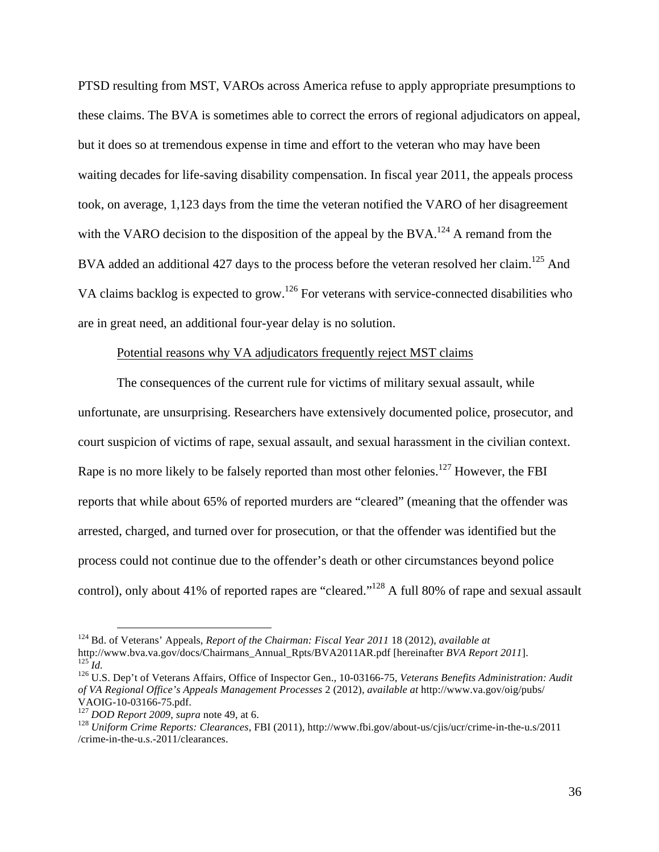PTSD resulting from MST, VAROs across America refuse to apply appropriate presumptions to these claims. The BVA is sometimes able to correct the errors of regional adjudicators on appeal, but it does so at tremendous expense in time and effort to the veteran who may have been waiting decades for life-saving disability compensation. In fiscal year 2011, the appeals process took, on average, 1,123 days from the time the veteran notified the VARO of her disagreement with the VARO decision to the disposition of the appeal by the BVA.<sup>124</sup> A remand from the BVA added an additional 427 days to the process before the veteran resolved her claim.<sup>125</sup> And VA claims backlog is expected to grow.<sup>126</sup> For veterans with service-connected disabilities who are in great need, an additional four-year delay is no solution.

#### Potential reasons why VA adjudicators frequently reject MST claims

The consequences of the current rule for victims of military sexual assault, while unfortunate, are unsurprising. Researchers have extensively documented police, prosecutor, and court suspicion of victims of rape, sexual assault, and sexual harassment in the civilian context. Rape is no more likely to be falsely reported than most other felonies.<sup>127</sup> However, the FBI reports that while about 65% of reported murders are "cleared" (meaning that the offender was arrested, charged, and turned over for prosecution, or that the offender was identified but the process could not continue due to the offender's death or other circumstances beyond police control), only about 41% of reported rapes are "cleared."128 A full 80% of rape and sexual assault

<sup>&</sup>lt;sup>124</sup> Bd. of Veterans' Appeals, *Report of the Chairman: Fiscal Year 2011* 18 (2012), *available at* http://www.bva.va.gov/docs/Chairmans\_Annual\_Rpts/BVA2011AR.pdf [hereinafter *BVA Report 2011*].

 $\frac{125}{125}$  Id.<br><sup>126</sup> U.S. Dep't of Veterans Affairs, Office of Inspector Gen., 10-03166-75, Veterans Benefits Administration: Audit *of VA Regional Office's Appeals Management Processes* 2 (2012), *available at* http://www.va.gov/oig/pubs/ VAOIG-10-03166-75.pdf.<br><sup>127</sup> *DOD Report 2009*, *supra* note 49, at 6.<br><sup>128</sup> *Uniform Crime Reports: Clearances*, FBI (2011), http://www.fbi.gov/about-us/cjis/ucr/crime-in-the-u.s/2011

<sup>/</sup>crime-in-the-u.s.-2011/clearances.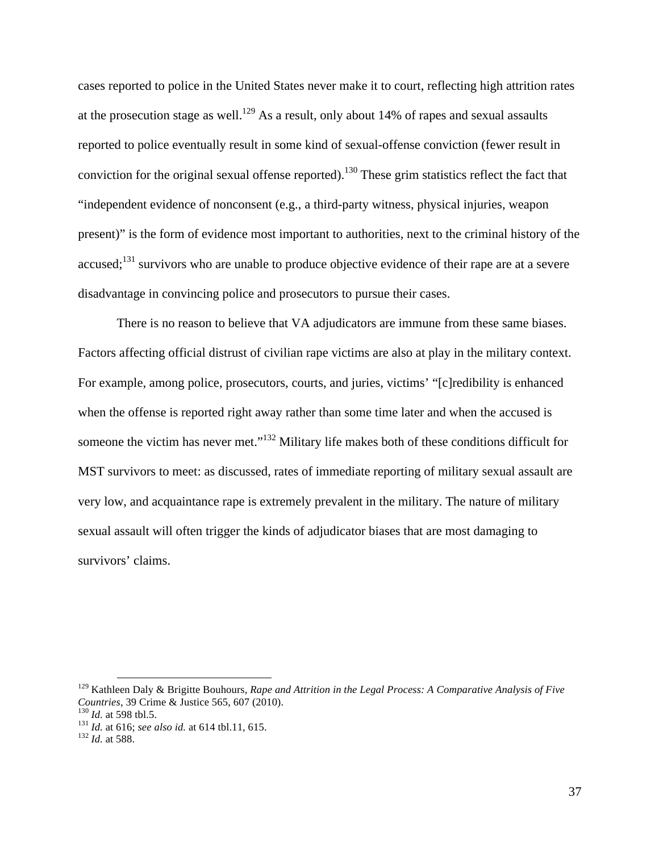cases reported to police in the United States never make it to court, reflecting high attrition rates at the prosecution stage as well.<sup>129</sup> As a result, only about 14% of rapes and sexual assaults reported to police eventually result in some kind of sexual-offense conviction (fewer result in conviction for the original sexual offense reported).<sup>130</sup> These grim statistics reflect the fact that "independent evidence of nonconsent (e.g., a third-party witness, physical injuries, weapon present)" is the form of evidence most important to authorities, next to the criminal history of the accused;<sup>131</sup> survivors who are unable to produce objective evidence of their rape are at a severe disadvantage in convincing police and prosecutors to pursue their cases.

There is no reason to believe that VA adjudicators are immune from these same biases. Factors affecting official distrust of civilian rape victims are also at play in the military context. For example, among police, prosecutors, courts, and juries, victims' "[c]redibility is enhanced when the offense is reported right away rather than some time later and when the accused is someone the victim has never met."132 Military life makes both of these conditions difficult for MST survivors to meet: as discussed, rates of immediate reporting of military sexual assault are very low, and acquaintance rape is extremely prevalent in the military. The nature of military sexual assault will often trigger the kinds of adjudicator biases that are most damaging to survivors' claims.

<sup>&</sup>lt;sup>129</sup> Kathleen Daly & Brigitte Bouhours, *Rape and Attrition in the Legal Process: A Comparative Analysis of Five Countries*, 39 Crime & Justice 565, 607 (2010).

<sup>&</sup>lt;sup>130</sup> *Id.* at 598 tbl.5.<br><sup>131</sup> *Id.* at 616; *see also id.* at 614 tbl.11, 615. <sup>132</sup> *Id.* at 588.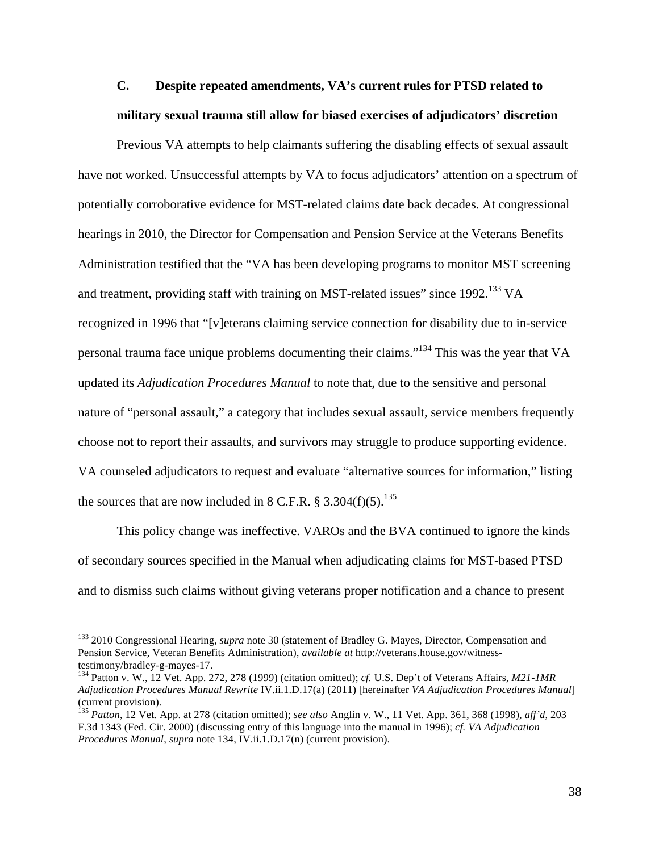# **C. Despite repeated amendments, VA's current rules for PTSD related to military sexual trauma still allow for biased exercises of adjudicators' discretion**

Previous VA attempts to help claimants suffering the disabling effects of sexual assault have not worked. Unsuccessful attempts by VA to focus adjudicators' attention on a spectrum of potentially corroborative evidence for MST-related claims date back decades. At congressional hearings in 2010, the Director for Compensation and Pension Service at the Veterans Benefits Administration testified that the "VA has been developing programs to monitor MST screening and treatment, providing staff with training on MST-related issues" since 1992.<sup>133</sup> VA recognized in 1996 that "[v]eterans claiming service connection for disability due to in-service personal trauma face unique problems documenting their claims."134 This was the year that VA updated its *Adjudication Procedures Manual* to note that, due to the sensitive and personal nature of "personal assault," a category that includes sexual assault, service members frequently choose not to report their assaults, and survivors may struggle to produce supporting evidence. VA counseled adjudicators to request and evaluate "alternative sources for information," listing the sources that are now included in 8 C.F.R. § 3.304(f)(5).<sup>135</sup>

This policy change was ineffective. VAROs and the BVA continued to ignore the kinds of secondary sources specified in the Manual when adjudicating claims for MST-based PTSD and to dismiss such claims without giving veterans proper notification and a chance to present

 <sup>133</sup> 2010 Congressional Hearing, *supra* note 30 (statement of Bradley G. Mayes, Director, Compensation and Pension Service, Veteran Benefits Administration), *available at* http://veterans.house.gov/witness-

<sup>&</sup>lt;sup>134</sup> Patton v. W., 12 Vet. App. 272, 278 (1999) (citation omitted); *cf.* U.S. Dep't of Veterans Affairs, *M21-1MR Adjudication Procedures Manual Rewrite* IV.ii.1.D.17(a) (2011) [hereinafter *VA Adjudication Procedures Manual*] (current provision).

<sup>135</sup> *Patton*, 12 Vet. App. at 278 (citation omitted); *see also* Anglin v. W., 11 Vet. App. 361, 368 (1998), *aff'd*, 203 F.3d 1343 (Fed. Cir. 2000) (discussing entry of this language into the manual in 1996); *cf. VA Adjudication Procedures Manual*, *supra* note 134, IV.ii.1.D.17(n) (current provision).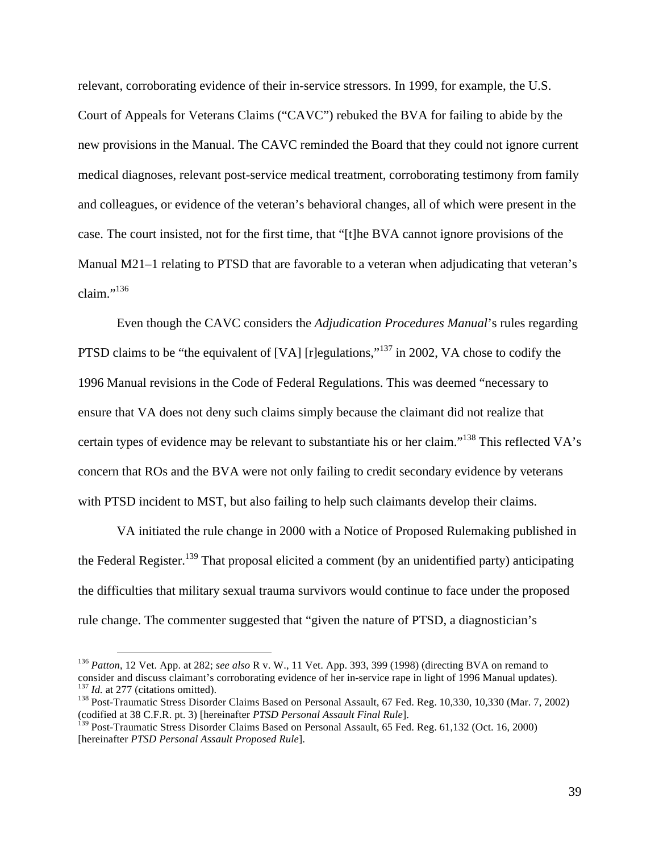relevant, corroborating evidence of their in-service stressors. In 1999, for example, the U.S. Court of Appeals for Veterans Claims ("CAVC") rebuked the BVA for failing to abide by the new provisions in the Manual. The CAVC reminded the Board that they could not ignore current medical diagnoses, relevant post-service medical treatment, corroborating testimony from family and colleagues, or evidence of the veteran's behavioral changes, all of which were present in the case. The court insisted, not for the first time, that "[t]he BVA cannot ignore provisions of the Manual M21–1 relating to PTSD that are favorable to a veteran when adjudicating that veteran's claim." $^{136}$ 

Even though the CAVC considers the *Adjudication Procedures Manual*'s rules regarding PTSD claims to be "the equivalent of [VA] [r]egulations,"<sup>137</sup> in 2002, VA chose to codify the 1996 Manual revisions in the Code of Federal Regulations. This was deemed "necessary to ensure that VA does not deny such claims simply because the claimant did not realize that certain types of evidence may be relevant to substantiate his or her claim."<sup>138</sup> This reflected VA's concern that ROs and the BVA were not only failing to credit secondary evidence by veterans with PTSD incident to MST, but also failing to help such claimants develop their claims.

VA initiated the rule change in 2000 with a Notice of Proposed Rulemaking published in the Federal Register.<sup>139</sup> That proposal elicited a comment (by an unidentified party) anticipating the difficulties that military sexual trauma survivors would continue to face under the proposed rule change. The commenter suggested that "given the nature of PTSD, a diagnostician's

<sup>&</sup>lt;sup>136</sup> *Patton*, 12 Vet. App. at 282; *see also* R v. W., 11 Vet. App. 393, 399 (1998) (directing BVA on remand to consider and discuss claimant's corroborating evidence of her in-service rape in light of 1996 Manual update  $\frac{137}{138}$  *Id.* at 277 (citations omitted).<br><sup>138</sup> Post-Traumatic Stress Disorder Claims Based on Personal Assault, 67 Fed. Reg. 10,330, 10,330 (Mar. 7, 2002)

<sup>(</sup>codified at 38 C.F.R. pt. 3) [hereinafter *PTSD Personal Assault Final Rule*].

<sup>&</sup>lt;sup>139</sup> Post-Traumatic Stress Disorder Claims Based on Personal Assault, 65 Fed. Reg. 61,132 (Oct. 16, 2000) [hereinafter *PTSD Personal Assault Proposed Rule*].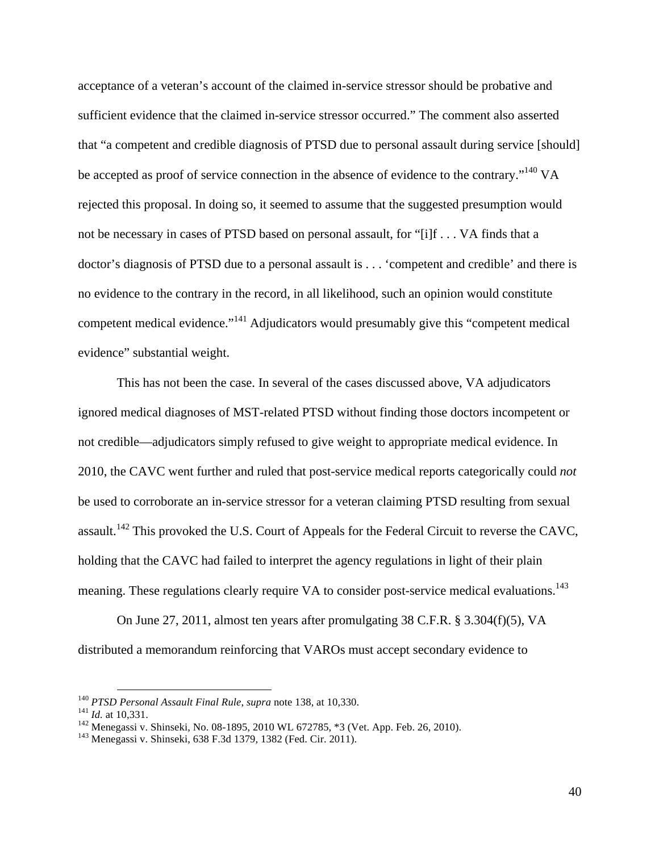acceptance of a veteran's account of the claimed in-service stressor should be probative and sufficient evidence that the claimed in-service stressor occurred." The comment also asserted that "a competent and credible diagnosis of PTSD due to personal assault during service [should] be accepted as proof of service connection in the absence of evidence to the contrary."<sup>140</sup> VA rejected this proposal. In doing so, it seemed to assume that the suggested presumption would not be necessary in cases of PTSD based on personal assault, for "[i]f . . . VA finds that a doctor's diagnosis of PTSD due to a personal assault is . . . 'competent and credible' and there is no evidence to the contrary in the record, in all likelihood, such an opinion would constitute competent medical evidence."<sup>141</sup> Adjudicators would presumably give this "competent medical evidence" substantial weight.

This has not been the case. In several of the cases discussed above, VA adjudicators ignored medical diagnoses of MST-related PTSD without finding those doctors incompetent or not credible—adjudicators simply refused to give weight to appropriate medical evidence. In 2010, the CAVC went further and ruled that post-service medical reports categorically could *not* be used to corroborate an in-service stressor for a veteran claiming PTSD resulting from sexual assault.<sup>142</sup> This provoked the U.S. Court of Appeals for the Federal Circuit to reverse the CAVC, holding that the CAVC had failed to interpret the agency regulations in light of their plain meaning. These regulations clearly require VA to consider post-service medical evaluations.<sup>143</sup>

On June 27, 2011, almost ten years after promulgating 38 C.F.R. § 3.304(f)(5), VA distributed a memorandum reinforcing that VAROs must accept secondary evidence to

<sup>&</sup>lt;sup>140</sup> *PTSD Personal Assault Final Rule, supra* note 138, at 10,330.<br><sup>141</sup> *Id.* at 10,331.<br><sup>142</sup> Menegassi v. Shinseki, No. 08-1895, 2010 WL 672785, \*3 (Vet. App. Feb. 26, 2010).<br><sup>143</sup> Menegassi v. Shinseki, 638 F.3d 137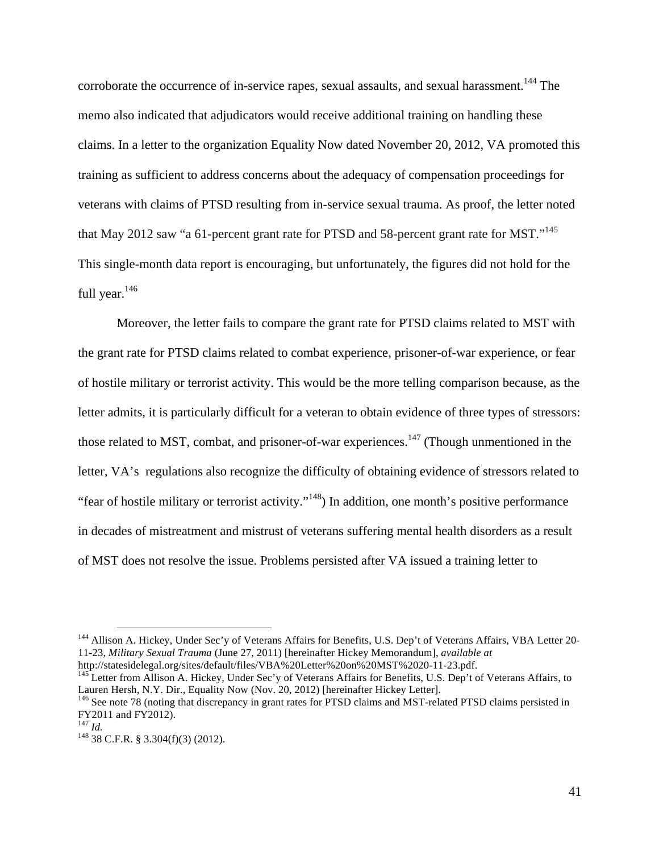corroborate the occurrence of in-service rapes, sexual assaults, and sexual harassment.<sup>144</sup> The memo also indicated that adjudicators would receive additional training on handling these claims. In a letter to the organization Equality Now dated November 20, 2012, VA promoted this training as sufficient to address concerns about the adequacy of compensation proceedings for veterans with claims of PTSD resulting from in-service sexual trauma. As proof, the letter noted that May 2012 saw "a 61-percent grant rate for PTSD and 58-percent grant rate for MST."<sup>145</sup> This single-month data report is encouraging, but unfortunately, the figures did not hold for the full year.<sup>146</sup>

Moreover, the letter fails to compare the grant rate for PTSD claims related to MST with the grant rate for PTSD claims related to combat experience, prisoner-of-war experience, or fear of hostile military or terrorist activity. This would be the more telling comparison because, as the letter admits, it is particularly difficult for a veteran to obtain evidence of three types of stressors: those related to MST, combat, and prisoner-of-war experiences.<sup>147</sup> (Though unmentioned in the letter, VA's regulations also recognize the difficulty of obtaining evidence of stressors related to "fear of hostile military or terrorist activity."148) In addition, one month's positive performance in decades of mistreatment and mistrust of veterans suffering mental health disorders as a result of MST does not resolve the issue. Problems persisted after VA issued a training letter to

 <sup>144</sup> Allison A. Hickey, Under Sec'y of Veterans Affairs for Benefits, U.S. Dep't of Veterans Affairs, VBA Letter 20- 11-23, *Military Sexual Trauma* (June 27, 2011) [hereinafter Hickey Memorandum], *available at* 

<sup>&</sup>lt;sup>145</sup>Letter from Allison A. Hickey, Under Sec'y of Veterans Affairs for Benefits, U.S. Dep't of Veterans Affairs, to Lauren Hersh, N.Y. Dir., Equality Now (Nov. 20, 2012) [hereinafter Hickey Letter].

<sup>&</sup>lt;sup>146</sup> See note 78 (noting that discrepancy in grant rates for PTSD claims and MST-related PTSD claims persisted in FY2011 and FY2012).<br> $^{147}$  *Id.* 

<sup>&</sup>lt;sup>148</sup> 38 C.F.R. § 3.304(f)(3) (2012).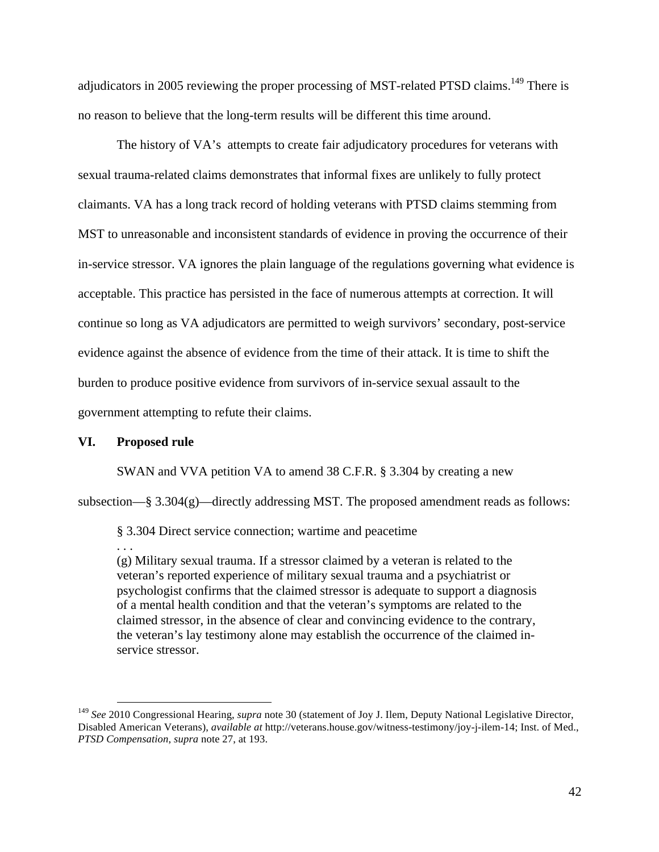adjudicators in 2005 reviewing the proper processing of MST-related PTSD claims.<sup>149</sup> There is no reason to believe that the long-term results will be different this time around.

The history of VA's attempts to create fair adjudicatory procedures for veterans with sexual trauma-related claims demonstrates that informal fixes are unlikely to fully protect claimants. VA has a long track record of holding veterans with PTSD claims stemming from MST to unreasonable and inconsistent standards of evidence in proving the occurrence of their in-service stressor. VA ignores the plain language of the regulations governing what evidence is acceptable. This practice has persisted in the face of numerous attempts at correction. It will continue so long as VA adjudicators are permitted to weigh survivors' secondary, post-service evidence against the absence of evidence from the time of their attack. It is time to shift the burden to produce positive evidence from survivors of in-service sexual assault to the government attempting to refute their claims.

#### **VI. Proposed rule**

. . .

SWAN and VVA petition VA to amend 38 C.F.R. § 3.304 by creating a new

subsection—§ 3.304(g)—directly addressing MST. The proposed amendment reads as follows:

§ 3.304 Direct service connection; wartime and peacetime

(g) Military sexual trauma. If a stressor claimed by a veteran is related to the veteran's reported experience of military sexual trauma and a psychiatrist or psychologist confirms that the claimed stressor is adequate to support a diagnosis of a mental health condition and that the veteran's symptoms are related to the claimed stressor, in the absence of clear and convincing evidence to the contrary, the veteran's lay testimony alone may establish the occurrence of the claimed inservice stressor.

 <sup>149</sup> *See* 2010 Congressional Hearing, *supra* note 30 (statement of Joy J. Ilem, Deputy National Legislative Director, Disabled American Veterans), *available at* http://veterans.house.gov/witness-testimony/joy-j-ilem-14; Inst. of Med., *PTSD Compensation*, *supra* note 27, at 193.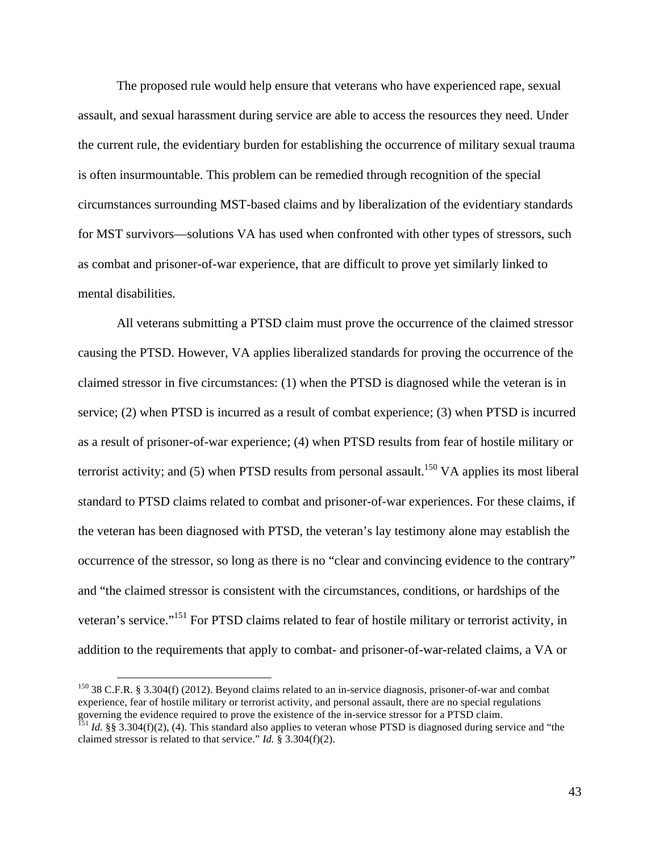The proposed rule would help ensure that veterans who have experienced rape, sexual assault, and sexual harassment during service are able to access the resources they need. Under the current rule, the evidentiary burden for establishing the occurrence of military sexual trauma is often insurmountable. This problem can be remedied through recognition of the special circumstances surrounding MST-based claims and by liberalization of the evidentiary standards for MST survivors—solutions VA has used when confronted with other types of stressors, such as combat and prisoner-of-war experience, that are difficult to prove yet similarly linked to mental disabilities.

All veterans submitting a PTSD claim must prove the occurrence of the claimed stressor causing the PTSD. However, VA applies liberalized standards for proving the occurrence of the claimed stressor in five circumstances: (1) when the PTSD is diagnosed while the veteran is in service; (2) when PTSD is incurred as a result of combat experience; (3) when PTSD is incurred as a result of prisoner-of-war experience; (4) when PTSD results from fear of hostile military or terrorist activity; and  $(5)$  when PTSD results from personal assault.<sup>150</sup> VA applies its most liberal standard to PTSD claims related to combat and prisoner-of-war experiences. For these claims, if the veteran has been diagnosed with PTSD, the veteran's lay testimony alone may establish the occurrence of the stressor, so long as there is no "clear and convincing evidence to the contrary" and "the claimed stressor is consistent with the circumstances, conditions, or hardships of the veteran's service."<sup>151</sup> For PTSD claims related to fear of hostile military or terrorist activity, in addition to the requirements that apply to combat- and prisoner-of-war-related claims, a VA or

<sup>&</sup>lt;sup>150</sup> 38 C.F.R. § 3.304(f) (2012). Beyond claims related to an in-service diagnosis, prisoner-of-war and combat experience, fear of hostile military or terrorist activity, and personal assault, there are no special regulations governing the evidence required to prove the existence of the in-service stressor for a PTSD claim.<br><sup>151</sup> *Id.* §§ 3.304(f)(2), (4). This standard also applies to veteran whose PTSD is diagnosed during service and "the

claimed stressor is related to that service." *Id.* § 3.304(f)(2).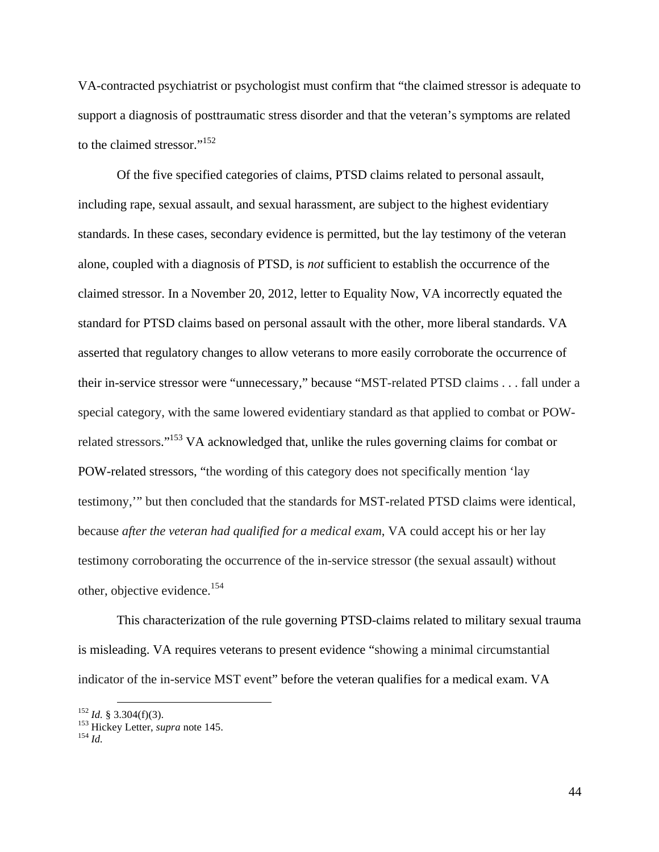VA-contracted psychiatrist or psychologist must confirm that "the claimed stressor is adequate to support a diagnosis of posttraumatic stress disorder and that the veteran's symptoms are related to the claimed stressor."<sup>152</sup>

Of the five specified categories of claims, PTSD claims related to personal assault, including rape, sexual assault, and sexual harassment, are subject to the highest evidentiary standards. In these cases, secondary evidence is permitted, but the lay testimony of the veteran alone, coupled with a diagnosis of PTSD, is *not* sufficient to establish the occurrence of the claimed stressor. In a November 20, 2012, letter to Equality Now, VA incorrectly equated the standard for PTSD claims based on personal assault with the other, more liberal standards. VA asserted that regulatory changes to allow veterans to more easily corroborate the occurrence of their in-service stressor were "unnecessary," because "MST-related PTSD claims . . . fall under a special category, with the same lowered evidentiary standard as that applied to combat or POWrelated stressors."153 VA acknowledged that, unlike the rules governing claims for combat or POW-related stressors, "the wording of this category does not specifically mention 'lay testimony,'" but then concluded that the standards for MST-related PTSD claims were identical, because *after the veteran had qualified for a medical exam*, VA could accept his or her lay testimony corroborating the occurrence of the in-service stressor (the sexual assault) without other, objective evidence.<sup>154</sup>

This characterization of the rule governing PTSD-claims related to military sexual trauma is misleading. VA requires veterans to present evidence "showing a minimal circumstantial indicator of the in-service MST event" before the veteran qualifies for a medical exam. VA

<sup>152</sup> *Id.* § 3.304(f)(3). <sup>153</sup> Hickey Letter, *supra* note 145. <sup>154</sup> *Id.*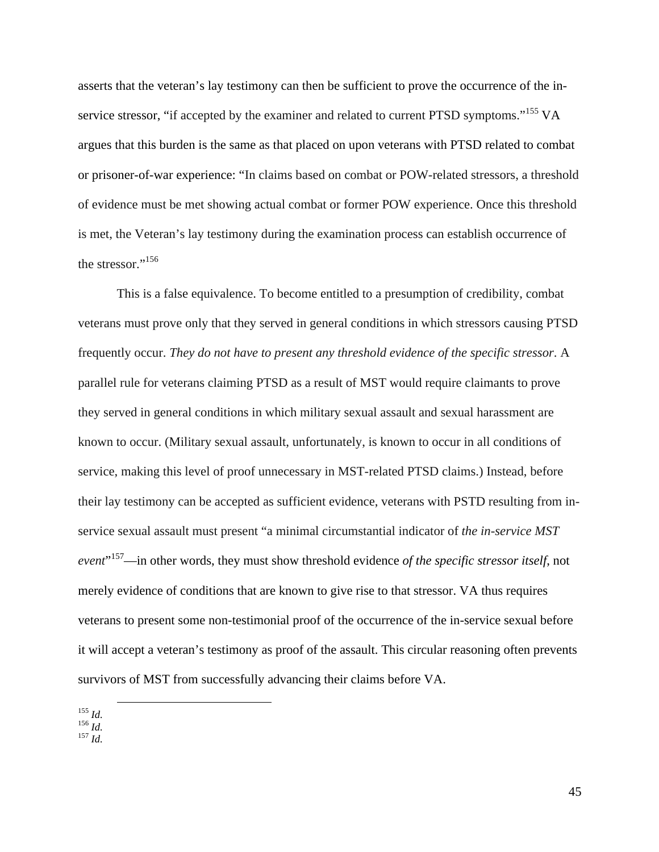asserts that the veteran's lay testimony can then be sufficient to prove the occurrence of the inservice stressor, "if accepted by the examiner and related to current PTSD symptoms."<sup>155</sup> VA argues that this burden is the same as that placed on upon veterans with PTSD related to combat or prisoner-of-war experience: "In claims based on combat or POW-related stressors, a threshold of evidence must be met showing actual combat or former POW experience. Once this threshold is met, the Veteran's lay testimony during the examination process can establish occurrence of the stressor."<sup>156</sup>

This is a false equivalence. To become entitled to a presumption of credibility, combat veterans must prove only that they served in general conditions in which stressors causing PTSD frequently occur. *They do not have to present any threshold evidence of the specific stressor*. A parallel rule for veterans claiming PTSD as a result of MST would require claimants to prove they served in general conditions in which military sexual assault and sexual harassment are known to occur. (Military sexual assault, unfortunately, is known to occur in all conditions of service, making this level of proof unnecessary in MST-related PTSD claims.) Instead, before their lay testimony can be accepted as sufficient evidence, veterans with PSTD resulting from inservice sexual assault must present "a minimal circumstantial indicator of *the in-service MST event*" 157—in other words, they must show threshold evidence *of the specific stressor itself*, not merely evidence of conditions that are known to give rise to that stressor. VA thus requires veterans to present some non-testimonial proof of the occurrence of the in-service sexual before it will accept a veteran's testimony as proof of the assault. This circular reasoning often prevents survivors of MST from successfully advancing their claims before VA.

155 *Id.* 156 *Id.* 157 *Id.*

- 
-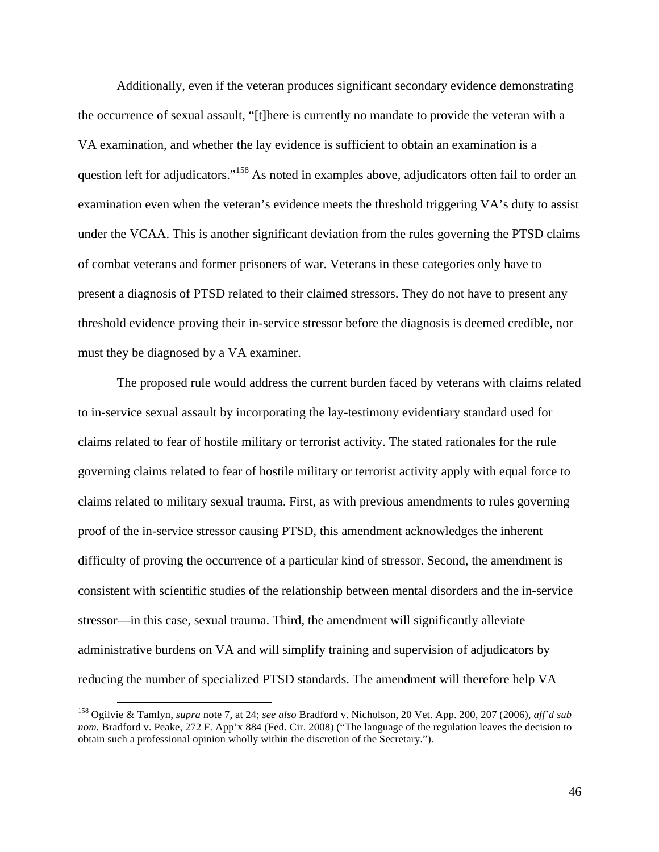Additionally, even if the veteran produces significant secondary evidence demonstrating the occurrence of sexual assault, "[t]here is currently no mandate to provide the veteran with a VA examination, and whether the lay evidence is sufficient to obtain an examination is a question left for adjudicators."<sup>158</sup> As noted in examples above, adjudicators often fail to order an examination even when the veteran's evidence meets the threshold triggering VA's duty to assist under the VCAA. This is another significant deviation from the rules governing the PTSD claims of combat veterans and former prisoners of war. Veterans in these categories only have to present a diagnosis of PTSD related to their claimed stressors. They do not have to present any threshold evidence proving their in-service stressor before the diagnosis is deemed credible, nor must they be diagnosed by a VA examiner.

The proposed rule would address the current burden faced by veterans with claims related to in-service sexual assault by incorporating the lay-testimony evidentiary standard used for claims related to fear of hostile military or terrorist activity. The stated rationales for the rule governing claims related to fear of hostile military or terrorist activity apply with equal force to claims related to military sexual trauma. First, as with previous amendments to rules governing proof of the in-service stressor causing PTSD, this amendment acknowledges the inherent difficulty of proving the occurrence of a particular kind of stressor. Second, the amendment is consistent with scientific studies of the relationship between mental disorders and the in-service stressor—in this case, sexual trauma. Third, the amendment will significantly alleviate administrative burdens on VA and will simplify training and supervision of adjudicators by reducing the number of specialized PTSD standards. The amendment will therefore help VA

 <sup>158</sup> Ogilvie & Tamlyn, *supra* note 7, at 24; *see also* Bradford v. Nicholson, 20 Vet. App. 200, 207 (2006), *aff'd sub nom.* Bradford v. Peake, 272 F. App'x 884 (Fed. Cir. 2008) ("The language of the regulation leaves the decision to obtain such a professional opinion wholly within the discretion of the Secretary.").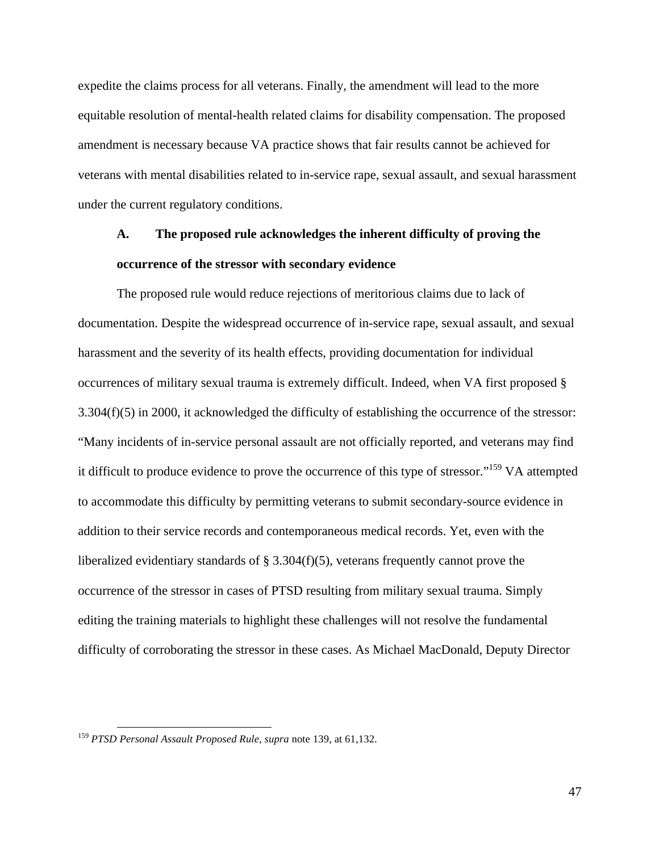expedite the claims process for all veterans. Finally, the amendment will lead to the more equitable resolution of mental-health related claims for disability compensation. The proposed amendment is necessary because VA practice shows that fair results cannot be achieved for veterans with mental disabilities related to in-service rape, sexual assault, and sexual harassment under the current regulatory conditions.

### **A. The proposed rule acknowledges the inherent difficulty of proving the occurrence of the stressor with secondary evidence**

The proposed rule would reduce rejections of meritorious claims due to lack of documentation. Despite the widespread occurrence of in-service rape, sexual assault, and sexual harassment and the severity of its health effects, providing documentation for individual occurrences of military sexual trauma is extremely difficult. Indeed, when VA first proposed §  $3.304(f)(5)$  in 2000, it acknowledged the difficulty of establishing the occurrence of the stressor: "Many incidents of in-service personal assault are not officially reported, and veterans may find it difficult to produce evidence to prove the occurrence of this type of stressor."159 VA attempted to accommodate this difficulty by permitting veterans to submit secondary-source evidence in addition to their service records and contemporaneous medical records. Yet, even with the liberalized evidentiary standards of  $\S 3.304(f)(5)$ , veterans frequently cannot prove the occurrence of the stressor in cases of PTSD resulting from military sexual trauma. Simply editing the training materials to highlight these challenges will not resolve the fundamental difficulty of corroborating the stressor in these cases. As Michael MacDonald, Deputy Director

 <sup>159</sup> *PTSD Personal Assault Proposed Rule*, *supra* note 139, at 61,132.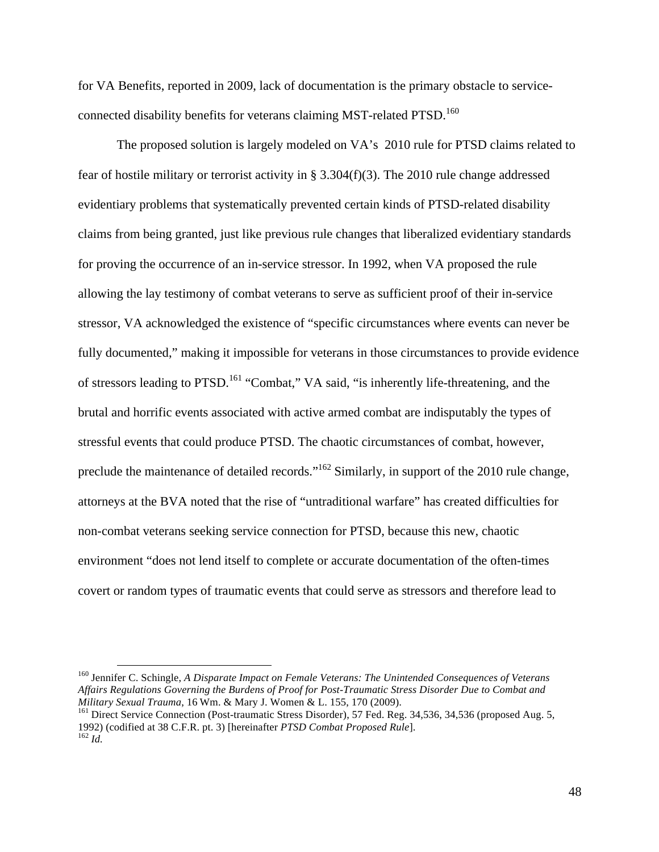for VA Benefits, reported in 2009, lack of documentation is the primary obstacle to serviceconnected disability benefits for veterans claiming MST-related PTSD.<sup>160</sup>

The proposed solution is largely modeled on VA's 2010 rule for PTSD claims related to fear of hostile military or terrorist activity in § 3.304(f)(3). The 2010 rule change addressed evidentiary problems that systematically prevented certain kinds of PTSD-related disability claims from being granted, just like previous rule changes that liberalized evidentiary standards for proving the occurrence of an in-service stressor. In 1992, when VA proposed the rule allowing the lay testimony of combat veterans to serve as sufficient proof of their in-service stressor, VA acknowledged the existence of "specific circumstances where events can never be fully documented," making it impossible for veterans in those circumstances to provide evidence of stressors leading to PTSD.<sup>161</sup> "Combat," VA said, "is inherently life-threatening, and the brutal and horrific events associated with active armed combat are indisputably the types of stressful events that could produce PTSD. The chaotic circumstances of combat, however, preclude the maintenance of detailed records."<sup>162</sup> Similarly, in support of the 2010 rule change, attorneys at the BVA noted that the rise of "untraditional warfare" has created difficulties for non-combat veterans seeking service connection for PTSD, because this new, chaotic environment "does not lend itself to complete or accurate documentation of the often-times covert or random types of traumatic events that could serve as stressors and therefore lead to

 <sup>160</sup> Jennifer C. Schingle, *A Disparate Impact on Female Veterans: The Unintended Consequences of Veterans Affairs Regulations Governing the Burdens of Proof for Post-Traumatic Stress Disorder Due to Combat and Military Sexual Trauma*, 16 Wm. & Mary J. Women & L. 155, 170 (2009).<br><sup>161</sup> Direct Service Connection (Post-traumatic Stress Disorder), 57 Fed. Reg. 34,536, 34,536 (proposed Aug. 5,

<sup>1992) (</sup>codified at 38 C.F.R. pt. 3) [hereinafter *PTSD Combat Proposed Rule*]. <sup>162</sup> *Id.*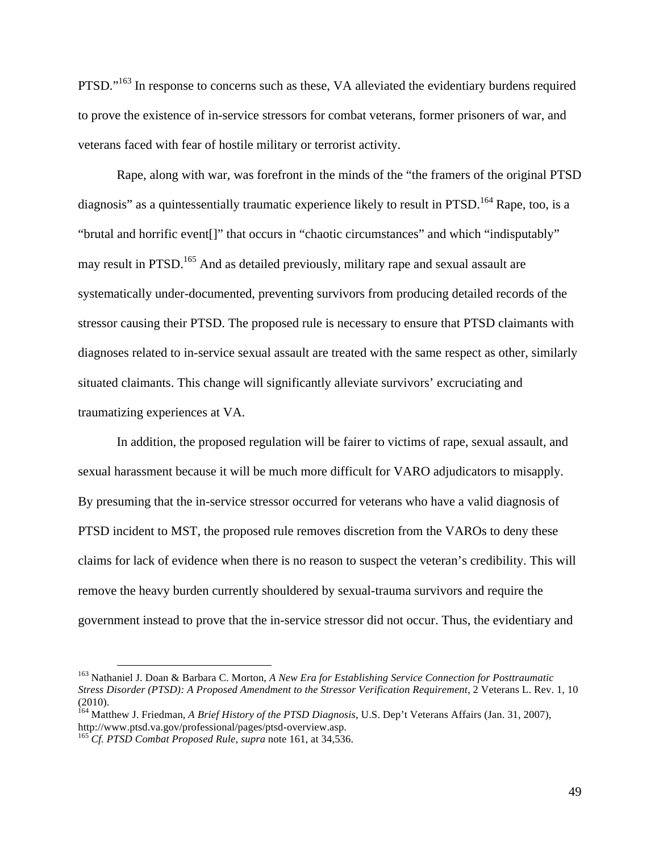PTSD."<sup>163</sup> In response to concerns such as these, VA alleviated the evidentiary burdens required to prove the existence of in-service stressors for combat veterans, former prisoners of war, and veterans faced with fear of hostile military or terrorist activity.

Rape, along with war, was forefront in the minds of the "the framers of the original PTSD diagnosis" as a quintessentially traumatic experience likely to result in PTSD.<sup>164</sup> Rape, too, is a "brutal and horrific event[]" that occurs in "chaotic circumstances" and which "indisputably" may result in PTSD.<sup>165</sup> And as detailed previously, military rape and sexual assault are systematically under-documented, preventing survivors from producing detailed records of the stressor causing their PTSD. The proposed rule is necessary to ensure that PTSD claimants with diagnoses related to in-service sexual assault are treated with the same respect as other, similarly situated claimants. This change will significantly alleviate survivors' excruciating and traumatizing experiences at VA.

In addition, the proposed regulation will be fairer to victims of rape, sexual assault, and sexual harassment because it will be much more difficult for VARO adjudicators to misapply. By presuming that the in-service stressor occurred for veterans who have a valid diagnosis of PTSD incident to MST, the proposed rule removes discretion from the VAROs to deny these claims for lack of evidence when there is no reason to suspect the veteran's credibility. This will remove the heavy burden currently shouldered by sexual-trauma survivors and require the government instead to prove that the in-service stressor did not occur. Thus, the evidentiary and

 <sup>163</sup> Nathaniel J. Doan & Barbara C. Morton, *A New Era for Establishing Service Connection for Posttraumatic Stress Disorder (PTSD): A Proposed Amendment to the Stressor Verification Requirement*, 2 Veterans L. Rev. 1, 10 (2010).

<sup>164</sup> Matthew J. Friedman, *A Brief History of the PTSD Diagnosis*, U.S. Dep't Veterans Affairs (Jan. 31, 2007), http://www.ptsd.va.gov/professional/pages/ptsd-overview.asp. <sup>165</sup> *Cf. PTSD Combat Proposed Rule*, *supra* note 161, at 34,536.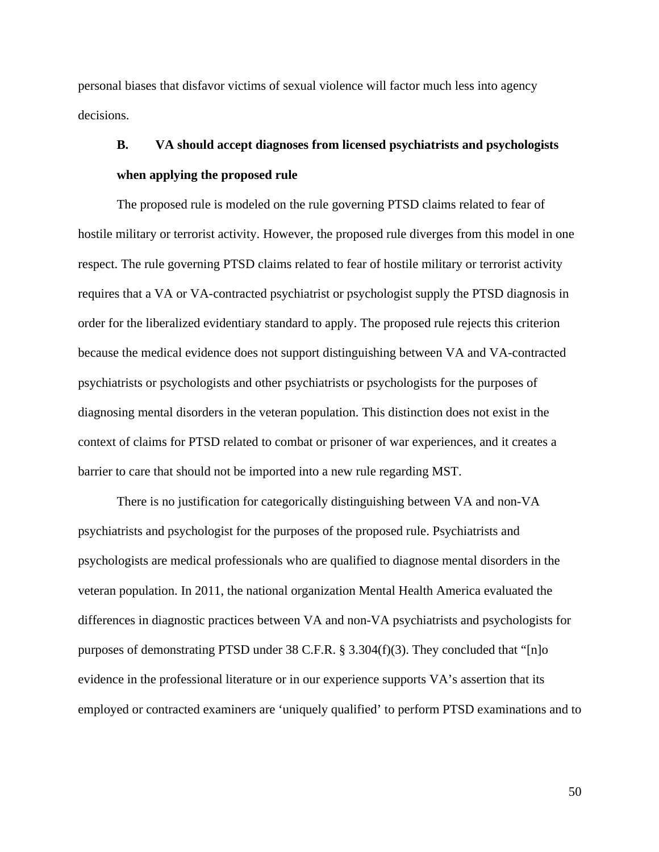personal biases that disfavor victims of sexual violence will factor much less into agency decisions.

## **B. VA should accept diagnoses from licensed psychiatrists and psychologists when applying the proposed rule**

The proposed rule is modeled on the rule governing PTSD claims related to fear of hostile military or terrorist activity. However, the proposed rule diverges from this model in one respect. The rule governing PTSD claims related to fear of hostile military or terrorist activity requires that a VA or VA-contracted psychiatrist or psychologist supply the PTSD diagnosis in order for the liberalized evidentiary standard to apply. The proposed rule rejects this criterion because the medical evidence does not support distinguishing between VA and VA-contracted psychiatrists or psychologists and other psychiatrists or psychologists for the purposes of diagnosing mental disorders in the veteran population. This distinction does not exist in the context of claims for PTSD related to combat or prisoner of war experiences, and it creates a barrier to care that should not be imported into a new rule regarding MST.

There is no justification for categorically distinguishing between VA and non-VA psychiatrists and psychologist for the purposes of the proposed rule. Psychiatrists and psychologists are medical professionals who are qualified to diagnose mental disorders in the veteran population. In 2011, the national organization Mental Health America evaluated the differences in diagnostic practices between VA and non-VA psychiatrists and psychologists for purposes of demonstrating PTSD under 38 C.F.R. § 3.304(f)(3). They concluded that "[n]o evidence in the professional literature or in our experience supports VA's assertion that its employed or contracted examiners are 'uniquely qualified' to perform PTSD examinations and to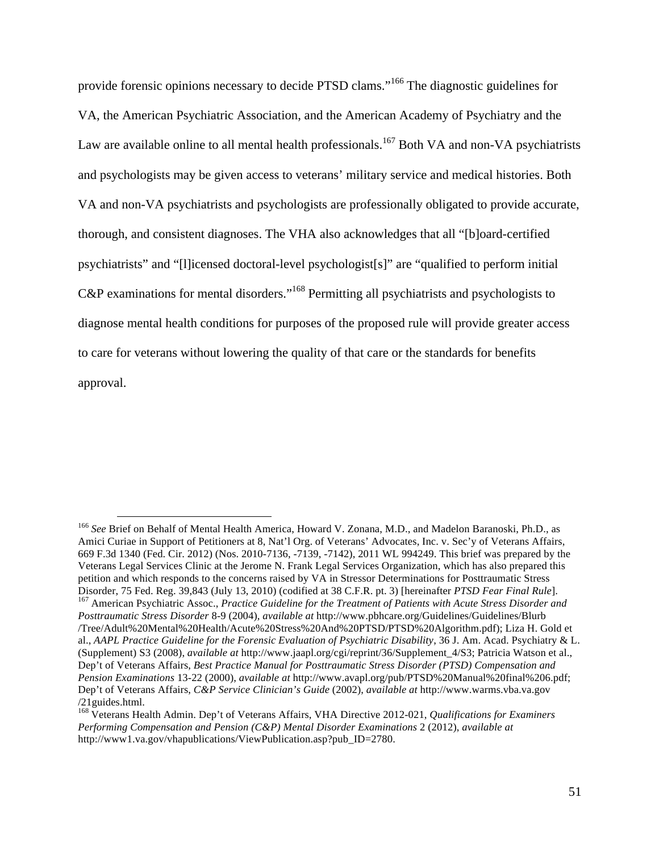provide forensic opinions necessary to decide PTSD clams."<sup>166</sup> The diagnostic guidelines for VA, the American Psychiatric Association, and the American Academy of Psychiatry and the Law are available online to all mental health professionals.<sup>167</sup> Both VA and non-VA psychiatrists and psychologists may be given access to veterans' military service and medical histories. Both VA and non-VA psychiatrists and psychologists are professionally obligated to provide accurate, thorough, and consistent diagnoses. The VHA also acknowledges that all "[b]oard-certified psychiatrists" and "[l]icensed doctoral-level psychologist[s]" are "qualified to perform initial C&P examinations for mental disorders."<sup>168</sup> Permitting all psychiatrists and psychologists to diagnose mental health conditions for purposes of the proposed rule will provide greater access to care for veterans without lowering the quality of that care or the standards for benefits approval.

 <sup>166</sup> *See* Brief on Behalf of Mental Health America, Howard V. Zonana, M.D., and Madelon Baranoski, Ph.D., as Amici Curiae in Support of Petitioners at 8, Nat'l Org. of Veterans' Advocates, Inc. v. Sec'y of Veterans Affairs, 669 F.3d 1340 (Fed. Cir. 2012) (Nos. 2010-7136, -7139, -7142), 2011 WL 994249. This brief was prepared by the Veterans Legal Services Clinic at the Jerome N. Frank Legal Services Organization, which has also prepared this petition and which responds to the concerns raised by VA in Stressor Determinations for Posttraumatic Stress Disorder, 75 Fed. Reg. 39,843 (July 13, 2010) (codified at 38 C.F.R. pt. 3) [hereinafter PTSD Fear Final Rule].<br><sup>167</sup> American Psychiatric Assoc., Practice Guideline for the Treatment of Patients with Acute Stress Disorder *Posttraumatic Stress Disorder* 8-9 (2004), *available at* http://www.pbhcare.org/Guidelines/Guidelines/Blurb /Tree/Adult%20Mental%20Health/Acute%20Stress%20And%20PTSD/PTSD%20Algorithm.pdf); Liza H. Gold et al., *AAPL Practice Guideline for the Forensic Evaluation of Psychiatric Disability*, 36 J. Am. Acad. Psychiatry & L. (Supplement) S3 (2008), *available at* http://www.jaapl.org/cgi/reprint/36/Supplement\_4/S3; Patricia Watson et al., Dep't of Veterans Affairs, *Best Practice Manual for Posttraumatic Stress Disorder (PTSD) Compensation and Pension Examinations* 13-22 (2000), *available at* http://www.avapl.org/pub/PTSD%20Manual%20final%206.pdf; Dep't of Veterans Affairs, *C&P Service Clinician's Guide* (2002), *available at* http://www.warms.vba.va.gov /21guides.html. <sup>168</sup> Veterans Health Admin. Dep't of Veterans Affairs, VHA Directive 2012-021, *Qualifications for Examiners* 

*Performing Compensation and Pension (C&P) Mental Disorder Examinations* 2 (2012), *available at* http://www1.va.gov/vhapublications/ViewPublication.asp?pub\_ID=2780.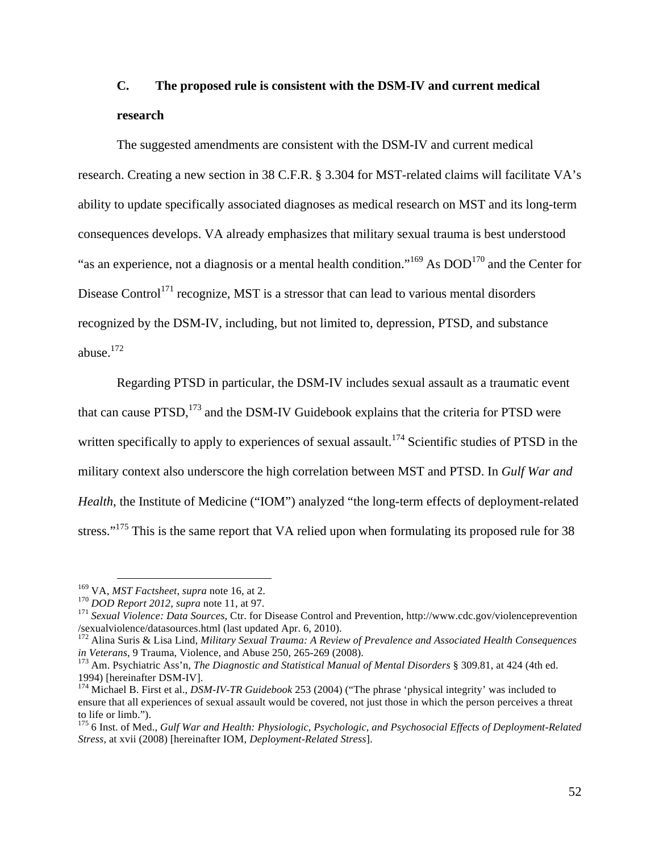### **C. The proposed rule is consistent with the DSM-IV and current medical research**

The suggested amendments are consistent with the DSM-IV and current medical research. Creating a new section in 38 C.F.R. § 3.304 for MST-related claims will facilitate VA's ability to update specifically associated diagnoses as medical research on MST and its long-term consequences develops. VA already emphasizes that military sexual trauma is best understood "as an experience, not a diagnosis or a mental health condition."<sup>169</sup> As DOD<sup>170</sup> and the Center for Disease Control<sup>171</sup> recognize, MST is a stressor that can lead to various mental disorders recognized by the DSM-IV, including, but not limited to, depression, PTSD, and substance abuse. $^{172}$ 

Regarding PTSD in particular, the DSM-IV includes sexual assault as a traumatic event that can cause  $PTSD$ ,  $^{173}$  and the DSM-IV Guidebook explains that the criteria for PTSD were written specifically to apply to experiences of sexual assault.<sup>174</sup> Scientific studies of PTSD in the military context also underscore the high correlation between MST and PTSD. In *Gulf War and Health*, the Institute of Medicine ("IOM") analyzed "the long-term effects of deployment-related stress."<sup>175</sup> This is the same report that VA relied upon when formulating its proposed rule for 38

<sup>&</sup>lt;sup>169</sup> VA, *MST Factsheet*, *supra* note 16, at 2.<br><sup>170</sup> DOD Report 2012, *supra* note 11, at 97.<br><sup>171</sup> Sexual Violence: Data Sources, Ctr. for Disease Control and Prevention, http://www.cdc.gov/violenceprevention /sexualviolence/datasources.html (last updated Apr. 6, 2010).

<sup>172</sup> Alina Suris & Lisa Lind, *Military Sexual Trauma: A Review of Prevalence and Associated Health Consequences* 

*in Veterans*, 9 Trauma, Violence, and Abuse 250, 265-269 (2008).<br><sup>173</sup> Am. Psychiatric Ass'n, *The Diagnostic and Statistical Manual of Mental Disorders* § 309.81, at 424 (4th ed.<br>1994) [hereinafter DSM-IV].

<sup>&</sup>lt;sup>174</sup> Michael B. First et al., *DSM-IV-TR Guidebook* 253 (2004) ("The phrase 'physical integrity' was included to ensure that all experiences of sexual assault would be covered, not just those in which the person perceives a threat to life or limb.").

<sup>175</sup> 6 Inst. of Med., *Gulf War and Health: Physiologic, Psychologic, and Psychosocial Effects of Deployment-Related Stress*, at xvii (2008) [hereinafter IOM, *Deployment-Related Stress*].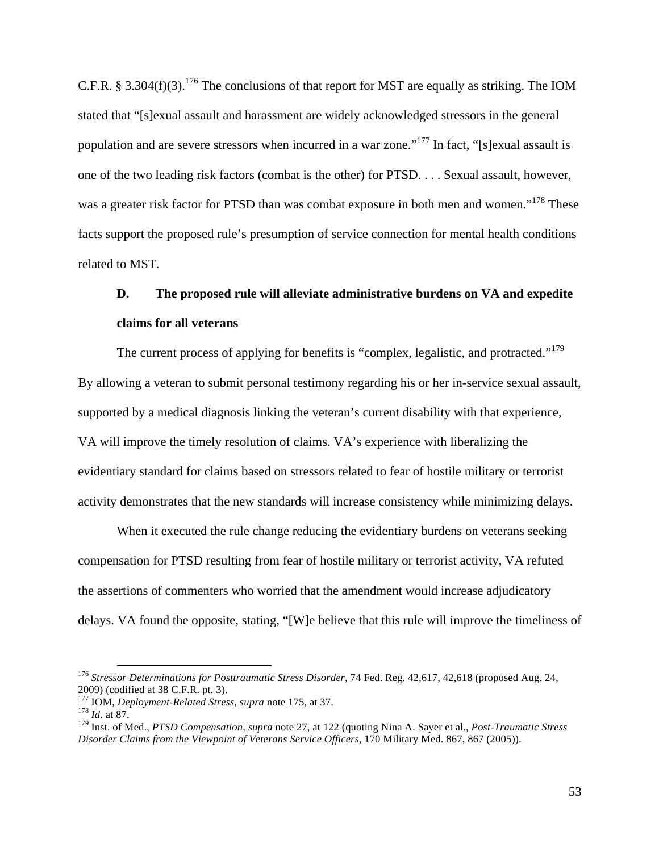C.F.R. § 3.304(f)(3).<sup>176</sup> The conclusions of that report for MST are equally as striking. The IOM stated that "[s]exual assault and harassment are widely acknowledged stressors in the general population and are severe stressors when incurred in a war zone."177 In fact, "[s]exual assault is one of the two leading risk factors (combat is the other) for PTSD. . . . Sexual assault, however, was a greater risk factor for PTSD than was combat exposure in both men and women."<sup>178</sup> These facts support the proposed rule's presumption of service connection for mental health conditions related to MST.

## **D. The proposed rule will alleviate administrative burdens on VA and expedite claims for all veterans**

The current process of applying for benefits is "complex, legalistic, and protracted."<sup>179</sup> By allowing a veteran to submit personal testimony regarding his or her in-service sexual assault, supported by a medical diagnosis linking the veteran's current disability with that experience, VA will improve the timely resolution of claims. VA's experience with liberalizing the evidentiary standard for claims based on stressors related to fear of hostile military or terrorist activity demonstrates that the new standards will increase consistency while minimizing delays.

When it executed the rule change reducing the evidentiary burdens on veterans seeking compensation for PTSD resulting from fear of hostile military or terrorist activity, VA refuted the assertions of commenters who worried that the amendment would increase adjudicatory delays. VA found the opposite, stating, "[W]e believe that this rule will improve the timeliness of

 <sup>176</sup> *Stressor Determinations for Posttraumatic Stress Disorder*, 74 Fed. Reg. 42,617, 42,618 (proposed Aug. 24, 2009) (codified at 38 C.F.R. pt. 3). <sup>177</sup> IOM, *Deployment-Related Stress*, *supra* note 175, at 37. <sup>178</sup> *Id.* at 87.

<sup>179</sup> Inst. of Med., *PTSD Compensation*, *supra* note 27, at 122 (quoting Nina A. Sayer et al., *Post-Traumatic Stress Disorder Claims from the Viewpoint of Veterans Service Officers*, 170 Military Med. 867, 867 (2005)).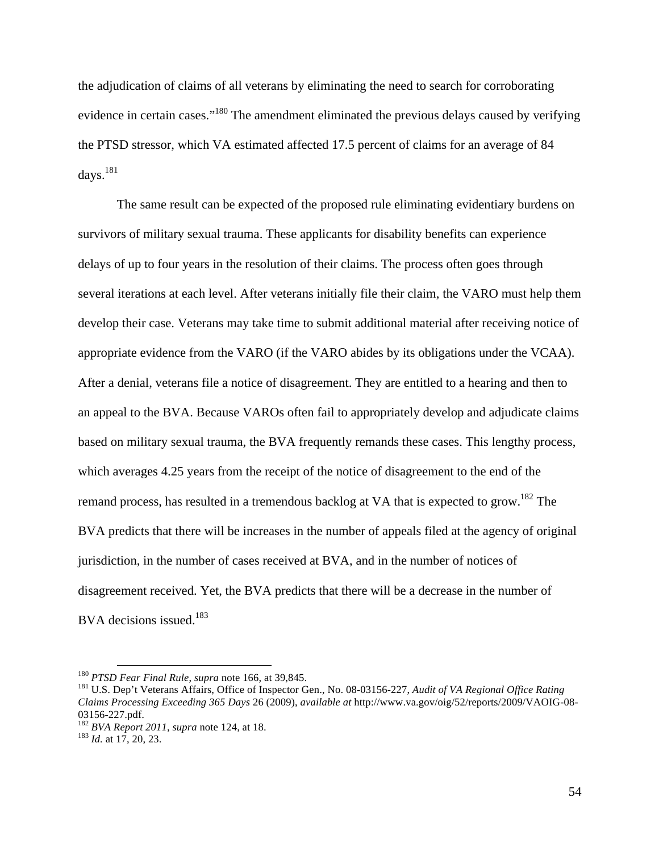the adjudication of claims of all veterans by eliminating the need to search for corroborating evidence in certain cases."<sup>180</sup> The amendment eliminated the previous delays caused by verifying the PTSD stressor, which VA estimated affected 17.5 percent of claims for an average of 84 days. $^{181}$ 

The same result can be expected of the proposed rule eliminating evidentiary burdens on survivors of military sexual trauma. These applicants for disability benefits can experience delays of up to four years in the resolution of their claims. The process often goes through several iterations at each level. After veterans initially file their claim, the VARO must help them develop their case. Veterans may take time to submit additional material after receiving notice of appropriate evidence from the VARO (if the VARO abides by its obligations under the VCAA). After a denial, veterans file a notice of disagreement. They are entitled to a hearing and then to an appeal to the BVA. Because VAROs often fail to appropriately develop and adjudicate claims based on military sexual trauma, the BVA frequently remands these cases. This lengthy process, which averages 4.25 years from the receipt of the notice of disagreement to the end of the remand process, has resulted in a tremendous backlog at VA that is expected to grow.<sup>182</sup> The BVA predicts that there will be increases in the number of appeals filed at the agency of original jurisdiction, in the number of cases received at BVA, and in the number of notices of disagreement received. Yet, the BVA predicts that there will be a decrease in the number of BVA decisions issued.<sup>183</sup>

<sup>&</sup>lt;sup>180</sup> *PTSD Fear Final Rule, supra* note 166, at 39,845.<br><sup>181</sup> U.S. Dep't Veterans Affairs, Office of Inspector Gen., No. 08-03156-227, *Audit of VA Regional Office Rating Claims Processing Exceeding 365 Days* 26 (2009), *available at* http://www.va.gov/oig/52/reports/2009/VAOIG-08- 03156-227.pdf. <sup>182</sup> *BVA Report 2011*, *supra* note 124, at 18. <sup>183</sup> *Id.* at 17, 20, 23.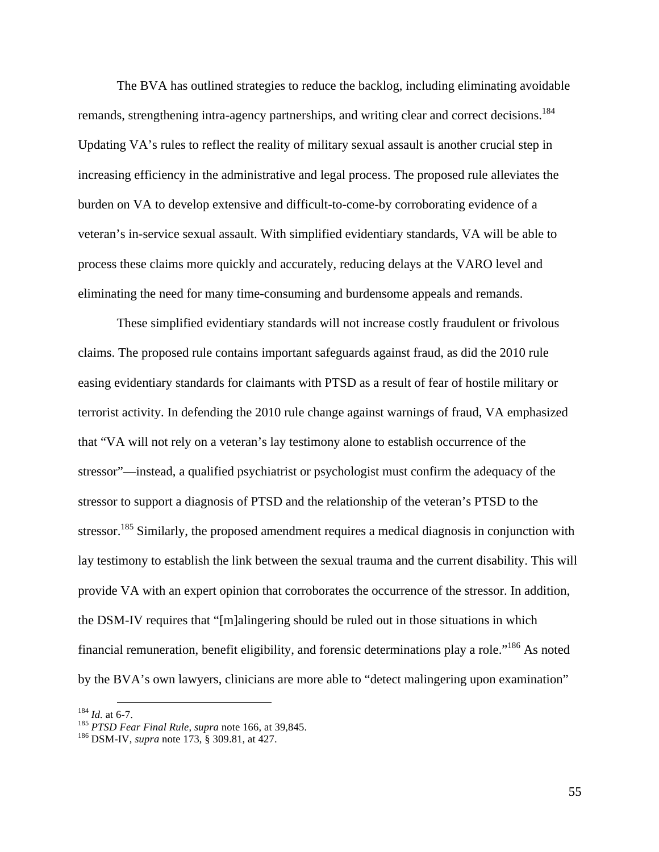The BVA has outlined strategies to reduce the backlog, including eliminating avoidable remands, strengthening intra-agency partnerships, and writing clear and correct decisions.<sup>184</sup> Updating VA's rules to reflect the reality of military sexual assault is another crucial step in increasing efficiency in the administrative and legal process. The proposed rule alleviates the burden on VA to develop extensive and difficult-to-come-by corroborating evidence of a veteran's in-service sexual assault. With simplified evidentiary standards, VA will be able to process these claims more quickly and accurately, reducing delays at the VARO level and eliminating the need for many time-consuming and burdensome appeals and remands.

These simplified evidentiary standards will not increase costly fraudulent or frivolous claims. The proposed rule contains important safeguards against fraud, as did the 2010 rule easing evidentiary standards for claimants with PTSD as a result of fear of hostile military or terrorist activity. In defending the 2010 rule change against warnings of fraud, VA emphasized that "VA will not rely on a veteran's lay testimony alone to establish occurrence of the stressor"—instead, a qualified psychiatrist or psychologist must confirm the adequacy of the stressor to support a diagnosis of PTSD and the relationship of the veteran's PTSD to the stressor.<sup>185</sup> Similarly, the proposed amendment requires a medical diagnosis in conjunction with lay testimony to establish the link between the sexual trauma and the current disability. This will provide VA with an expert opinion that corroborates the occurrence of the stressor. In addition, the DSM-IV requires that "[m]alingering should be ruled out in those situations in which financial remuneration, benefit eligibility, and forensic determinations play a role."186 As noted by the BVA's own lawyers, clinicians are more able to "detect malingering upon examination"

<sup>184</sup> *Id.* at 6-7. <sup>185</sup> *PTSD Fear Final Rule*, *supra* note 166, at 39,845. <sup>186</sup> DSM-IV, *supra* note 173, § 309.81, at 427.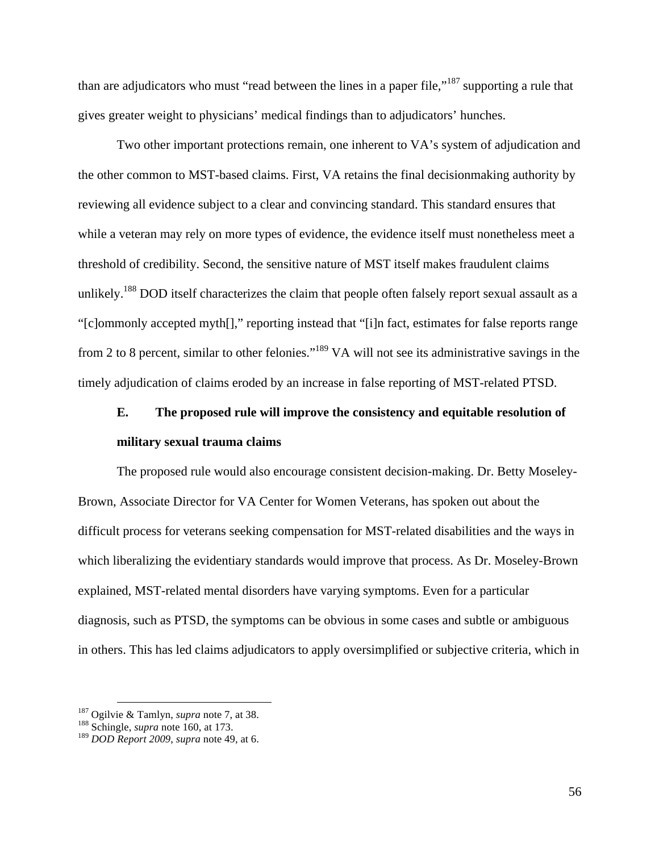than are adjudicators who must "read between the lines in a paper file,"<sup>187</sup> supporting a rule that gives greater weight to physicians' medical findings than to adjudicators' hunches.

Two other important protections remain, one inherent to VA's system of adjudication and the other common to MST-based claims. First, VA retains the final decisionmaking authority by reviewing all evidence subject to a clear and convincing standard. This standard ensures that while a veteran may rely on more types of evidence, the evidence itself must nonetheless meet a threshold of credibility. Second, the sensitive nature of MST itself makes fraudulent claims unlikely.<sup>188</sup> DOD itself characterizes the claim that people often falsely report sexual assault as a "[c]ommonly accepted myth[]," reporting instead that "[i]n fact, estimates for false reports range from 2 to 8 percent, similar to other felonies."189 VA will not see its administrative savings in the timely adjudication of claims eroded by an increase in false reporting of MST-related PTSD.

## **E. The proposed rule will improve the consistency and equitable resolution of military sexual trauma claims**

The proposed rule would also encourage consistent decision-making. Dr. Betty Moseley-Brown, Associate Director for VA Center for Women Veterans, has spoken out about the difficult process for veterans seeking compensation for MST-related disabilities and the ways in which liberalizing the evidentiary standards would improve that process. As Dr. Moseley-Brown explained, MST-related mental disorders have varying symptoms. Even for a particular diagnosis, such as PTSD, the symptoms can be obvious in some cases and subtle or ambiguous in others. This has led claims adjudicators to apply oversimplified or subjective criteria, which in

<sup>187</sup> Ogilvie & Tamlyn, *supra* note 7, at 38. <sup>188</sup> Schingle, *supra* note 160, at 173.

<sup>189</sup> *DOD Report 2009*, *supra* note 49, at 6.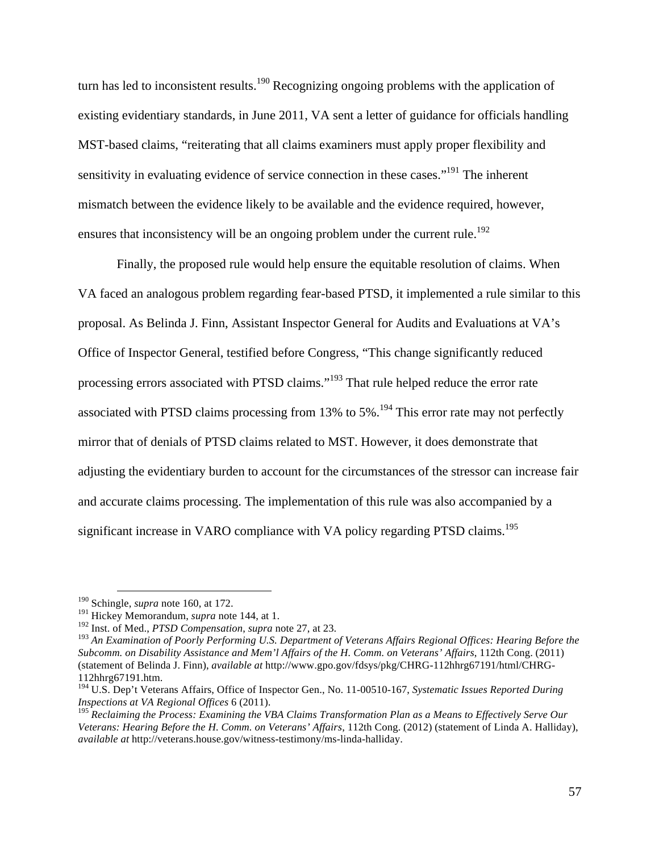turn has led to inconsistent results.<sup>190</sup> Recognizing ongoing problems with the application of existing evidentiary standards, in June 2011, VA sent a letter of guidance for officials handling MST-based claims, "reiterating that all claims examiners must apply proper flexibility and sensitivity in evaluating evidence of service connection in these cases."<sup>191</sup> The inherent mismatch between the evidence likely to be available and the evidence required, however, ensures that inconsistency will be an ongoing problem under the current rule.<sup>192</sup>

Finally, the proposed rule would help ensure the equitable resolution of claims. When VA faced an analogous problem regarding fear-based PTSD, it implemented a rule similar to this proposal. As Belinda J. Finn, Assistant Inspector General for Audits and Evaluations at VA's Office of Inspector General, testified before Congress, "This change significantly reduced processing errors associated with PTSD claims."<sup>193</sup> That rule helped reduce the error rate associated with PTSD claims processing from 13% to 5%.<sup>194</sup> This error rate may not perfectly mirror that of denials of PTSD claims related to MST. However, it does demonstrate that adjusting the evidentiary burden to account for the circumstances of the stressor can increase fair and accurate claims processing. The implementation of this rule was also accompanied by a significant increase in VARO compliance with VA policy regarding PTSD claims.<sup>195</sup>

 <sup>190</sup> Schingle, *supra* note 160, at 172.

<sup>191</sup> Hickey Memorandum, *supra* note 144, at 1.

<sup>192</sup> Inst. of Med., *PTSD Compensation*, *supra* note 27, at 23.

<sup>193</sup> *An Examination of Poorly Performing U.S. Department of Veterans Affairs Regional Offices: Hearing Before the Subcomm. on Disability Assistance and Mem'l Affairs of the H. Comm. on Veterans' Affairs*, 112th Cong. (2011) (statement of Belinda J. Finn), *available at* http://www.gpo.gov/fdsys/pkg/CHRG-112hhrg67191/html/CHRG-112hhrg67191.htm.

<sup>194</sup> U.S. Dep't Veterans Affairs, Office of Inspector Gen., No. 11-00510-167, *Systematic Issues Reported During Inspections at VA Regional Offices* 6 (2011).

<sup>195</sup> *Reclaiming the Process: Examining the VBA Claims Transformation Plan as a Means to Effectively Serve Our Veterans: Hearing Before the H. Comm. on Veterans' Affairs*, 112th Cong. (2012) (statement of Linda A. Halliday), *available at* http://veterans.house.gov/witness-testimony/ms-linda-halliday.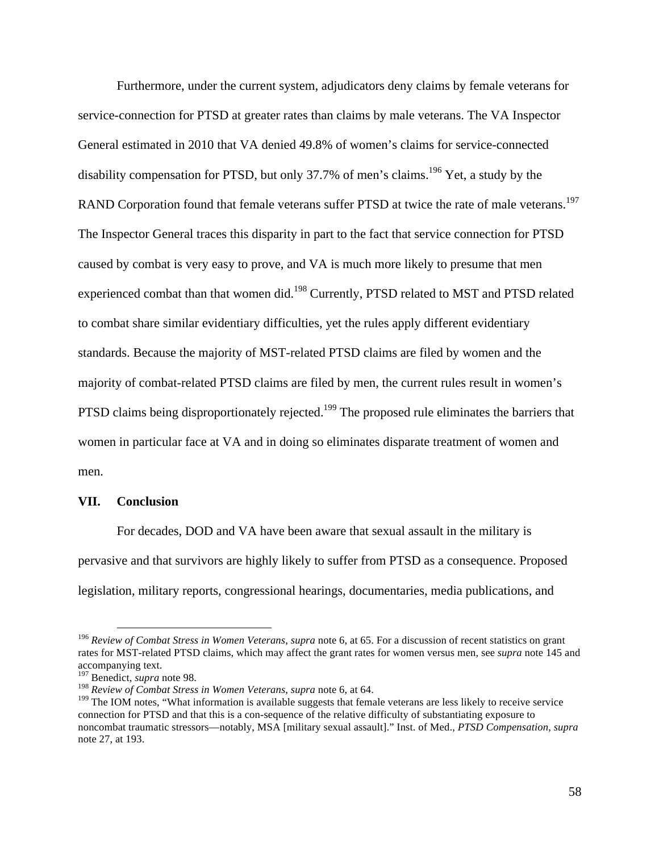Furthermore, under the current system, adjudicators deny claims by female veterans for service-connection for PTSD at greater rates than claims by male veterans. The VA Inspector General estimated in 2010 that VA denied 49.8% of women's claims for service-connected disability compensation for PTSD, but only 37.7% of men's claims.<sup>196</sup> Yet, a study by the RAND Corporation found that female veterans suffer PTSD at twice the rate of male veterans.<sup>197</sup> The Inspector General traces this disparity in part to the fact that service connection for PTSD caused by combat is very easy to prove, and VA is much more likely to presume that men experienced combat than that women did.<sup>198</sup> Currently, PTSD related to MST and PTSD related to combat share similar evidentiary difficulties, yet the rules apply different evidentiary standards. Because the majority of MST-related PTSD claims are filed by women and the majority of combat-related PTSD claims are filed by men, the current rules result in women's PTSD claims being disproportionately rejected.<sup>199</sup> The proposed rule eliminates the barriers that women in particular face at VA and in doing so eliminates disparate treatment of women and men.

#### **VII. Conclusion**

For decades, DOD and VA have been aware that sexual assault in the military is pervasive and that survivors are highly likely to suffer from PTSD as a consequence. Proposed legislation, military reports, congressional hearings, documentaries, media publications, and

 <sup>196</sup> *Review of Combat Stress in Women Veterans*, *supra* note 6, at 65. For a discussion of recent statistics on grant rates for MST-related PTSD claims, which may affect the grant rates for women versus men, see *supra* note 145 and accompanying text.<br><sup>197</sup> Benedict, *supra* note 98.

<sup>&</sup>lt;sup>198</sup> Review of Combat Stress in Women Veterans, *supra* note 6, at 64.

<sup>&</sup>lt;sup>199</sup> The IOM notes, "What information is available suggests that female veterans are less likely to receive service connection for PTSD and that this is a con-sequence of the relative difficulty of substantiating exposure to noncombat traumatic stressors—notably, MSA [military sexual assault]." Inst. of Med., *PTSD Compensation*, *supra*  note 27, at 193.